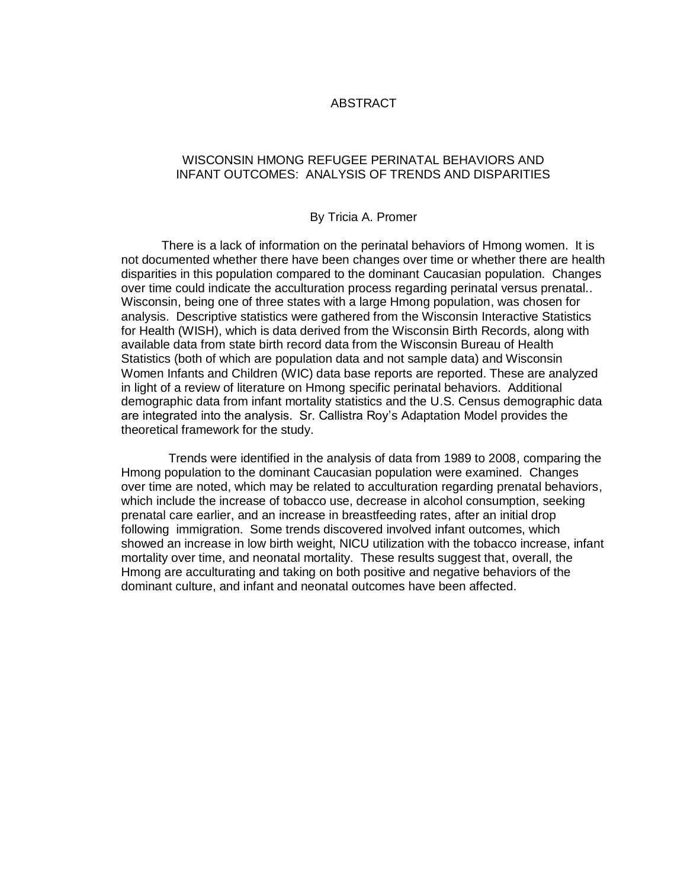### ABSTRACT

### WISCONSIN HMONG REFUGEE PERINATAL BEHAVIORS AND INFANT OUTCOMES: ANALYSIS OF TRENDS AND DISPARITIES

### By Tricia A. Promer

There is a lack of information on the perinatal behaviors of Hmong women. It is not documented whether there have been changes over time or whether there are health disparities in this population compared to the dominant Caucasian population. Changes over time could indicate the acculturation process regarding perinatal versus prenatal.. Wisconsin, being one of three states with a large Hmong population, was chosen for analysis. Descriptive statistics were gathered from the Wisconsin Interactive Statistics for Health (WISH), which is data derived from the Wisconsin Birth Records, along with available data from state birth record data from the Wisconsin Bureau of Health Statistics (both of which are population data and not sample data) and Wisconsin Women Infants and Children (WIC) data base reports are reported. These are analyzed in light of a review of literature on Hmong specific perinatal behaviors. Additional demographic data from infant mortality statistics and the U.S. Census demographic data are integrated into the analysis. Sr. Callistra Roy's Adaptation Model provides the theoretical framework for the study.

 Trends were identified in the analysis of data from 1989 to 2008, comparing the Hmong population to the dominant Caucasian population were examined. Changes over time are noted, which may be related to acculturation regarding prenatal behaviors, which include the increase of tobacco use, decrease in alcohol consumption, seeking prenatal care earlier, and an increase in breastfeeding rates, after an initial drop following immigration. Some trends discovered involved infant outcomes, which showed an increase in low birth weight, NICU utilization with the tobacco increase, infant mortality over time, and neonatal mortality. These results suggest that, overall, the Hmong are acculturating and taking on both positive and negative behaviors of the dominant culture, and infant and neonatal outcomes have been affected.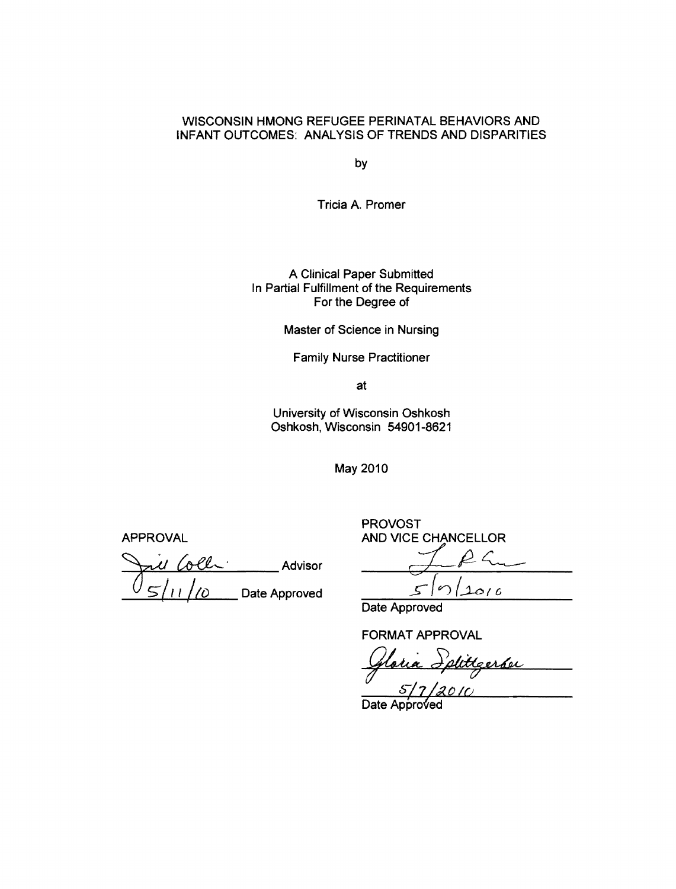### WISCONSIN HMONG REFUGEE PERINATAL BEHAVIORS AND INFANT OUTCOMES: ANALYSIS OF TRENDS AND DISPARITIES

by

Tricia A. Promer

A Clinical Paper Submitted In Partial Fulfillment of the Requirements For the Degree of

Master of Science in Nursing

Family Nurse Practitioner

at

University of Wisconsin Oshkosh Oshkosh, Wisconsin 54901-8621

May 2010

Jui Colli Advisor Jul 2 Date Approved

PROVOST APPROVAL AND VICE CHANCELLOR

 $\infty$  $1016$ 

Date Approved

FORMAT APPROVAL

ORMAT APPROVAL<br>Gloria Splittgerfor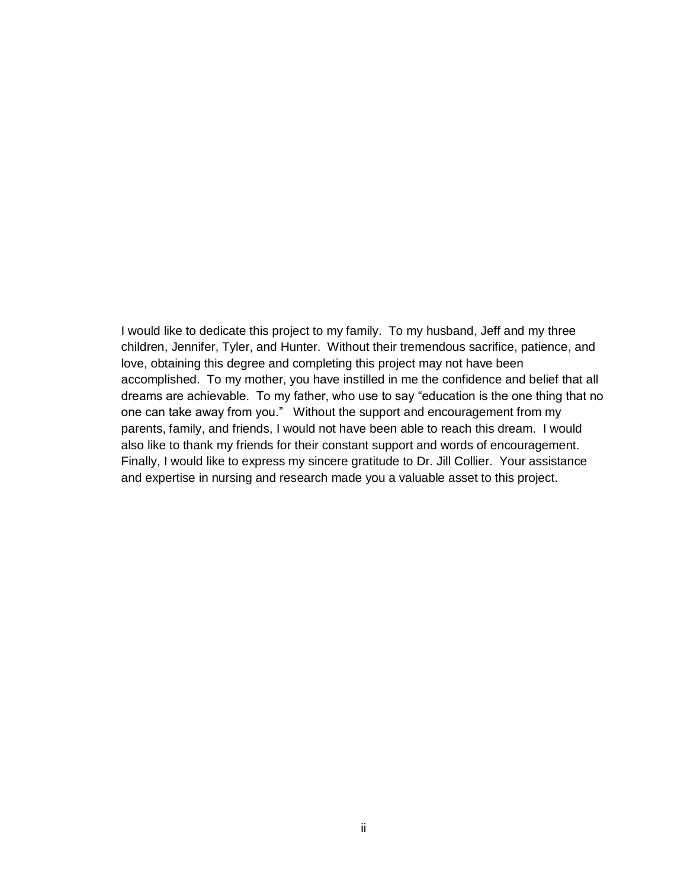I would like to dedicate this project to my family. To my husband, Jeff and my three children, Jennifer, Tyler, and Hunter. Without their tremendous sacrifice, patience, and love, obtaining this degree and completing this project may not have been accomplished. To my mother, you have instilled in me the confidence and belief that all dreams are achievable. To my father, who use to say "education is the one thing that no one can take away from you." Without the support and encouragement from my parents, family, and friends, I would not have been able to reach this dream. I would also like to thank my friends for their constant support and words of encouragement. Finally, I would like to express my sincere gratitude to Dr. Jill Collier. Your assistance and expertise in nursing and research made you a valuable asset to this project.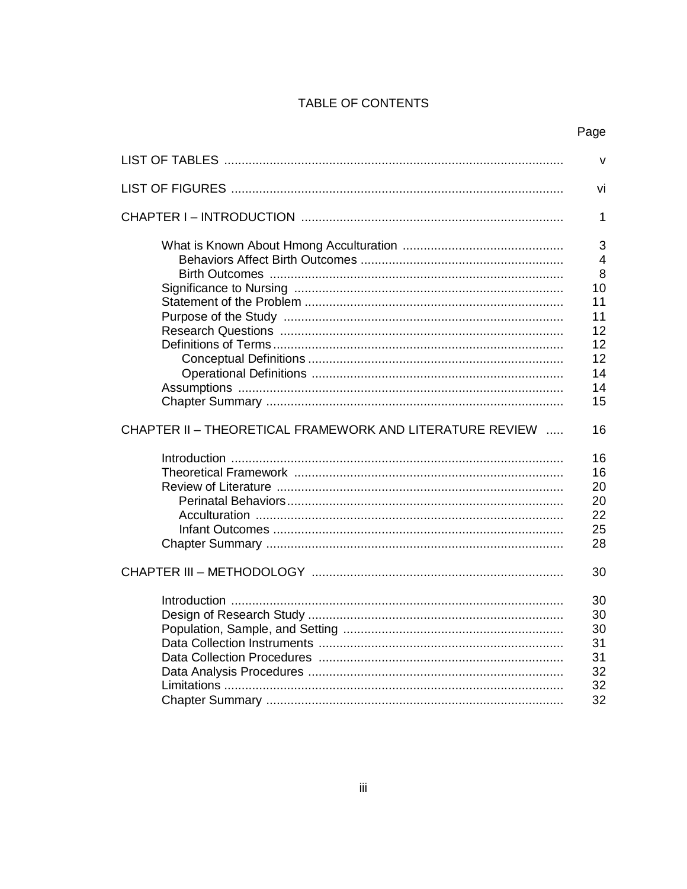## TABLE OF CONTENTS

|                                                          | $\vee$         |
|----------------------------------------------------------|----------------|
|                                                          | vi             |
|                                                          | 1              |
|                                                          | 3              |
|                                                          | $\overline{4}$ |
|                                                          | 8              |
|                                                          | 10             |
|                                                          | 11             |
|                                                          | 11             |
|                                                          | 12             |
|                                                          | 12             |
|                                                          | 12             |
|                                                          | 14             |
|                                                          | 14             |
|                                                          | 15             |
| CHAPTER II - THEORETICAL FRAMEWORK AND LITERATURE REVIEW | 16             |
|                                                          | 16             |
|                                                          | 16             |
|                                                          | 20             |
|                                                          | 20             |
|                                                          | 22             |
|                                                          | 25             |
|                                                          | 28             |
|                                                          | 30             |
|                                                          | 30             |
|                                                          | 30             |
|                                                          | 30             |
|                                                          | 31             |
|                                                          | 31             |
|                                                          | 32             |
|                                                          | 32             |
|                                                          | 32             |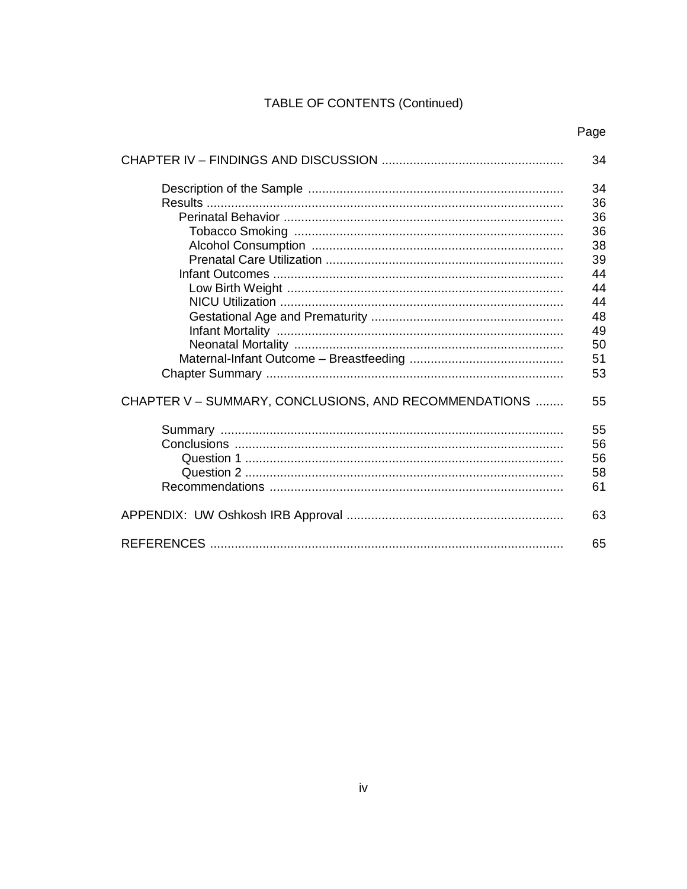# TABLE OF CONTENTS (Continued)

|                                                       | 34 |
|-------------------------------------------------------|----|
|                                                       | 34 |
|                                                       | 36 |
|                                                       | 36 |
|                                                       | 36 |
|                                                       | 38 |
|                                                       | 39 |
|                                                       | 44 |
|                                                       | 44 |
|                                                       | 44 |
|                                                       | 48 |
|                                                       | 49 |
|                                                       | 50 |
|                                                       | 51 |
|                                                       | 53 |
|                                                       |    |
| CHAPTER V - SUMMARY, CONCLUSIONS, AND RECOMMENDATIONS | 55 |
|                                                       | 55 |
|                                                       | 56 |
|                                                       | 56 |
|                                                       | 58 |
|                                                       | 61 |
|                                                       |    |
|                                                       | 63 |
|                                                       | 65 |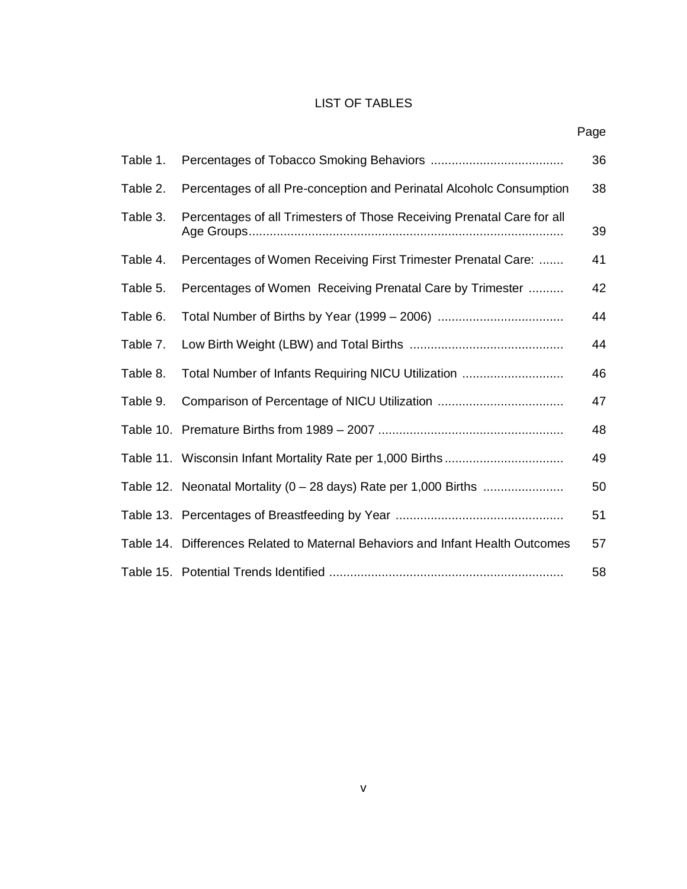## LIST OF TABLES

| Table 1. |                                                                                | 36 |
|----------|--------------------------------------------------------------------------------|----|
| Table 2. | Percentages of all Pre-conception and Perinatal Alcoholc Consumption           | 38 |
| Table 3. | Percentages of all Trimesters of Those Receiving Prenatal Care for all         | 39 |
| Table 4. | Percentages of Women Receiving First Trimester Prenatal Care:                  | 41 |
| Table 5. | Percentages of Women Receiving Prenatal Care by Trimester                      | 42 |
| Table 6. |                                                                                | 44 |
| Table 7. |                                                                                | 44 |
| Table 8. | Total Number of Infants Requiring NICU Utilization                             | 46 |
| Table 9. |                                                                                | 47 |
|          |                                                                                | 48 |
|          |                                                                                | 49 |
|          | Table 12. Neonatal Mortality (0 - 28 days) Rate per 1,000 Births               | 50 |
|          |                                                                                | 51 |
|          | Table 14. Differences Related to Maternal Behaviors and Infant Health Outcomes | 57 |
|          |                                                                                | 58 |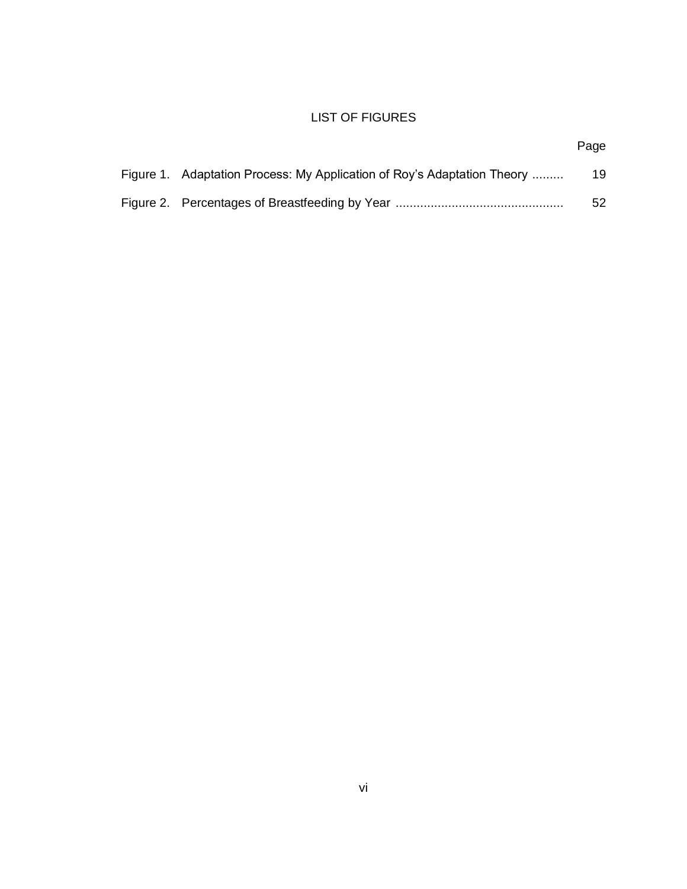# LIST OF FIGURES

| Figure 1. Adaptation Process: My Application of Roy's Adaptation Theory | 19 |
|-------------------------------------------------------------------------|----|
|                                                                         | 52 |

Page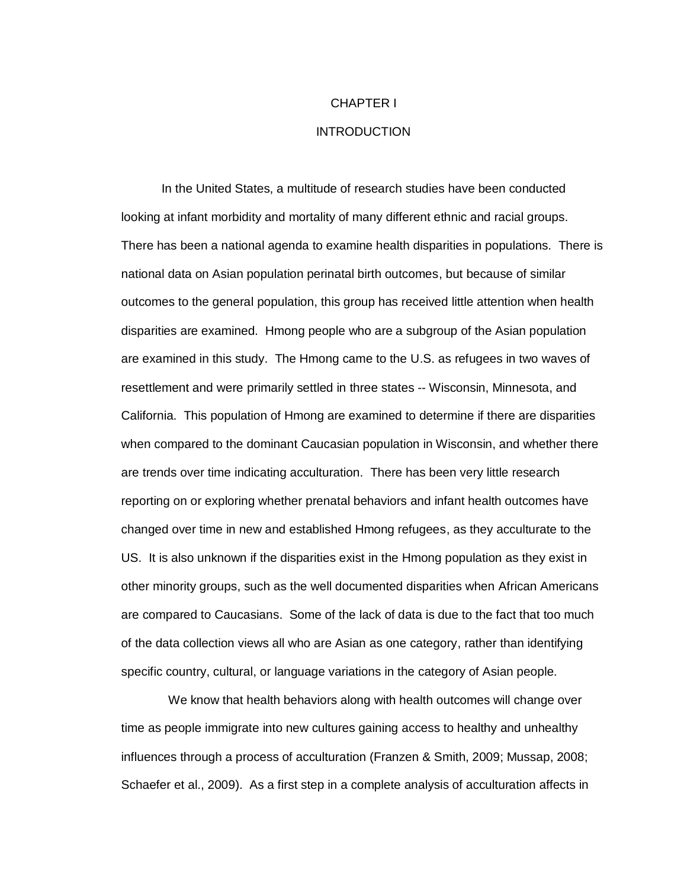#### CHAPTER I

### INTRODUCTION

In the United States, a multitude of research studies have been conducted looking at infant morbidity and mortality of many different ethnic and racial groups. There has been a national agenda to examine health disparities in populations. There is national data on Asian population perinatal birth outcomes, but because of similar outcomes to the general population, this group has received little attention when health disparities are examined. Hmong people who are a subgroup of the Asian population are examined in this study. The Hmong came to the U.S. as refugees in two waves of resettlement and were primarily settled in three states -- Wisconsin, Minnesota, and California. This population of Hmong are examined to determine if there are disparities when compared to the dominant Caucasian population in Wisconsin, and whether there are trends over time indicating acculturation. There has been very little research reporting on or exploring whether prenatal behaviors and infant health outcomes have changed over time in new and established Hmong refugees, as they acculturate to the US. It is also unknown if the disparities exist in the Hmong population as they exist in other minority groups, such as the well documented disparities when African Americans are compared to Caucasians. Some of the lack of data is due to the fact that too much of the data collection views all who are Asian as one category, rather than identifying specific country, cultural, or language variations in the category of Asian people.

 We know that health behaviors along with health outcomes will change over time as people immigrate into new cultures gaining access to healthy and unhealthy influences through a process of acculturation (Franzen & Smith, 2009; Mussap, 2008; Schaefer et al., 2009). As a first step in a complete analysis of acculturation affects in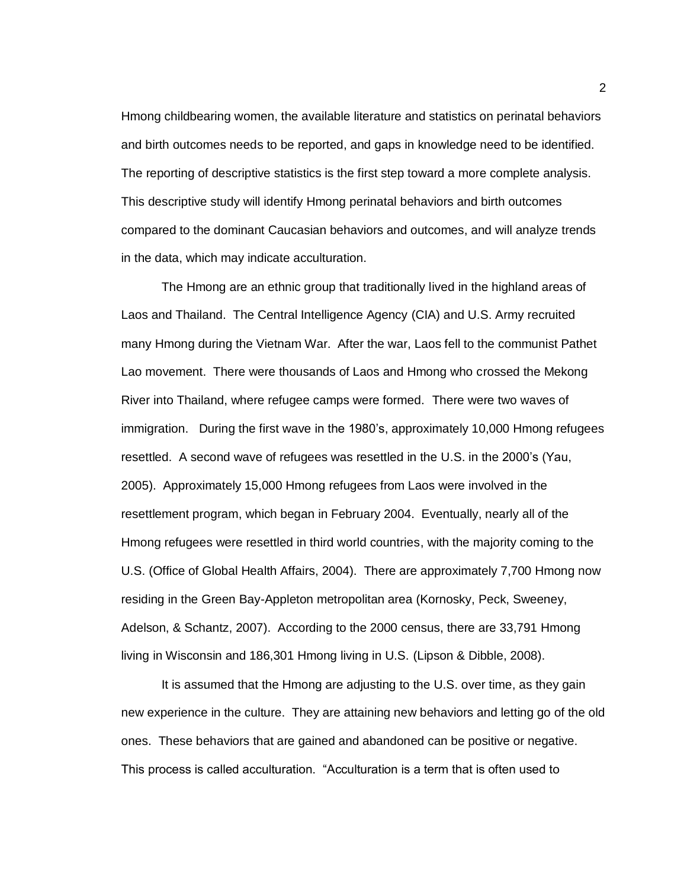Hmong childbearing women, the available literature and statistics on perinatal behaviors and birth outcomes needs to be reported, and gaps in knowledge need to be identified. The reporting of descriptive statistics is the first step toward a more complete analysis. This descriptive study will identify Hmong perinatal behaviors and birth outcomes compared to the dominant Caucasian behaviors and outcomes, and will analyze trends in the data, which may indicate acculturation.

The Hmong are an ethnic group that traditionally lived in the highland areas of Laos and Thailand. The Central Intelligence Agency (CIA) and U.S. Army recruited many Hmong during the Vietnam War. After the war, Laos fell to the communist Pathet Lao movement. There were thousands of Laos and Hmong who crossed the Mekong River into Thailand, where refugee camps were formed. There were two waves of immigration. During the first wave in the 1980's, approximately 10,000 Hmong refugees resettled. A second wave of refugees was resettled in the U.S. in the 2000's (Yau, 2005). Approximately 15,000 Hmong refugees from Laos were involved in the resettlement program, which began in February 2004. Eventually, nearly all of the Hmong refugees were resettled in third world countries, with the majority coming to the U.S. (Office of Global Health Affairs, 2004). There are approximately 7,700 Hmong now residing in the Green Bay-Appleton metropolitan area (Kornosky, Peck, Sweeney, Adelson, & Schantz, 2007). According to the 2000 census, there are 33,791 Hmong living in Wisconsin and 186,301 Hmong living in U.S. (Lipson & Dibble, 2008).

It is assumed that the Hmong are adjusting to the U.S. over time, as they gain new experience in the culture. They are attaining new behaviors and letting go of the old ones. These behaviors that are gained and abandoned can be positive or negative. This process is called acculturation. "Acculturation is a term that is often used to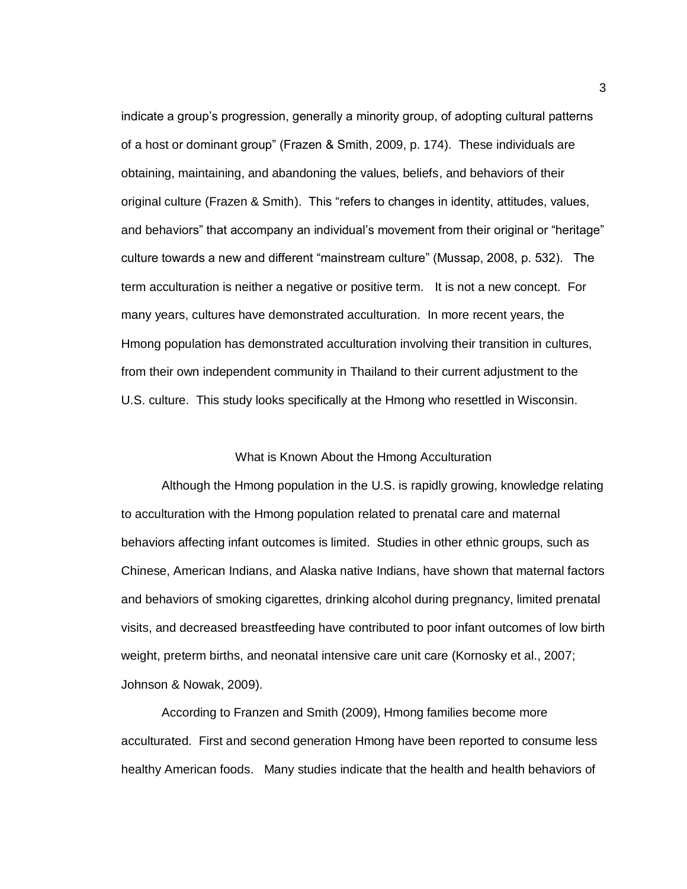indicate a group's progression, generally a minority group, of adopting cultural patterns of a host or dominant group" (Frazen & Smith, 2009, p. 174). These individuals are obtaining, maintaining, and abandoning the values, beliefs, and behaviors of their original culture (Frazen & Smith). This "refers to changes in identity, attitudes, values, and behaviors" that accompany an individual's movement from their original or "heritage" culture towards a new and different "mainstream culture" (Mussap, 2008, p. 532). The term acculturation is neither a negative or positive term. It is not a new concept. For many years, cultures have demonstrated acculturation. In more recent years, the Hmong population has demonstrated acculturation involving their transition in cultures, from their own independent community in Thailand to their current adjustment to the U.S. culture. This study looks specifically at the Hmong who resettled in Wisconsin.

### What is Known About the Hmong Acculturation

Although the Hmong population in the U.S. is rapidly growing, knowledge relating to acculturation with the Hmong population related to prenatal care and maternal behaviors affecting infant outcomes is limited. Studies in other ethnic groups, such as Chinese, American Indians, and Alaska native Indians, have shown that maternal factors and behaviors of smoking cigarettes, drinking alcohol during pregnancy, limited prenatal visits, and decreased breastfeeding have contributed to poor infant outcomes of low birth weight, preterm births, and neonatal intensive care unit care (Kornosky et al., 2007; Johnson & Nowak, 2009).

According to Franzen and Smith (2009), Hmong families become more acculturated. First and second generation Hmong have been reported to consume less healthy American foods. Many studies indicate that the health and health behaviors of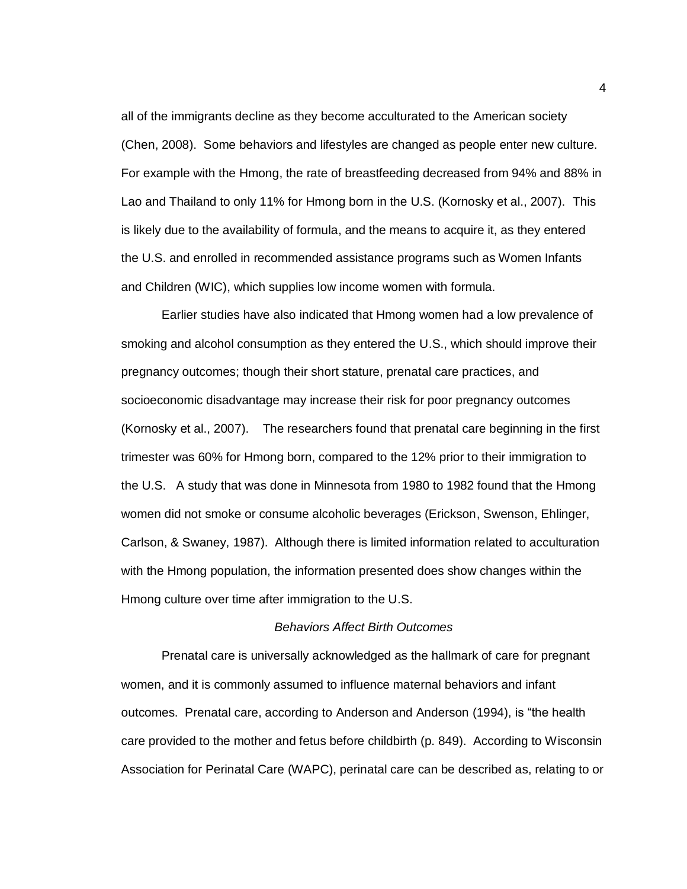all of the immigrants decline as they become acculturated to the American society (Chen, 2008). Some behaviors and lifestyles are changed as people enter new culture. For example with the Hmong, the rate of breastfeeding decreased from 94% and 88% in Lao and Thailand to only 11% for Hmong born in the U.S. (Kornosky et al., 2007). This is likely due to the availability of formula, and the means to acquire it, as they entered the U.S. and enrolled in recommended assistance programs such as Women Infants and Children (WIC), which supplies low income women with formula.

Earlier studies have also indicated that Hmong women had a low prevalence of smoking and alcohol consumption as they entered the U.S., which should improve their pregnancy outcomes; though their short stature, prenatal care practices, and socioeconomic disadvantage may increase their risk for poor pregnancy outcomes (Kornosky et al., 2007). The researchers found that prenatal care beginning in the first trimester was 60% for Hmong born, compared to the 12% prior to their immigration to the U.S. A study that was done in Minnesota from 1980 to 1982 found that the Hmong women did not smoke or consume alcoholic beverages (Erickson, Swenson, Ehlinger, Carlson, & Swaney, 1987). Although there is limited information related to acculturation with the Hmong population, the information presented does show changes within the Hmong culture over time after immigration to the U.S.

#### *Behaviors Affect Birth Outcomes*

Prenatal care is universally acknowledged as the hallmark of care for pregnant women, and it is commonly assumed to influence maternal behaviors and infant outcomes. Prenatal care, according to Anderson and Anderson (1994), is "the health care provided to the mother and fetus before childbirth (p. 849). According to Wisconsin Association for Perinatal Care (WAPC), perinatal care can be described as, relating to or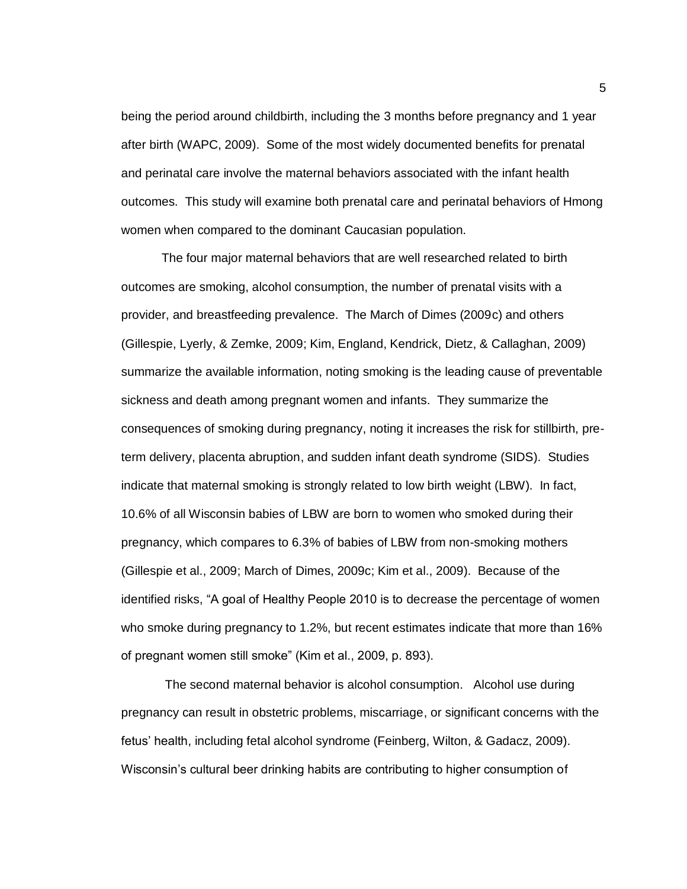being the period around childbirth, including the 3 months before pregnancy and 1 year after birth (WAPC, 2009). Some of the most widely documented benefits for prenatal and perinatal care involve the maternal behaviors associated with the infant health outcomes. This study will examine both prenatal care and perinatal behaviors of Hmong women when compared to the dominant Caucasian population.

The four major maternal behaviors that are well researched related to birth outcomes are smoking, alcohol consumption, the number of prenatal visits with a provider, and breastfeeding prevalence. The March of Dimes (2009c) and others (Gillespie, Lyerly, & Zemke, 2009; Kim, England, Kendrick, Dietz, & Callaghan, 2009) summarize the available information, noting smoking is the leading cause of preventable sickness and death among pregnant women and infants. They summarize the consequences of smoking during pregnancy, noting it increases the risk for stillbirth, preterm delivery, placenta abruption, and sudden infant death syndrome (SIDS). Studies indicate that maternal smoking is strongly related to low birth weight (LBW). In fact, 10.6% of all Wisconsin babies of LBW are born to women who smoked during their pregnancy, which compares to 6.3% of babies of LBW from non-smoking mothers (Gillespie et al., 2009; March of Dimes, 2009c; Kim et al., 2009). Because of the identified risks, "A goal of Healthy People 2010 is to decrease the percentage of women who smoke during pregnancy to 1.2%, but recent estimates indicate that more than 16% of pregnant women still smoke" (Kim et al., 2009, p. 893).

The second maternal behavior is alcohol consumption. Alcohol use during pregnancy can result in obstetric problems, miscarriage, or significant concerns with the fetus' health, including fetal alcohol syndrome (Feinberg, Wilton, & Gadacz, 2009). Wisconsin's cultural beer drinking habits are contributing to higher consumption of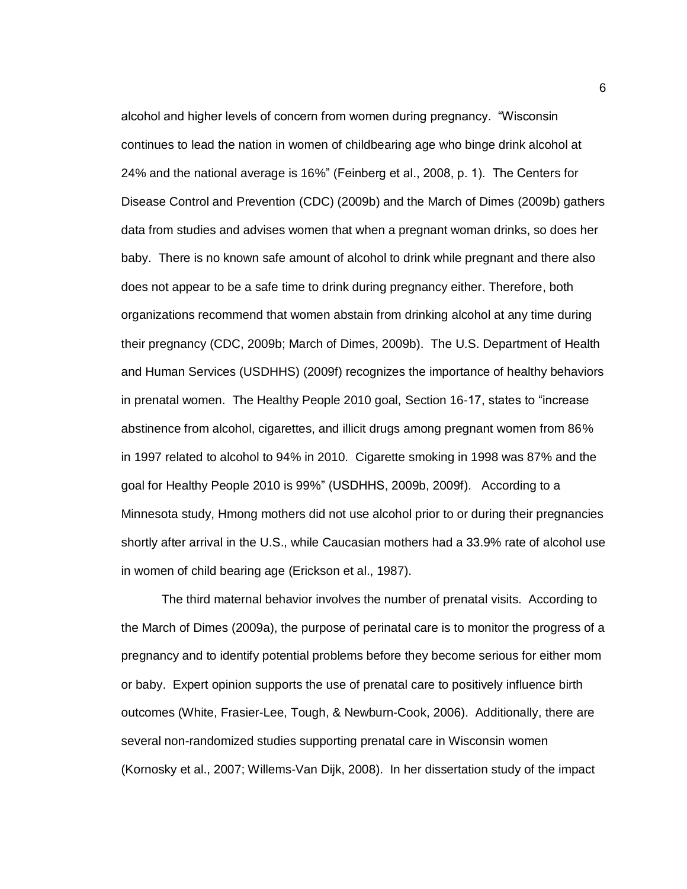alcohol and higher levels of concern from women during pregnancy. "Wisconsin continues to lead the nation in women of childbearing age who binge drink alcohol at 24% and the national average is 16%" (Feinberg et al., 2008, p. 1). The Centers for Disease Control and Prevention (CDC) (2009b) and the March of Dimes (2009b) gathers data from studies and advises women that when a pregnant woman drinks, so does her baby. There is no known safe amount of alcohol to drink while pregnant and there also does not appear to be a safe time to drink during pregnancy either. Therefore, both organizations recommend that women abstain from drinking alcohol at any time during their pregnancy (CDC, 2009b; March of Dimes, 2009b). The U.S. Department of Health and Human Services (USDHHS) (2009f) recognizes the importance of healthy behaviors in prenatal women. The Healthy People 2010 goal, Section 16-17, states to "increase abstinence from alcohol, cigarettes, and illicit drugs among pregnant women from 86% in 1997 related to alcohol to 94% in 2010. Cigarette smoking in 1998 was 87% and the goal for Healthy People 2010 is 99%" (USDHHS, 2009b, 2009f). According to a Minnesota study, Hmong mothers did not use alcohol prior to or during their pregnancies shortly after arrival in the U.S., while Caucasian mothers had a 33.9% rate of alcohol use in women of child bearing age (Erickson et al., 1987).

The third maternal behavior involves the number of prenatal visits. According to the March of Dimes (2009a), the purpose of perinatal care is to monitor the progress of a pregnancy and to identify potential problems before they become serious for either mom or baby. Expert opinion supports the use of prenatal care to positively influence birth outcomes (White, Frasier-Lee, Tough, & Newburn-Cook, 2006). Additionally, there are several non-randomized studies supporting prenatal care in Wisconsin women (Kornosky et al., 2007; Willems-Van Dijk, 2008). In her dissertation study of the impact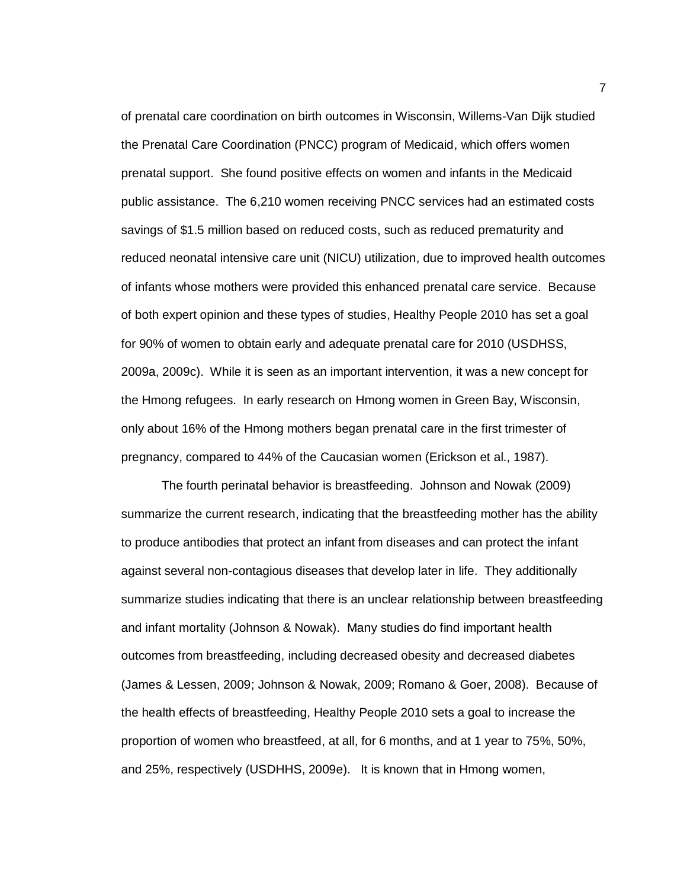of prenatal care coordination on birth outcomes in Wisconsin, Willems-Van Dijk studied the Prenatal Care Coordination (PNCC) program of Medicaid, which offers women prenatal support. She found positive effects on women and infants in the Medicaid public assistance. The 6,210 women receiving PNCC services had an estimated costs savings of \$1.5 million based on reduced costs, such as reduced prematurity and reduced neonatal intensive care unit (NICU) utilization, due to improved health outcomes of infants whose mothers were provided this enhanced prenatal care service. Because of both expert opinion and these types of studies, Healthy People 2010 has set a goal for 90% of women to obtain early and adequate prenatal care for 2010 (USDHSS, 2009a, 2009c). While it is seen as an important intervention, it was a new concept for the Hmong refugees. In early research on Hmong women in Green Bay, Wisconsin, only about 16% of the Hmong mothers began prenatal care in the first trimester of pregnancy, compared to 44% of the Caucasian women (Erickson et al., 1987).

The fourth perinatal behavior is breastfeeding. Johnson and Nowak (2009) summarize the current research, indicating that the breastfeeding mother has the ability to produce antibodies that protect an infant from diseases and can protect the infant against several non-contagious diseases that develop later in life. They additionally summarize studies indicating that there is an unclear relationship between breastfeeding and infant mortality (Johnson & Nowak). Many studies do find important health outcomes from breastfeeding, including decreased obesity and decreased diabetes (James & Lessen, 2009; Johnson & Nowak, 2009; Romano & Goer, 2008). Because of the health effects of breastfeeding, Healthy People 2010 sets a goal to increase the proportion of women who breastfeed, at all, for 6 months, and at 1 year to 75%, 50%, and 25%, respectively (USDHHS, 2009e). It is known that in Hmong women,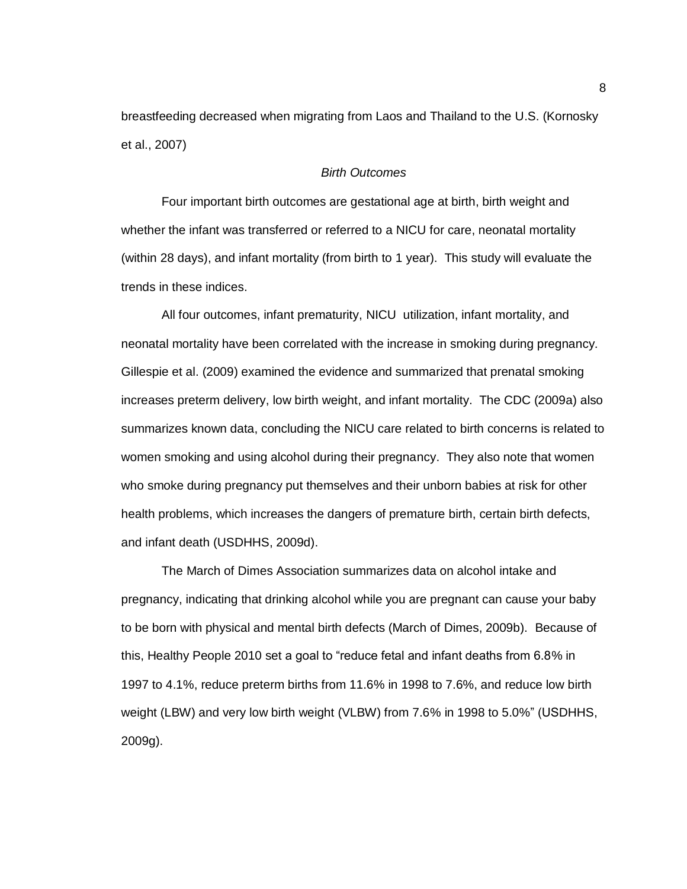breastfeeding decreased when migrating from Laos and Thailand to the U.S. (Kornosky et al., 2007)

### *Birth Outcomes*

Four important birth outcomes are gestational age at birth, birth weight and whether the infant was transferred or referred to a NICU for care, neonatal mortality (within 28 days), and infant mortality (from birth to 1 year). This study will evaluate the trends in these indices.

All four outcomes, infant prematurity, NICU utilization, infant mortality, and neonatal mortality have been correlated with the increase in smoking during pregnancy. Gillespie et al. (2009) examined the evidence and summarized that prenatal smoking increases preterm delivery, low birth weight, and infant mortality. The CDC (2009a) also summarizes known data, concluding the NICU care related to birth concerns is related to women smoking and using alcohol during their pregnancy. They also note that women who smoke during pregnancy put themselves and their unborn babies at risk for other health problems, which increases the dangers of premature birth, certain birth defects, and infant death (USDHHS, 2009d).

The March of Dimes Association summarizes data on alcohol intake and pregnancy, indicating that drinking alcohol while you are pregnant can cause your baby to be born with physical and mental birth defects (March of Dimes, 2009b). Because of this, Healthy People 2010 set a goal to "reduce fetal and infant deaths from 6.8% in 1997 to 4.1%, reduce preterm births from 11.6% in 1998 to 7.6%, and reduce low birth weight (LBW) and very low birth weight (VLBW) from 7.6% in 1998 to 5.0%" (USDHHS, 2009g).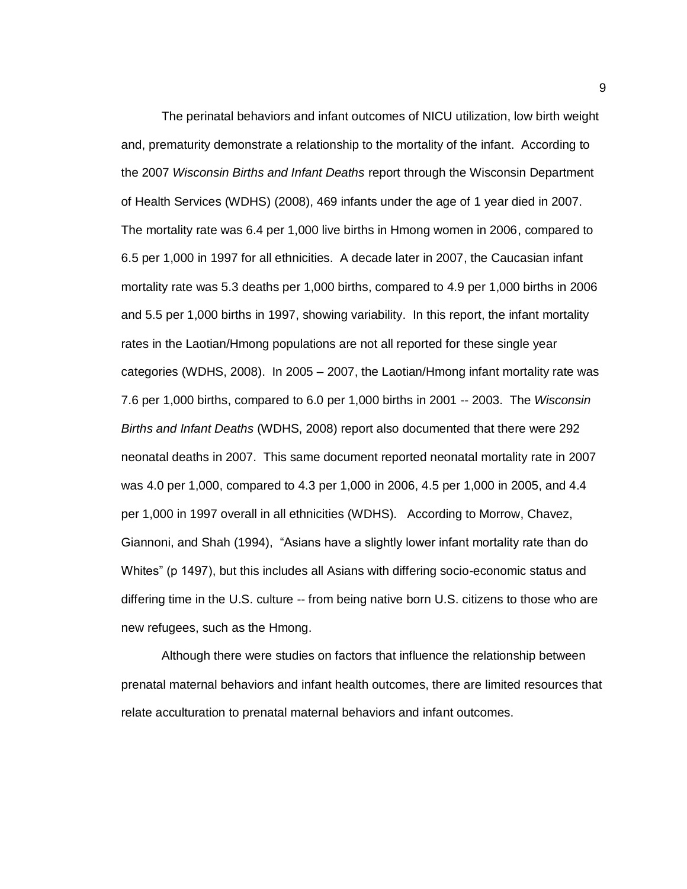The perinatal behaviors and infant outcomes of NICU utilization, low birth weight and, prematurity demonstrate a relationship to the mortality of the infant. According to the 2007 *Wisconsin Births and Infant Deaths* report through the Wisconsin Department of Health Services (WDHS) (2008), 469 infants under the age of 1 year died in 2007. The mortality rate was 6.4 per 1,000 live births in Hmong women in 2006, compared to 6.5 per 1,000 in 1997 for all ethnicities. A decade later in 2007, the Caucasian infant mortality rate was 5.3 deaths per 1,000 births, compared to 4.9 per 1,000 births in 2006 and 5.5 per 1,000 births in 1997, showing variability. In this report, the infant mortality rates in the Laotian/Hmong populations are not all reported for these single year categories (WDHS, 2008). In 2005 – 2007, the Laotian/Hmong infant mortality rate was 7.6 per 1,000 births, compared to 6.0 per 1,000 births in 2001 -- 2003. The *Wisconsin Births and Infant Deaths* (WDHS, 2008) report also documented that there were 292 neonatal deaths in 2007. This same document reported neonatal mortality rate in 2007 was 4.0 per 1,000, compared to 4.3 per 1,000 in 2006, 4.5 per 1,000 in 2005, and 4.4 per 1,000 in 1997 overall in all ethnicities (WDHS). According to Morrow, Chavez, Giannoni, and Shah (1994), "Asians have a slightly lower infant mortality rate than do Whites" (p 1497), but this includes all Asians with differing socio-economic status and differing time in the U.S. culture -- from being native born U.S. citizens to those who are new refugees, such as the Hmong.

Although there were studies on factors that influence the relationship between prenatal maternal behaviors and infant health outcomes, there are limited resources that relate acculturation to prenatal maternal behaviors and infant outcomes.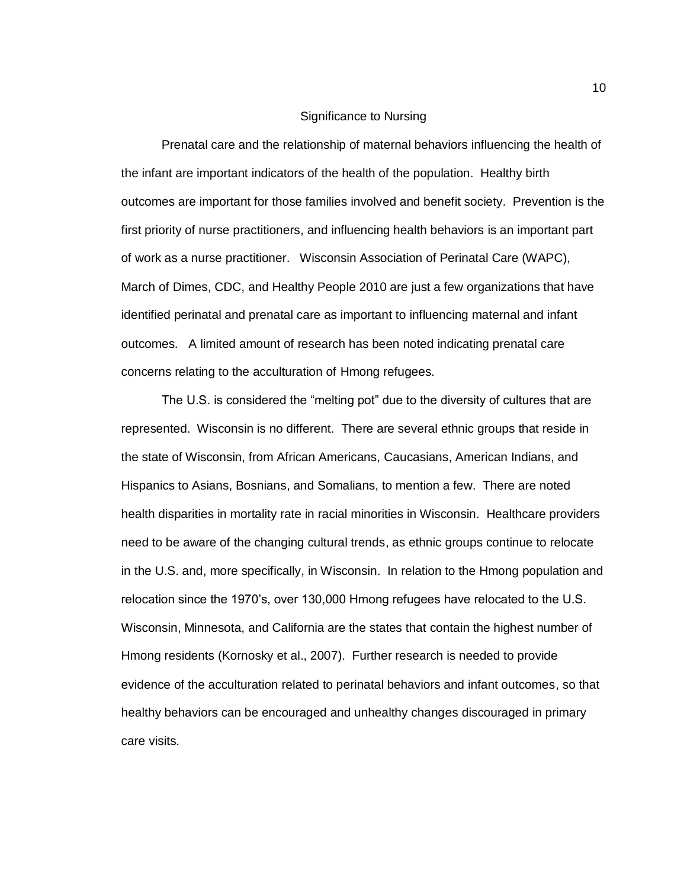#### Significance to Nursing

Prenatal care and the relationship of maternal behaviors influencing the health of the infant are important indicators of the health of the population. Healthy birth outcomes are important for those families involved and benefit society. Prevention is the first priority of nurse practitioners, and influencing health behaviors is an important part of work as a nurse practitioner. Wisconsin Association of Perinatal Care (WAPC), March of Dimes, CDC, and Healthy People 2010 are just a few organizations that have identified perinatal and prenatal care as important to influencing maternal and infant outcomes. A limited amount of research has been noted indicating prenatal care concerns relating to the acculturation of Hmong refugees.

The U.S. is considered the "melting pot" due to the diversity of cultures that are represented. Wisconsin is no different. There are several ethnic groups that reside in the state of Wisconsin, from African Americans, Caucasians, American Indians, and Hispanics to Asians, Bosnians, and Somalians, to mention a few. There are noted health disparities in mortality rate in racial minorities in Wisconsin. Healthcare providers need to be aware of the changing cultural trends, as ethnic groups continue to relocate in the U.S. and, more specifically, in Wisconsin. In relation to the Hmong population and relocation since the 1970's, over 130,000 Hmong refugees have relocated to the U.S. Wisconsin, Minnesota, and California are the states that contain the highest number of Hmong residents (Kornosky et al., 2007). Further research is needed to provide evidence of the acculturation related to perinatal behaviors and infant outcomes, so that healthy behaviors can be encouraged and unhealthy changes discouraged in primary care visits.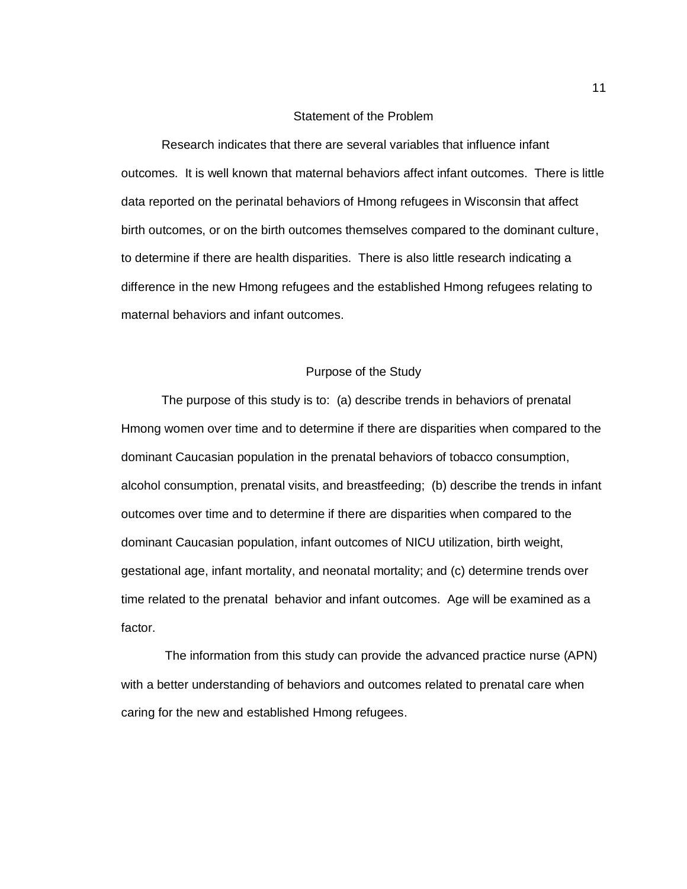#### Statement of the Problem

Research indicates that there are several variables that influence infant outcomes. It is well known that maternal behaviors affect infant outcomes. There is little data reported on the perinatal behaviors of Hmong refugees in Wisconsin that affect birth outcomes, or on the birth outcomes themselves compared to the dominant culture, to determine if there are health disparities. There is also little research indicating a difference in the new Hmong refugees and the established Hmong refugees relating to maternal behaviors and infant outcomes.

### Purpose of the Study

The purpose of this study is to: (a) describe trends in behaviors of prenatal Hmong women over time and to determine if there are disparities when compared to the dominant Caucasian population in the prenatal behaviors of tobacco consumption, alcohol consumption, prenatal visits, and breastfeeding; (b) describe the trends in infant outcomes over time and to determine if there are disparities when compared to the dominant Caucasian population, infant outcomes of NICU utilization, birth weight, gestational age, infant mortality, and neonatal mortality; and (c) determine trends over time related to the prenatal behavior and infant outcomes. Age will be examined as a factor.

The information from this study can provide the advanced practice nurse (APN) with a better understanding of behaviors and outcomes related to prenatal care when caring for the new and established Hmong refugees.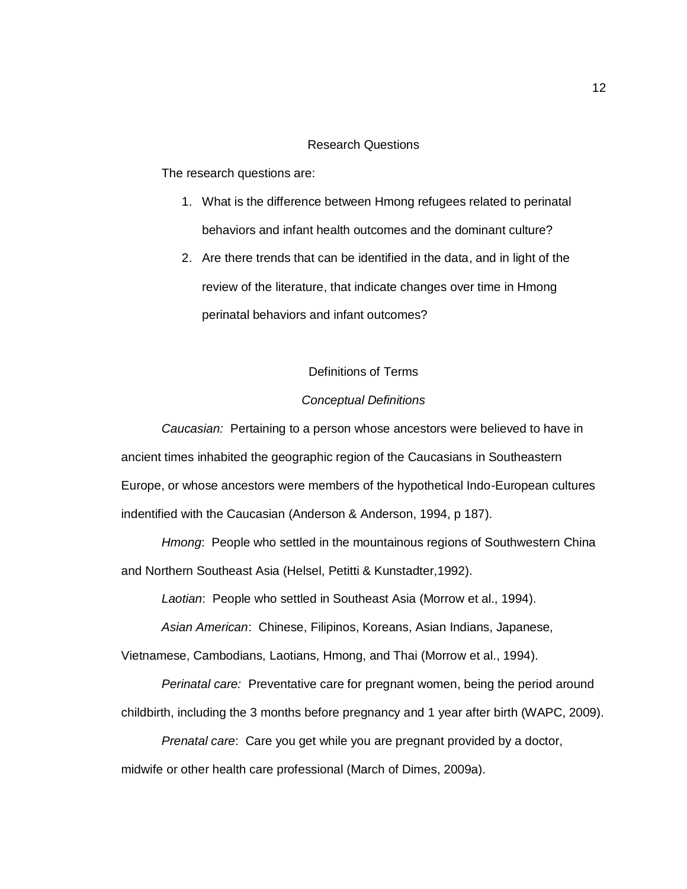### Research Questions

The research questions are:

- 1. What is the difference between Hmong refugees related to perinatal behaviors and infant health outcomes and the dominant culture?
- 2. Are there trends that can be identified in the data, and in light of the review of the literature, that indicate changes over time in Hmong perinatal behaviors and infant outcomes?

### Definitions of Terms

#### *Conceptual Definitions*

*Caucasian:* Pertaining to a person whose ancestors were believed to have in ancient times inhabited the geographic region of the Caucasians in Southeastern Europe, or whose ancestors were members of the hypothetical Indo-European cultures indentified with the Caucasian (Anderson & Anderson, 1994, p 187).

*Hmong*: People who settled in the mountainous regions of Southwestern China and Northern Southeast Asia (Helsel, Petitti & Kunstadter,1992).

*Laotian*: People who settled in Southeast Asia (Morrow et al., 1994).

*Asian American*: Chinese, Filipinos, Koreans, Asian Indians, Japanese,

Vietnamese, Cambodians, Laotians, Hmong, and Thai (Morrow et al., 1994).

*Perinatal care:* Preventative care for pregnant women, being the period around childbirth, including the 3 months before pregnancy and 1 year after birth (WAPC, 2009).

*Prenatal care*: Care you get while you are pregnant provided by a doctor, midwife or other health care professional (March of Dimes, 2009a).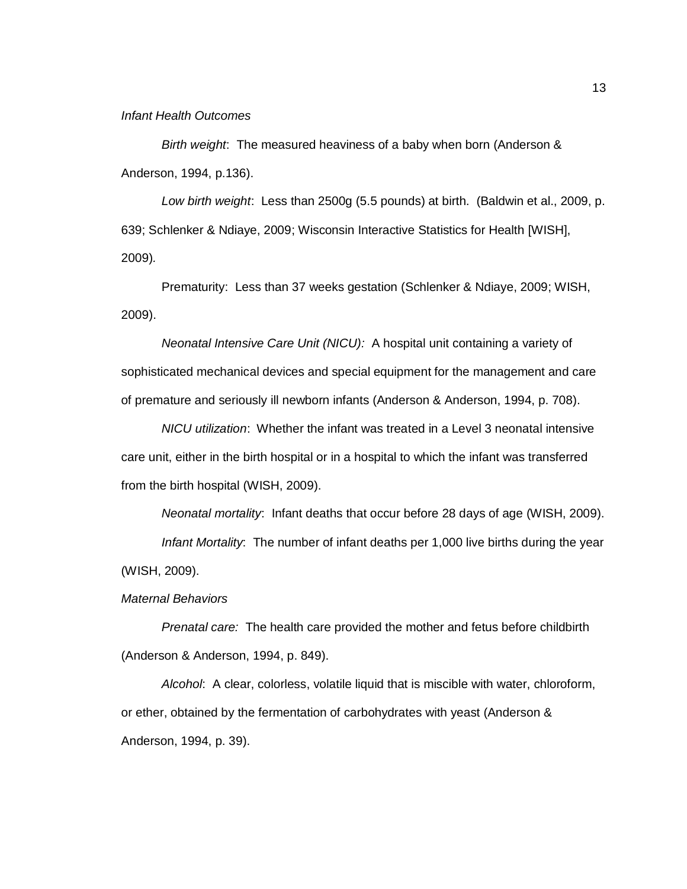#### *Infant Health Outcomes*

*Birth weight*: The measured heaviness of a baby when born (Anderson & Anderson, 1994, p.136).

*Low birth weight*: Less than 2500g (5.5 pounds) at birth. (Baldwin et al., 2009, p. 639; Schlenker & Ndiaye, 2009; Wisconsin Interactive Statistics for Health [WISH], 2009)*.*

Prematurity: Less than 37 weeks gestation (Schlenker & Ndiaye, 2009; WISH, 2009).

*Neonatal Intensive Care Unit (NICU):* A hospital unit containing a variety of sophisticated mechanical devices and special equipment for the management and care of premature and seriously ill newborn infants (Anderson & Anderson, 1994, p. 708).

*NICU utilization*: Whether the infant was treated in a Level 3 neonatal intensive care unit, either in the birth hospital or in a hospital to which the infant was transferred from the birth hospital (WISH, 2009).

*Neonatal mortality*: Infant deaths that occur before 28 days of age (WISH, 2009).

*Infant Mortality*: The number of infant deaths per 1,000 live births during the year (WISH, 2009).

*Maternal Behaviors*

*Prenatal care:* The health care provided the mother and fetus before childbirth (Anderson & Anderson, 1994, p. 849).

*Alcohol*: A clear, colorless, volatile liquid that is miscible with water, chloroform, or ether, obtained by the fermentation of carbohydrates with yeast (Anderson & Anderson, 1994, p. 39).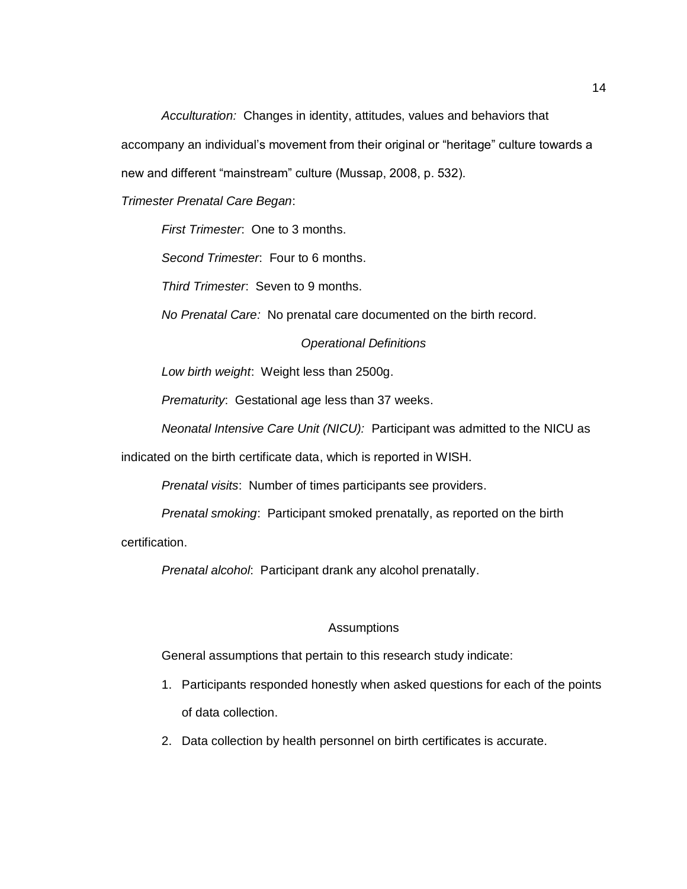*Acculturation:* Changes in identity, attitudes, values and behaviors that accompany an individual's movement from their original or "heritage" culture towards a new and different "mainstream" culture (Mussap, 2008, p. 532).

*Trimester Prenatal Care Began*:

*First Trimester*: One to 3 months.

*Second Trimester*: Four to 6 months.

*Third Trimester*: Seven to 9 months.

*No Prenatal Care:* No prenatal care documented on the birth record.

*Operational Definitions*

*Low birth weight*: Weight less than 2500g.

*Prematurity*: Gestational age less than 37 weeks.

*Neonatal Intensive Care Unit (NICU):* Participant was admitted to the NICU as

indicated on the birth certificate data, which is reported in WISH.

*Prenatal visits*: Number of times participants see providers.

*Prenatal smoking*: Participant smoked prenatally, as reported on the birth

certification.

*Prenatal alcohol*: Participant drank any alcohol prenatally.

#### Assumptions

General assumptions that pertain to this research study indicate:

- 1. Participants responded honestly when asked questions for each of the points of data collection.
- 2. Data collection by health personnel on birth certificates is accurate.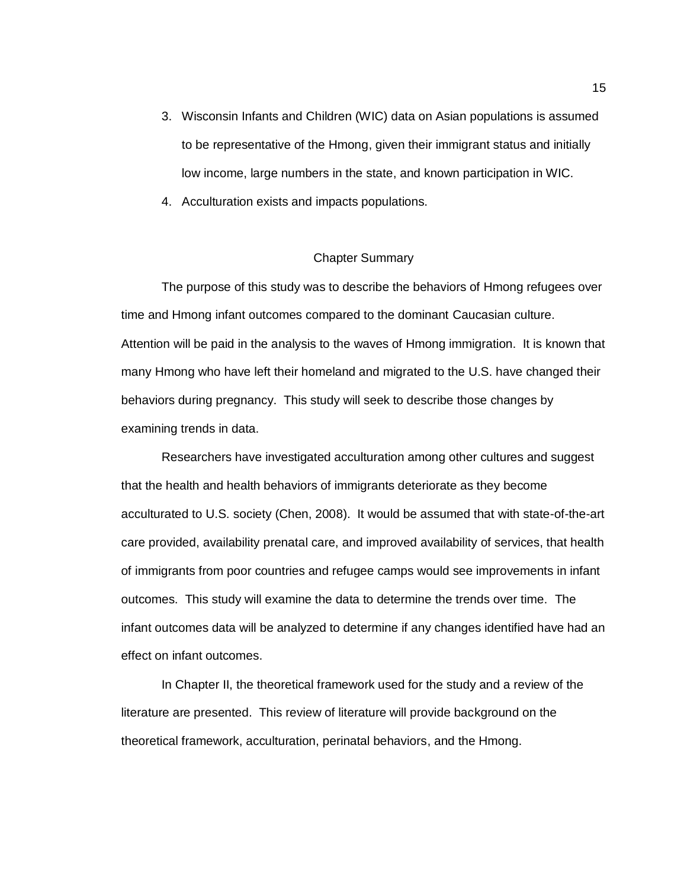- 3. Wisconsin Infants and Children (WIC) data on Asian populations is assumed to be representative of the Hmong, given their immigrant status and initially low income, large numbers in the state, and known participation in WIC.
- 4. Acculturation exists and impacts populations.

### Chapter Summary

The purpose of this study was to describe the behaviors of Hmong refugees over time and Hmong infant outcomes compared to the dominant Caucasian culture. Attention will be paid in the analysis to the waves of Hmong immigration. It is known that many Hmong who have left their homeland and migrated to the U.S. have changed their behaviors during pregnancy. This study will seek to describe those changes by examining trends in data.

Researchers have investigated acculturation among other cultures and suggest that the health and health behaviors of immigrants deteriorate as they become acculturated to U.S. society (Chen, 2008). It would be assumed that with state-of-the-art care provided, availability prenatal care, and improved availability of services, that health of immigrants from poor countries and refugee camps would see improvements in infant outcomes. This study will examine the data to determine the trends over time. The infant outcomes data will be analyzed to determine if any changes identified have had an effect on infant outcomes.

In Chapter II, the theoretical framework used for the study and a review of the literature are presented. This review of literature will provide background on the theoretical framework, acculturation, perinatal behaviors, and the Hmong.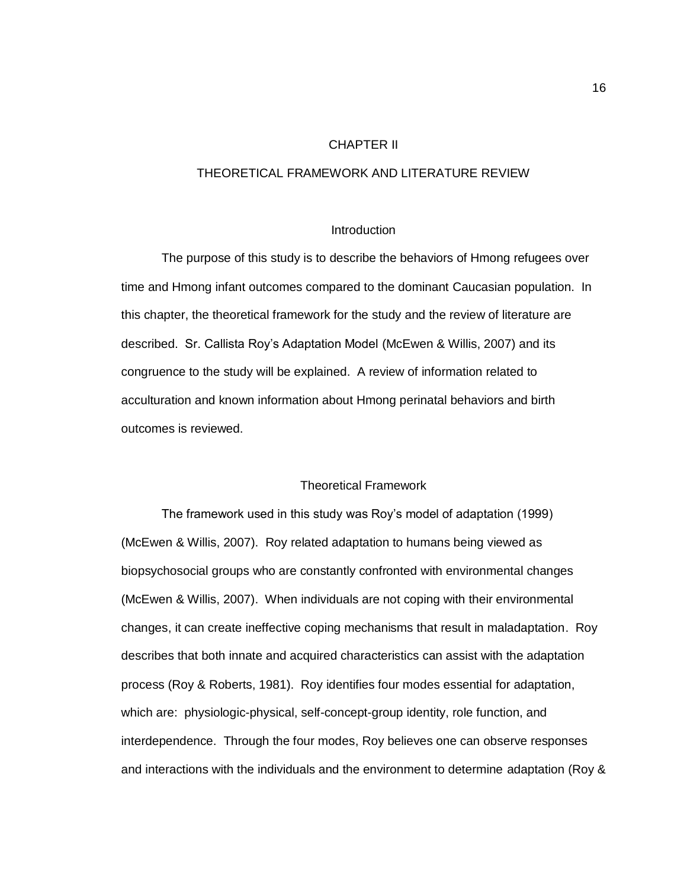### CHAPTER II

### THEORETICAL FRAMEWORK AND LITERATURE REVIEW

#### **Introduction**

The purpose of this study is to describe the behaviors of Hmong refugees over time and Hmong infant outcomes compared to the dominant Caucasian population. In this chapter, the theoretical framework for the study and the review of literature are described. Sr. Callista Roy's Adaptation Model (McEwen & Willis, 2007) and its congruence to the study will be explained. A review of information related to acculturation and known information about Hmong perinatal behaviors and birth outcomes is reviewed.

#### Theoretical Framework

The framework used in this study was Roy's model of adaptation (1999) (McEwen & Willis, 2007). Roy related adaptation to humans being viewed as biopsychosocial groups who are constantly confronted with environmental changes (McEwen & Willis, 2007). When individuals are not coping with their environmental changes, it can create ineffective coping mechanisms that result in maladaptation. Roy describes that both innate and acquired characteristics can assist with the adaptation process (Roy & Roberts, 1981). Roy identifies four modes essential for adaptation, which are: physiologic-physical, self-concept-group identity, role function, and interdependence. Through the four modes, Roy believes one can observe responses and interactions with the individuals and the environment to determine adaptation (Roy &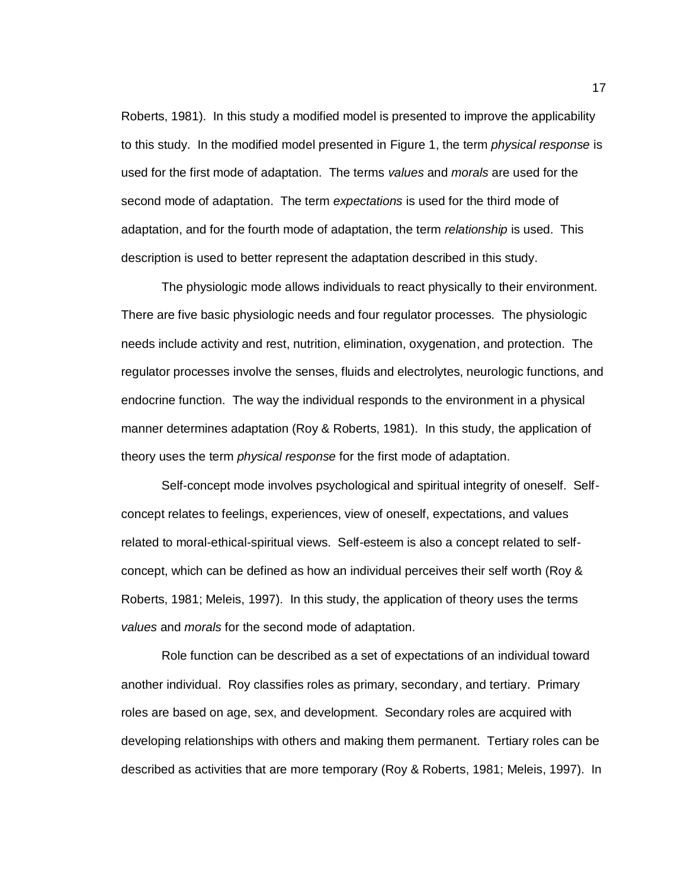Roberts, 1981). In this study a modified model is presented to improve the applicability to this study. In the modified model presented in Figure 1, the term *physical response* is used for the first mode of adaptation. The terms *values* and *morals* are used for the second mode of adaptation. The term *expectations* is used for the third mode of adaptation, and for the fourth mode of adaptation, the term *relationship* is used. This description is used to better represent the adaptation described in this study.

The physiologic mode allows individuals to react physically to their environment. There are five basic physiologic needs and four regulator processes. The physiologic needs include activity and rest, nutrition, elimination, oxygenation, and protection. The regulator processes involve the senses, fluids and electrolytes, neurologic functions, and endocrine function. The way the individual responds to the environment in a physical manner determines adaptation (Roy & Roberts, 1981). In this study, the application of theory uses the term *physical response* for the first mode of adaptation.

Self-concept mode involves psychological and spiritual integrity of oneself. Selfconcept relates to feelings, experiences, view of oneself, expectations, and values related to moral-ethical-spiritual views. Self-esteem is also a concept related to selfconcept, which can be defined as how an individual perceives their self worth (Roy & Roberts, 1981; Meleis, 1997). In this study, the application of theory uses the terms *values* and *morals* for the second mode of adaptation.

Role function can be described as a set of expectations of an individual toward another individual. Roy classifies roles as primary, secondary, and tertiary. Primary roles are based on age, sex, and development. Secondary roles are acquired with developing relationships with others and making them permanent. Tertiary roles can be described as activities that are more temporary (Roy & Roberts, 1981; Meleis, 1997). In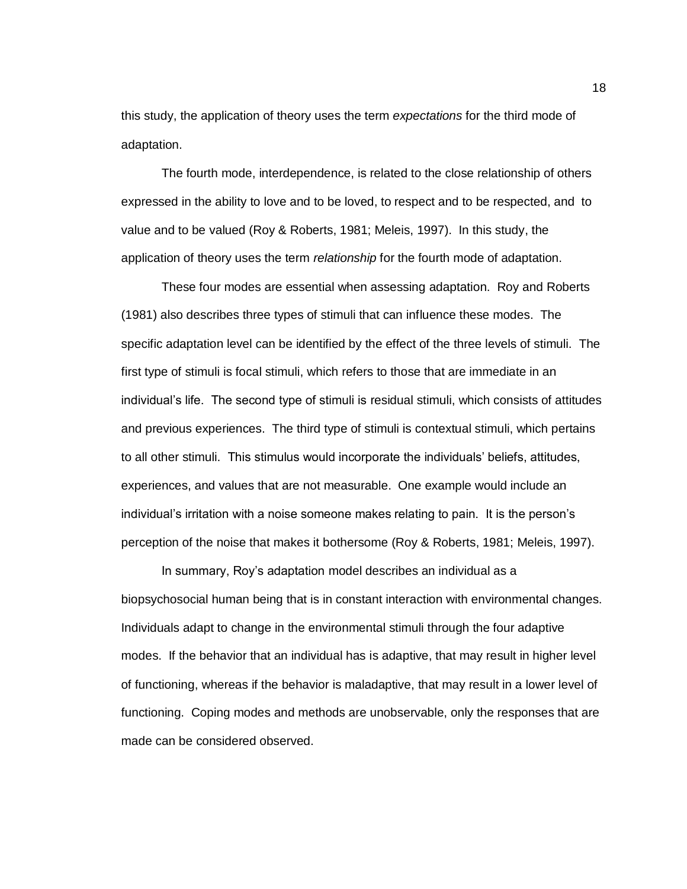this study, the application of theory uses the term *expectations* for the third mode of adaptation.

The fourth mode, interdependence, is related to the close relationship of others expressed in the ability to love and to be loved, to respect and to be respected, and to value and to be valued (Roy & Roberts, 1981; Meleis, 1997). In this study, the application of theory uses the term *relationship* for the fourth mode of adaptation.

These four modes are essential when assessing adaptation. Roy and Roberts (1981) also describes three types of stimuli that can influence these modes. The specific adaptation level can be identified by the effect of the three levels of stimuli. The first type of stimuli is focal stimuli, which refers to those that are immediate in an individual's life. The second type of stimuli is residual stimuli, which consists of attitudes and previous experiences. The third type of stimuli is contextual stimuli, which pertains to all other stimuli. This stimulus would incorporate the individuals' beliefs, attitudes, experiences, and values that are not measurable. One example would include an individual's irritation with a noise someone makes relating to pain. It is the person's perception of the noise that makes it bothersome (Roy & Roberts, 1981; Meleis, 1997).

In summary, Roy's adaptation model describes an individual as a biopsychosocial human being that is in constant interaction with environmental changes. Individuals adapt to change in the environmental stimuli through the four adaptive modes. If the behavior that an individual has is adaptive, that may result in higher level of functioning, whereas if the behavior is maladaptive, that may result in a lower level of functioning. Coping modes and methods are unobservable, only the responses that are made can be considered observed.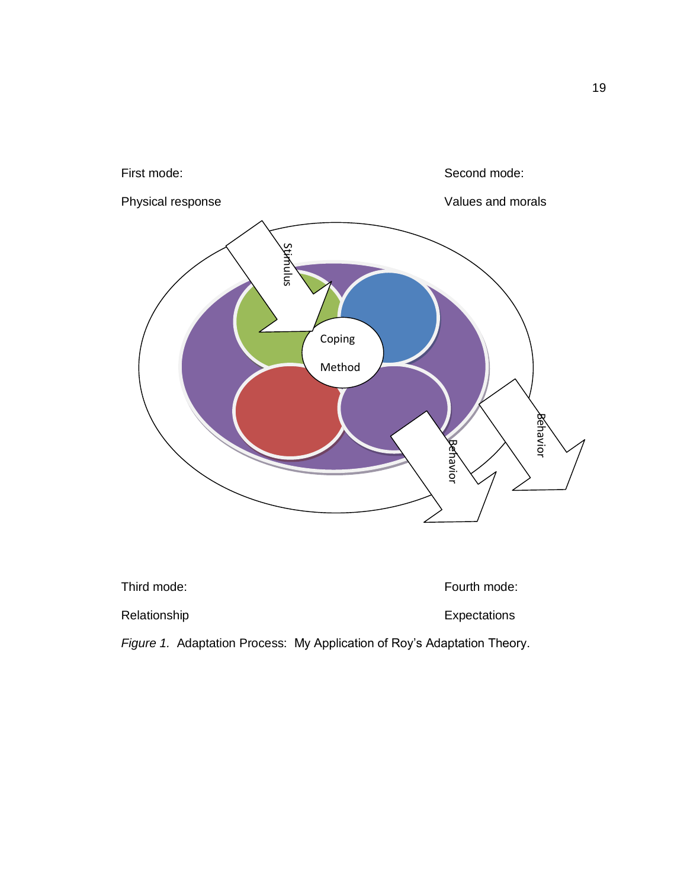

| Third mode:                                                              | Fourth mode: |
|--------------------------------------------------------------------------|--------------|
| Relationship                                                             | Expectations |
| Figure 1. Adaptation Process: My Application of Roy's Adaptation Theory. |              |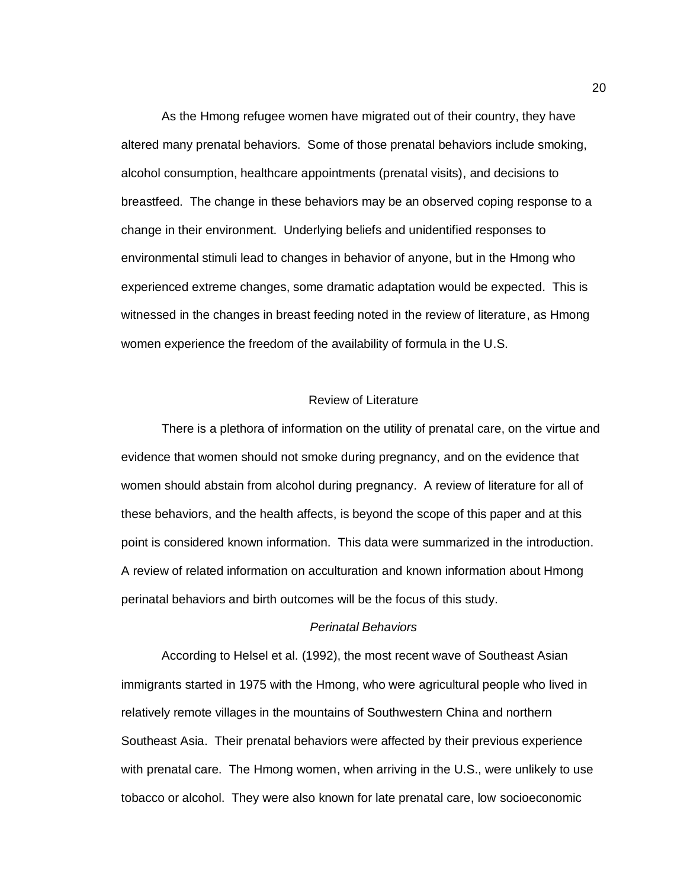As the Hmong refugee women have migrated out of their country, they have altered many prenatal behaviors. Some of those prenatal behaviors include smoking, alcohol consumption, healthcare appointments (prenatal visits), and decisions to breastfeed. The change in these behaviors may be an observed coping response to a change in their environment. Underlying beliefs and unidentified responses to environmental stimuli lead to changes in behavior of anyone, but in the Hmong who experienced extreme changes, some dramatic adaptation would be expected. This is witnessed in the changes in breast feeding noted in the review of literature, as Hmong women experience the freedom of the availability of formula in the U.S.

#### Review of Literature

There is a plethora of information on the utility of prenatal care, on the virtue and evidence that women should not smoke during pregnancy, and on the evidence that women should abstain from alcohol during pregnancy. A review of literature for all of these behaviors, and the health affects, is beyond the scope of this paper and at this point is considered known information. This data were summarized in the introduction. A review of related information on acculturation and known information about Hmong perinatal behaviors and birth outcomes will be the focus of this study.

### *Perinatal Behaviors*

According to Helsel et al. (1992), the most recent wave of Southeast Asian immigrants started in 1975 with the Hmong, who were agricultural people who lived in relatively remote villages in the mountains of Southwestern China and northern Southeast Asia. Their prenatal behaviors were affected by their previous experience with prenatal care. The Hmong women, when arriving in the U.S., were unlikely to use tobacco or alcohol. They were also known for late prenatal care, low socioeconomic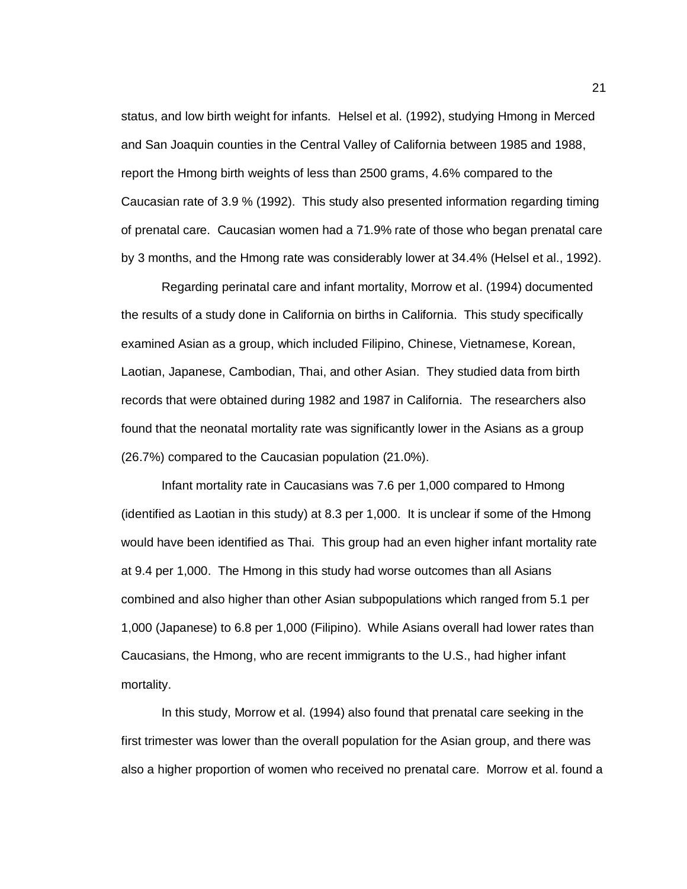status, and low birth weight for infants. Helsel et al. (1992), studying Hmong in Merced and San Joaquin counties in the Central Valley of California between 1985 and 1988, report the Hmong birth weights of less than 2500 grams, 4.6% compared to the Caucasian rate of 3.9 % (1992). This study also presented information regarding timing of prenatal care. Caucasian women had a 71.9% rate of those who began prenatal care by 3 months, and the Hmong rate was considerably lower at 34.4% (Helsel et al., 1992).

Regarding perinatal care and infant mortality, Morrow et al. (1994) documented the results of a study done in California on births in California. This study specifically examined Asian as a group, which included Filipino, Chinese, Vietnamese, Korean, Laotian, Japanese, Cambodian, Thai, and other Asian. They studied data from birth records that were obtained during 1982 and 1987 in California. The researchers also found that the neonatal mortality rate was significantly lower in the Asians as a group (26.7%) compared to the Caucasian population (21.0%).

Infant mortality rate in Caucasians was 7.6 per 1,000 compared to Hmong (identified as Laotian in this study) at 8.3 per 1,000. It is unclear if some of the Hmong would have been identified as Thai. This group had an even higher infant mortality rate at 9.4 per 1,000. The Hmong in this study had worse outcomes than all Asians combined and also higher than other Asian subpopulations which ranged from 5.1 per 1,000 (Japanese) to 6.8 per 1,000 (Filipino). While Asians overall had lower rates than Caucasians, the Hmong, who are recent immigrants to the U.S., had higher infant mortality.

In this study, Morrow et al. (1994) also found that prenatal care seeking in the first trimester was lower than the overall population for the Asian group, and there was also a higher proportion of women who received no prenatal care. Morrow et al. found a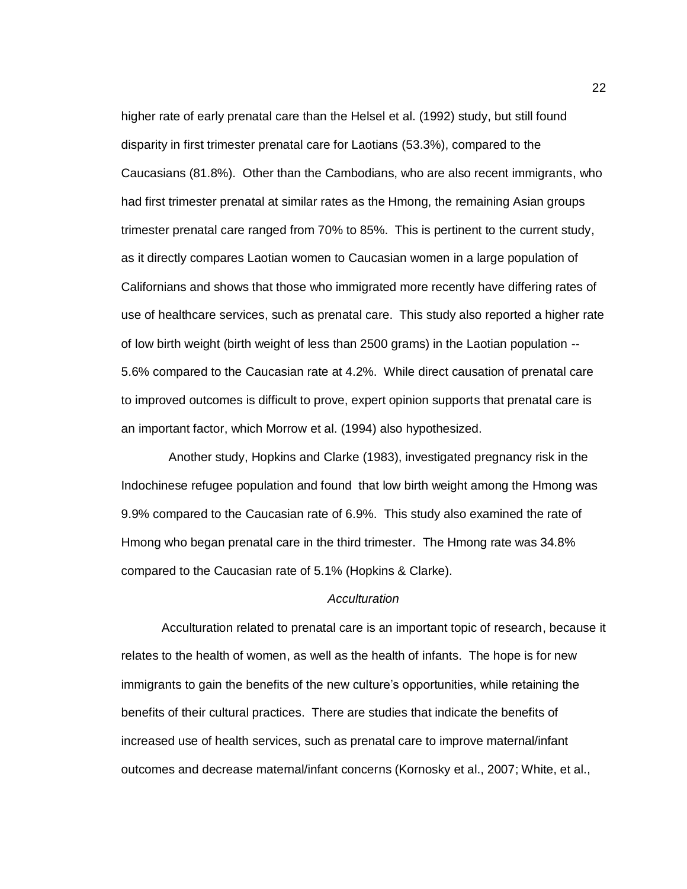higher rate of early prenatal care than the Helsel et al. (1992) study, but still found disparity in first trimester prenatal care for Laotians (53.3%), compared to the Caucasians (81.8%). Other than the Cambodians, who are also recent immigrants, who had first trimester prenatal at similar rates as the Hmong, the remaining Asian groups trimester prenatal care ranged from 70% to 85%. This is pertinent to the current study, as it directly compares Laotian women to Caucasian women in a large population of Californians and shows that those who immigrated more recently have differing rates of use of healthcare services, such as prenatal care. This study also reported a higher rate of low birth weight (birth weight of less than 2500 grams) in the Laotian population -- 5.6% compared to the Caucasian rate at 4.2%. While direct causation of prenatal care to improved outcomes is difficult to prove, expert opinion supports that prenatal care is an important factor, which Morrow et al. (1994) also hypothesized.

 Another study, Hopkins and Clarke (1983), investigated pregnancy risk in the Indochinese refugee population and found that low birth weight among the Hmong was 9.9% compared to the Caucasian rate of 6.9%. This study also examined the rate of Hmong who began prenatal care in the third trimester. The Hmong rate was 34.8% compared to the Caucasian rate of 5.1% (Hopkins & Clarke).

### *Acculturation*

Acculturation related to prenatal care is an important topic of research, because it relates to the health of women, as well as the health of infants. The hope is for new immigrants to gain the benefits of the new culture's opportunities, while retaining the benefits of their cultural practices. There are studies that indicate the benefits of increased use of health services, such as prenatal care to improve maternal/infant outcomes and decrease maternal/infant concerns (Kornosky et al., 2007; White, et al.,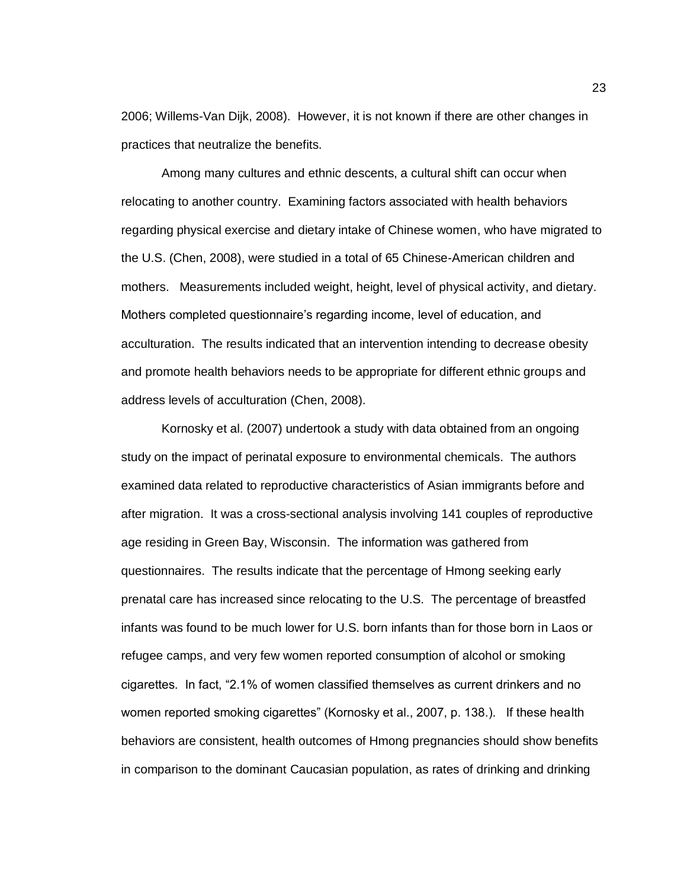2006; Willems-Van Dijk, 2008). However, it is not known if there are other changes in practices that neutralize the benefits.

Among many cultures and ethnic descents, a cultural shift can occur when relocating to another country. Examining factors associated with health behaviors regarding physical exercise and dietary intake of Chinese women, who have migrated to the U.S. (Chen, 2008), were studied in a total of 65 Chinese-American children and mothers. Measurements included weight, height, level of physical activity, and dietary. Mothers completed questionnaire's regarding income, level of education, and acculturation. The results indicated that an intervention intending to decrease obesity and promote health behaviors needs to be appropriate for different ethnic groups and address levels of acculturation (Chen, 2008).

Kornosky et al. (2007) undertook a study with data obtained from an ongoing study on the impact of perinatal exposure to environmental chemicals. The authors examined data related to reproductive characteristics of Asian immigrants before and after migration. It was a cross-sectional analysis involving 141 couples of reproductive age residing in Green Bay, Wisconsin. The information was gathered from questionnaires. The results indicate that the percentage of Hmong seeking early prenatal care has increased since relocating to the U.S. The percentage of breastfed infants was found to be much lower for U.S. born infants than for those born in Laos or refugee camps, and very few women reported consumption of alcohol or smoking cigarettes. In fact, "2.1% of women classified themselves as current drinkers and no women reported smoking cigarettes" (Kornosky et al., 2007, p. 138.). If these health behaviors are consistent, health outcomes of Hmong pregnancies should show benefits in comparison to the dominant Caucasian population, as rates of drinking and drinking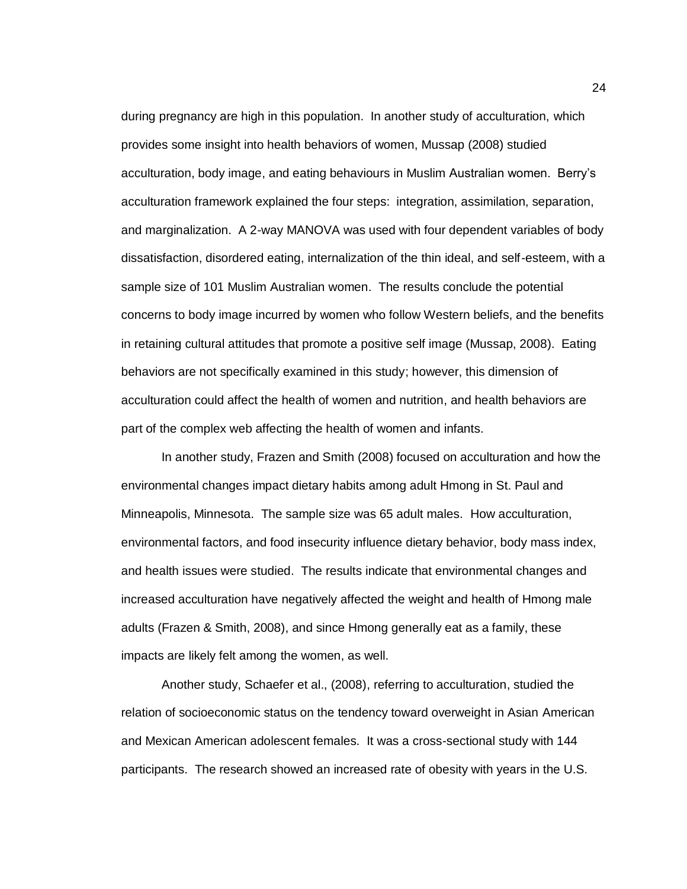during pregnancy are high in this population. In another study of acculturation, which provides some insight into health behaviors of women, Mussap (2008) studied acculturation, body image, and eating behaviours in Muslim Australian women. Berry's acculturation framework explained the four steps: integration, assimilation, separation, and marginalization. A 2-way MANOVA was used with four dependent variables of body dissatisfaction, disordered eating, internalization of the thin ideal, and self-esteem, with a sample size of 101 Muslim Australian women. The results conclude the potential concerns to body image incurred by women who follow Western beliefs, and the benefits in retaining cultural attitudes that promote a positive self image (Mussap, 2008). Eating behaviors are not specifically examined in this study; however, this dimension of acculturation could affect the health of women and nutrition, and health behaviors are part of the complex web affecting the health of women and infants.

In another study, Frazen and Smith (2008) focused on acculturation and how the environmental changes impact dietary habits among adult Hmong in St. Paul and Minneapolis, Minnesota. The sample size was 65 adult males. How acculturation, environmental factors, and food insecurity influence dietary behavior, body mass index, and health issues were studied. The results indicate that environmental changes and increased acculturation have negatively affected the weight and health of Hmong male adults (Frazen & Smith, 2008), and since Hmong generally eat as a family, these impacts are likely felt among the women, as well.

Another study, Schaefer et al., (2008), referring to acculturation, studied the relation of socioeconomic status on the tendency toward overweight in Asian American and Mexican American adolescent females. It was a cross-sectional study with 144 participants. The research showed an increased rate of obesity with years in the U.S.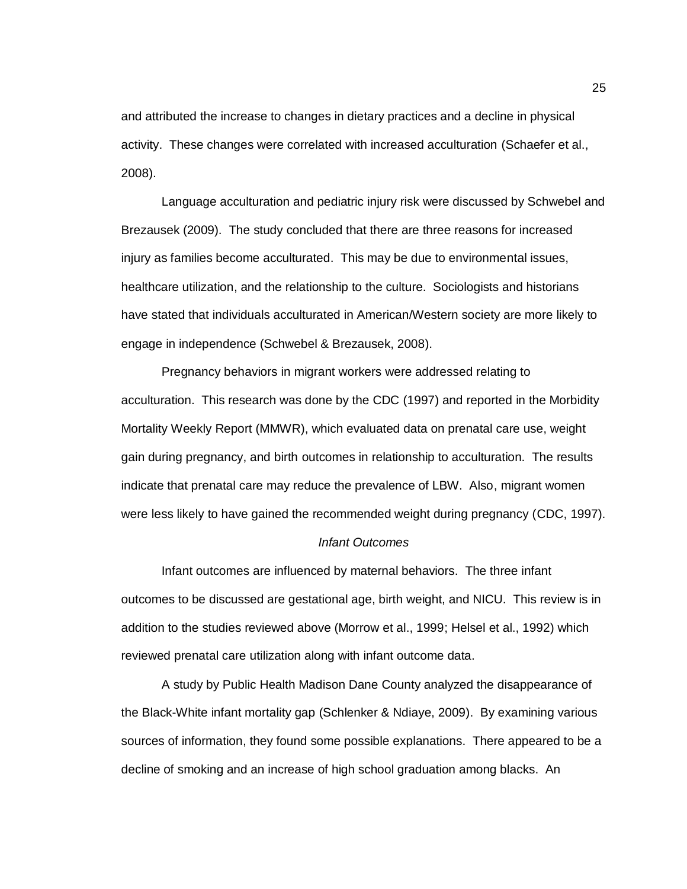and attributed the increase to changes in dietary practices and a decline in physical activity. These changes were correlated with increased acculturation (Schaefer et al., 2008).

Language acculturation and pediatric injury risk were discussed by Schwebel and Brezausek (2009). The study concluded that there are three reasons for increased injury as families become acculturated. This may be due to environmental issues, healthcare utilization, and the relationship to the culture. Sociologists and historians have stated that individuals acculturated in American/Western society are more likely to engage in independence (Schwebel & Brezausek, 2008).

Pregnancy behaviors in migrant workers were addressed relating to acculturation. This research was done by the CDC (1997) and reported in the Morbidity Mortality Weekly Report (MMWR), which evaluated data on prenatal care use, weight gain during pregnancy, and birth outcomes in relationship to acculturation. The results indicate that prenatal care may reduce the prevalence of LBW. Also, migrant women were less likely to have gained the recommended weight during pregnancy (CDC, 1997).

#### *Infant Outcomes*

Infant outcomes are influenced by maternal behaviors. The three infant outcomes to be discussed are gestational age, birth weight, and NICU. This review is in addition to the studies reviewed above (Morrow et al., 1999; Helsel et al., 1992) which reviewed prenatal care utilization along with infant outcome data.

A study by Public Health Madison Dane County analyzed the disappearance of the Black-White infant mortality gap (Schlenker & Ndiaye, 2009). By examining various sources of information, they found some possible explanations. There appeared to be a decline of smoking and an increase of high school graduation among blacks. An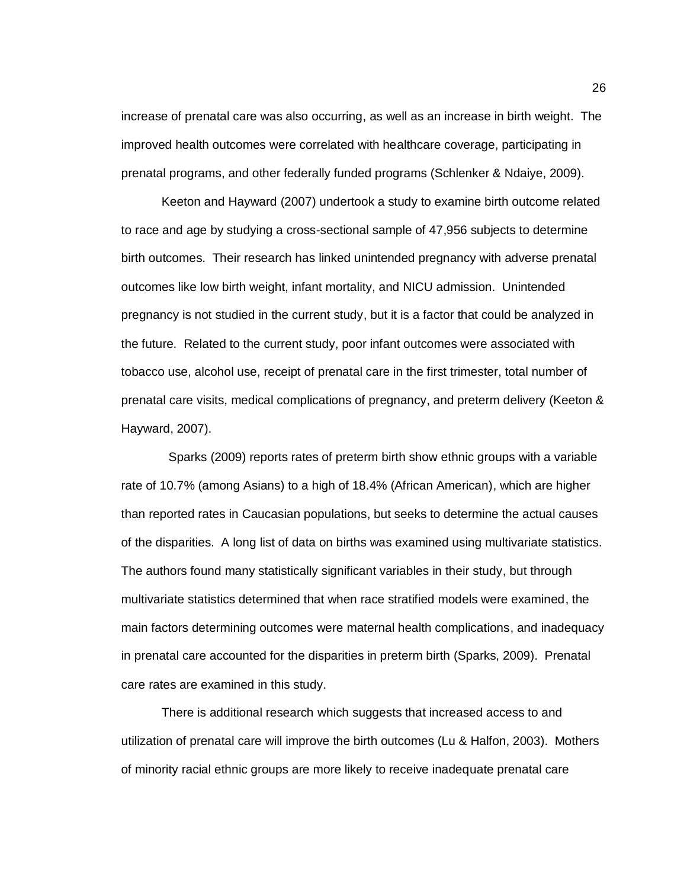increase of prenatal care was also occurring, as well as an increase in birth weight. The improved health outcomes were correlated with healthcare coverage, participating in prenatal programs, and other federally funded programs (Schlenker & Ndaiye, 2009).

Keeton and Hayward (2007) undertook a study to examine birth outcome related to race and age by studying a cross-sectional sample of 47,956 subjects to determine birth outcomes. Their research has linked unintended pregnancy with adverse prenatal outcomes like low birth weight, infant mortality, and NICU admission. Unintended pregnancy is not studied in the current study, but it is a factor that could be analyzed in the future. Related to the current study, poor infant outcomes were associated with tobacco use, alcohol use, receipt of prenatal care in the first trimester, total number of prenatal care visits, medical complications of pregnancy, and preterm delivery (Keeton & Hayward, 2007).

 Sparks (2009) reports rates of preterm birth show ethnic groups with a variable rate of 10.7% (among Asians) to a high of 18.4% (African American), which are higher than reported rates in Caucasian populations, but seeks to determine the actual causes of the disparities. A long list of data on births was examined using multivariate statistics. The authors found many statistically significant variables in their study, but through multivariate statistics determined that when race stratified models were examined, the main factors determining outcomes were maternal health complications, and inadequacy in prenatal care accounted for the disparities in preterm birth (Sparks, 2009). Prenatal care rates are examined in this study.

There is additional research which suggests that increased access to and utilization of prenatal care will improve the birth outcomes (Lu & Halfon, 2003). Mothers of minority racial ethnic groups are more likely to receive inadequate prenatal care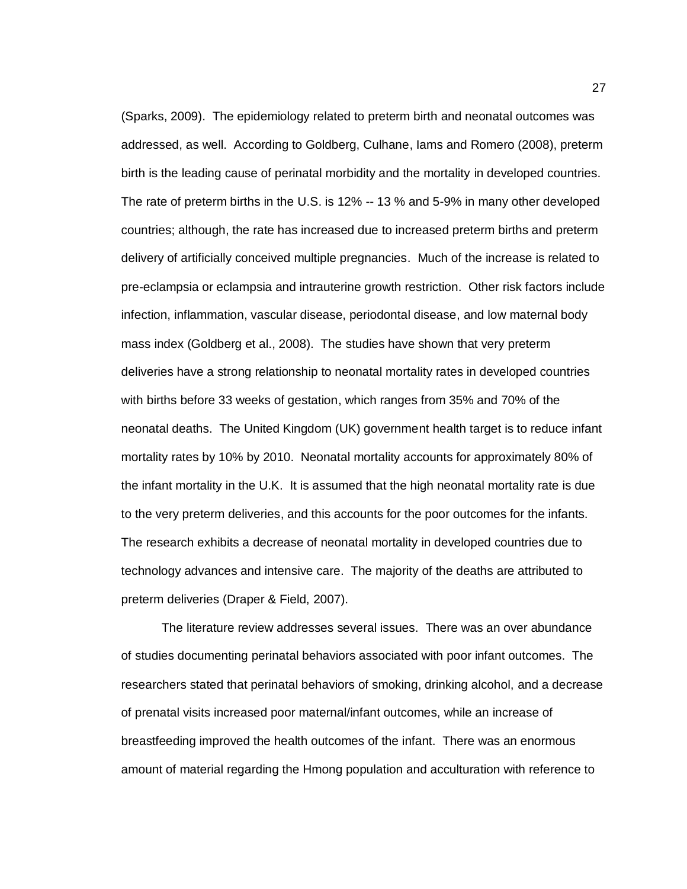(Sparks, 2009). The epidemiology related to preterm birth and neonatal outcomes was addressed, as well. According to Goldberg, Culhane, Iams and Romero (2008), preterm birth is the leading cause of perinatal morbidity and the mortality in developed countries. The rate of preterm births in the U.S. is 12% -- 13 % and 5-9% in many other developed countries; although, the rate has increased due to increased preterm births and preterm delivery of artificially conceived multiple pregnancies. Much of the increase is related to pre-eclampsia or eclampsia and intrauterine growth restriction. Other risk factors include infection, inflammation, vascular disease, periodontal disease, and low maternal body mass index (Goldberg et al., 2008). The studies have shown that very preterm deliveries have a strong relationship to neonatal mortality rates in developed countries with births before 33 weeks of gestation, which ranges from 35% and 70% of the neonatal deaths. The United Kingdom (UK) government health target is to reduce infant mortality rates by 10% by 2010. Neonatal mortality accounts for approximately 80% of the infant mortality in the U.K. It is assumed that the high neonatal mortality rate is due to the very preterm deliveries, and this accounts for the poor outcomes for the infants. The research exhibits a decrease of neonatal mortality in developed countries due to technology advances and intensive care. The majority of the deaths are attributed to preterm deliveries (Draper & Field, 2007).

The literature review addresses several issues. There was an over abundance of studies documenting perinatal behaviors associated with poor infant outcomes. The researchers stated that perinatal behaviors of smoking, drinking alcohol, and a decrease of prenatal visits increased poor maternal/infant outcomes, while an increase of breastfeeding improved the health outcomes of the infant. There was an enormous amount of material regarding the Hmong population and acculturation with reference to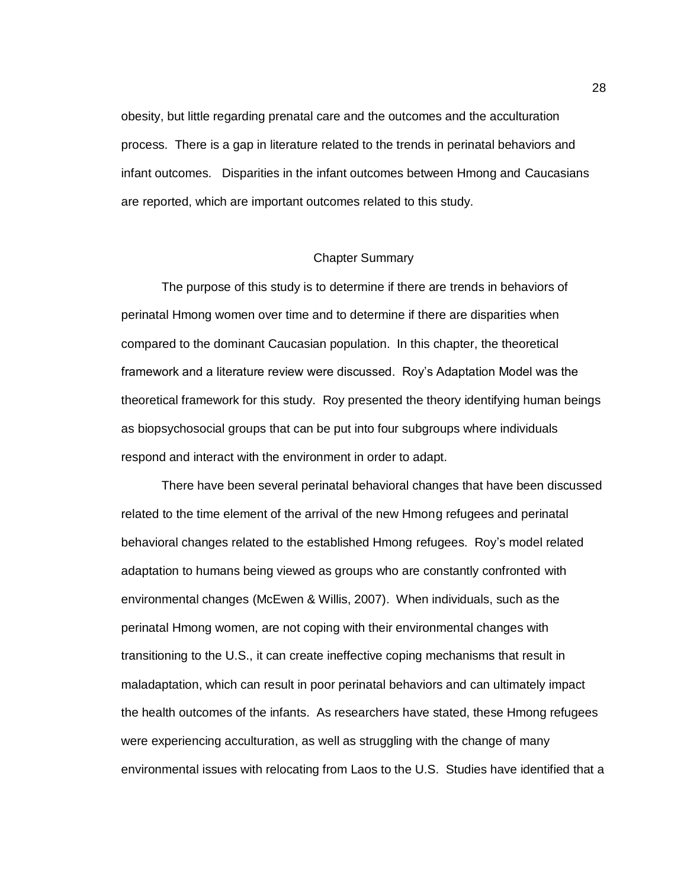obesity, but little regarding prenatal care and the outcomes and the acculturation process. There is a gap in literature related to the trends in perinatal behaviors and infant outcomes. Disparities in the infant outcomes between Hmong and Caucasians are reported, which are important outcomes related to this study.

### Chapter Summary

The purpose of this study is to determine if there are trends in behaviors of perinatal Hmong women over time and to determine if there are disparities when compared to the dominant Caucasian population. In this chapter, the theoretical framework and a literature review were discussed. Roy's Adaptation Model was the theoretical framework for this study. Roy presented the theory identifying human beings as biopsychosocial groups that can be put into four subgroups where individuals respond and interact with the environment in order to adapt.

There have been several perinatal behavioral changes that have been discussed related to the time element of the arrival of the new Hmong refugees and perinatal behavioral changes related to the established Hmong refugees. Roy's model related adaptation to humans being viewed as groups who are constantly confronted with environmental changes (McEwen & Willis, 2007). When individuals, such as the perinatal Hmong women, are not coping with their environmental changes with transitioning to the U.S., it can create ineffective coping mechanisms that result in maladaptation, which can result in poor perinatal behaviors and can ultimately impact the health outcomes of the infants. As researchers have stated, these Hmong refugees were experiencing acculturation, as well as struggling with the change of many environmental issues with relocating from Laos to the U.S. Studies have identified that a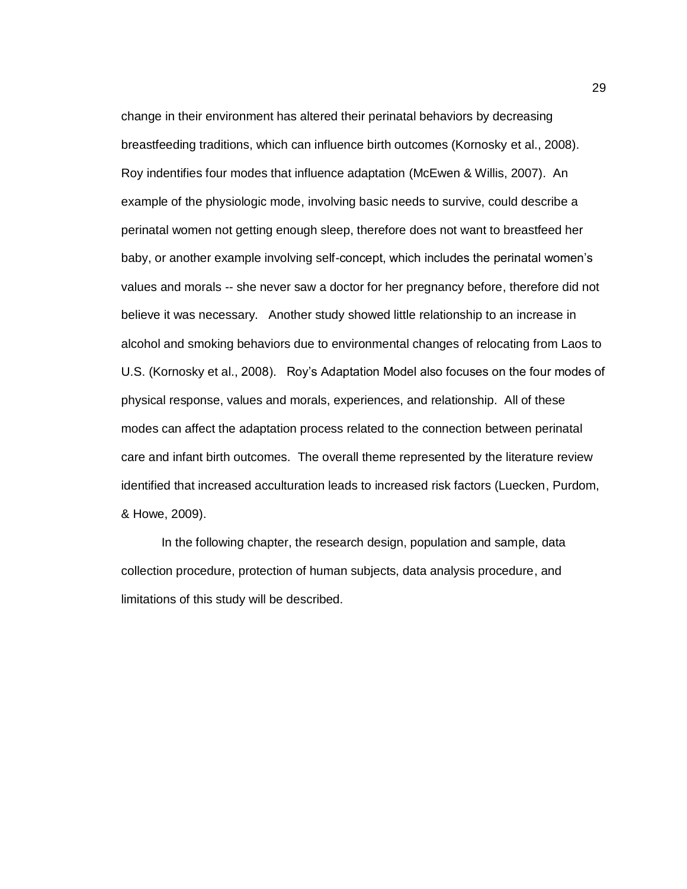change in their environment has altered their perinatal behaviors by decreasing breastfeeding traditions, which can influence birth outcomes (Kornosky et al., 2008). Roy indentifies four modes that influence adaptation (McEwen & Willis, 2007). An example of the physiologic mode, involving basic needs to survive, could describe a perinatal women not getting enough sleep, therefore does not want to breastfeed her baby, or another example involving self-concept, which includes the perinatal women's values and morals -- she never saw a doctor for her pregnancy before, therefore did not believe it was necessary. Another study showed little relationship to an increase in alcohol and smoking behaviors due to environmental changes of relocating from Laos to U.S. (Kornosky et al., 2008). Roy's Adaptation Model also focuses on the four modes of physical response, values and morals, experiences, and relationship. All of these modes can affect the adaptation process related to the connection between perinatal care and infant birth outcomes. The overall theme represented by the literature review identified that increased acculturation leads to increased risk factors (Luecken, Purdom, & Howe, 2009).

In the following chapter, the research design, population and sample, data collection procedure, protection of human subjects, data analysis procedure, and limitations of this study will be described.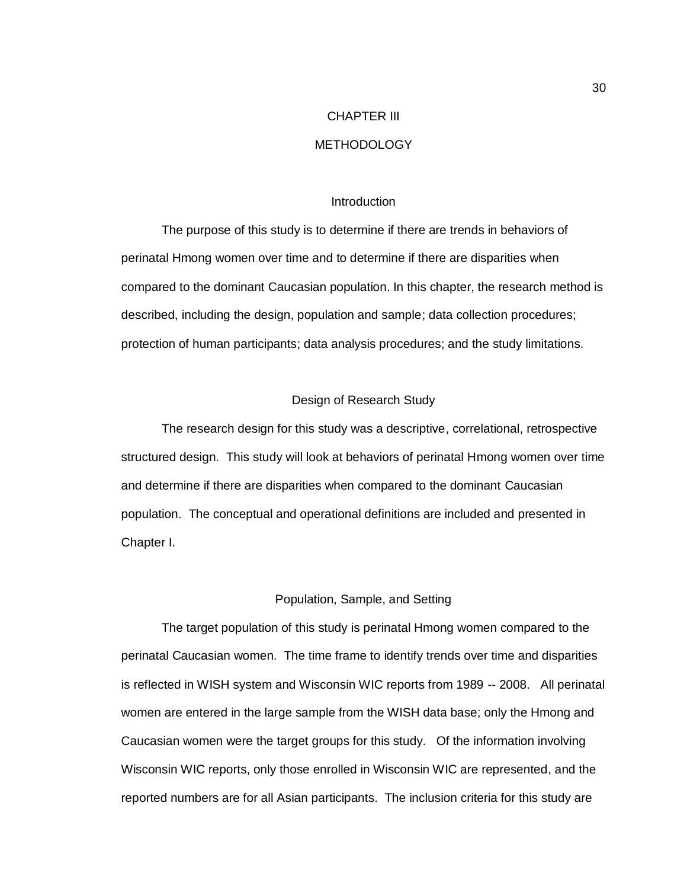# CHAPTER III

### METHODOLOGY

#### Introduction

The purpose of this study is to determine if there are trends in behaviors of perinatal Hmong women over time and to determine if there are disparities when compared to the dominant Caucasian population. In this chapter, the research method is described, including the design, population and sample; data collection procedures; protection of human participants; data analysis procedures; and the study limitations.

### Design of Research Study

The research design for this study was a descriptive, correlational, retrospective structured design. This study will look at behaviors of perinatal Hmong women over time and determine if there are disparities when compared to the dominant Caucasian population. The conceptual and operational definitions are included and presented in Chapter I.

### Population, Sample, and Setting

The target population of this study is perinatal Hmong women compared to the perinatal Caucasian women. The time frame to identify trends over time and disparities is reflected in WISH system and Wisconsin WIC reports from 1989 -- 2008. All perinatal women are entered in the large sample from the WISH data base; only the Hmong and Caucasian women were the target groups for this study. Of the information involving Wisconsin WIC reports, only those enrolled in Wisconsin WIC are represented, and the reported numbers are for all Asian participants. The inclusion criteria for this study are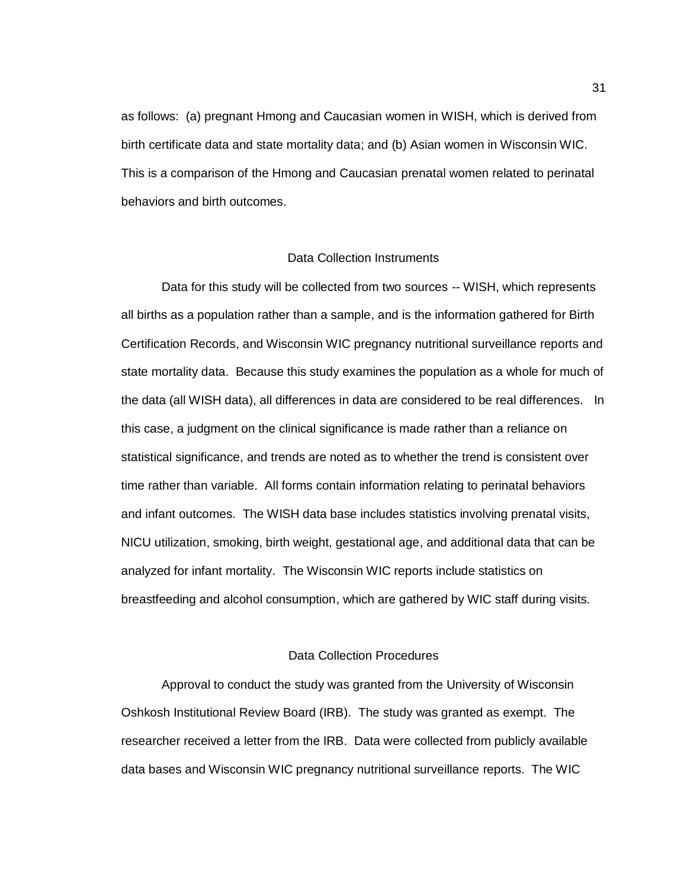as follows: (a) pregnant Hmong and Caucasian women in WISH, which is derived from birth certificate data and state mortality data; and (b) Asian women in Wisconsin WIC. This is a comparison of the Hmong and Caucasian prenatal women related to perinatal behaviors and birth outcomes.

### Data Collection Instruments

Data for this study will be collected from two sources -- WISH, which represents all births as a population rather than a sample, and is the information gathered for Birth Certification Records, and Wisconsin WIC pregnancy nutritional surveillance reports and state mortality data. Because this study examines the population as a whole for much of the data (all WISH data), all differences in data are considered to be real differences. In this case, a judgment on the clinical significance is made rather than a reliance on statistical significance, and trends are noted as to whether the trend is consistent over time rather than variable. All forms contain information relating to perinatal behaviors and infant outcomes. The WISH data base includes statistics involving prenatal visits, NICU utilization, smoking, birth weight, gestational age, and additional data that can be analyzed for infant mortality. The Wisconsin WIC reports include statistics on breastfeeding and alcohol consumption, which are gathered by WIC staff during visits.

### Data Collection Procedures

Approval to conduct the study was granted from the University of Wisconsin Oshkosh Institutional Review Board (IRB). The study was granted as exempt. The researcher received a letter from the IRB. Data were collected from publicly available data bases and Wisconsin WIC pregnancy nutritional surveillance reports. The WIC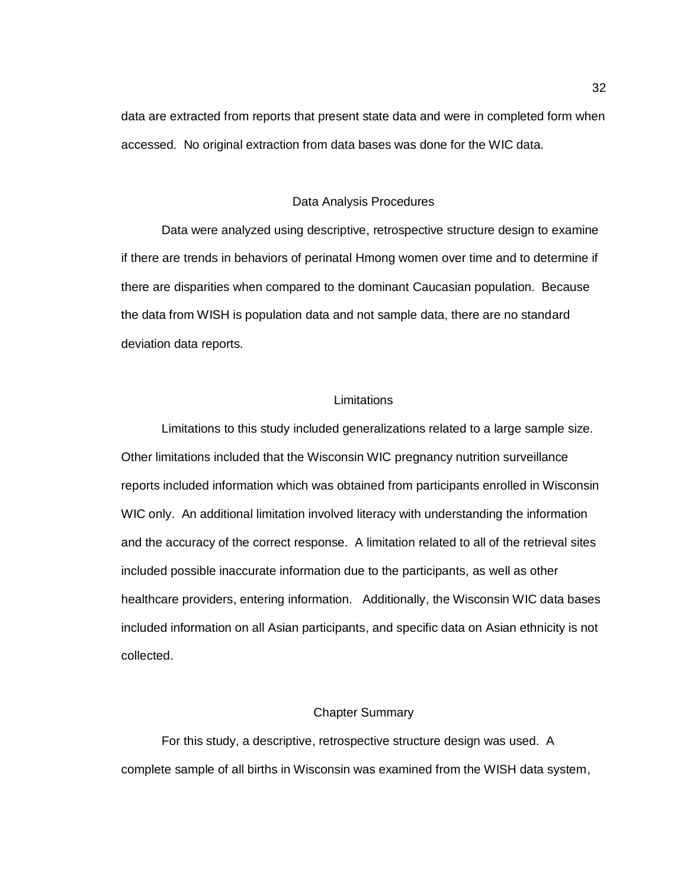data are extracted from reports that present state data and were in completed form when accessed. No original extraction from data bases was done for the WIC data.

#### Data Analysis Procedures

Data were analyzed using descriptive, retrospective structure design to examine if there are trends in behaviors of perinatal Hmong women over time and to determine if there are disparities when compared to the dominant Caucasian population. Because the data from WISH is population data and not sample data, there are no standard deviation data reports.

#### **Limitations**

Limitations to this study included generalizations related to a large sample size. Other limitations included that the Wisconsin WIC pregnancy nutrition surveillance reports included information which was obtained from participants enrolled in Wisconsin WIC only. An additional limitation involved literacy with understanding the information and the accuracy of the correct response. A limitation related to all of the retrieval sites included possible inaccurate information due to the participants, as well as other healthcare providers, entering information. Additionally, the Wisconsin WIC data bases included information on all Asian participants, and specific data on Asian ethnicity is not collected.

### Chapter Summary

For this study, a descriptive, retrospective structure design was used. A complete sample of all births in Wisconsin was examined from the WISH data system,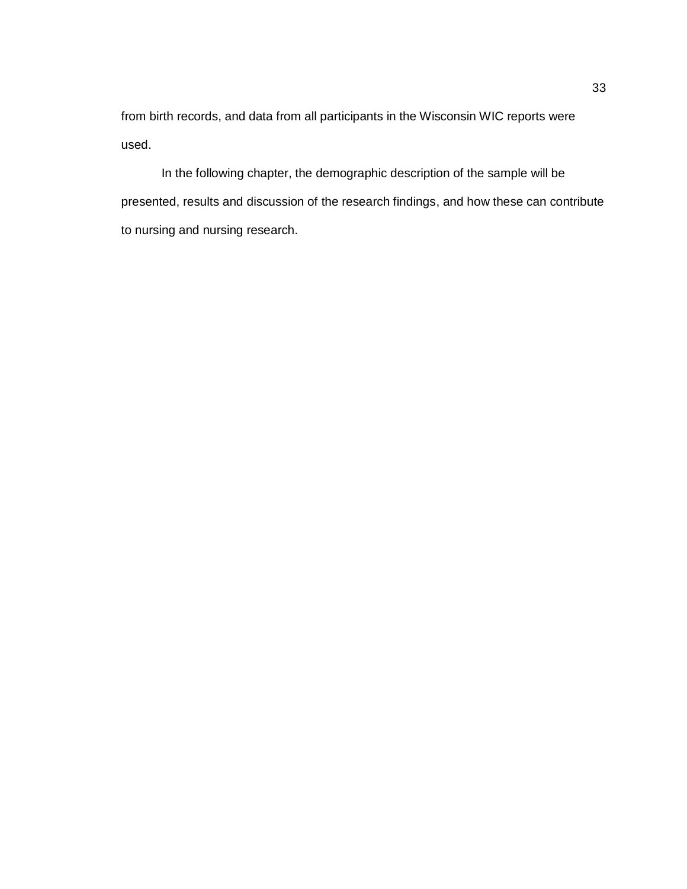from birth records, and data from all participants in the Wisconsin WIC reports were used.

In the following chapter, the demographic description of the sample will be presented, results and discussion of the research findings, and how these can contribute to nursing and nursing research.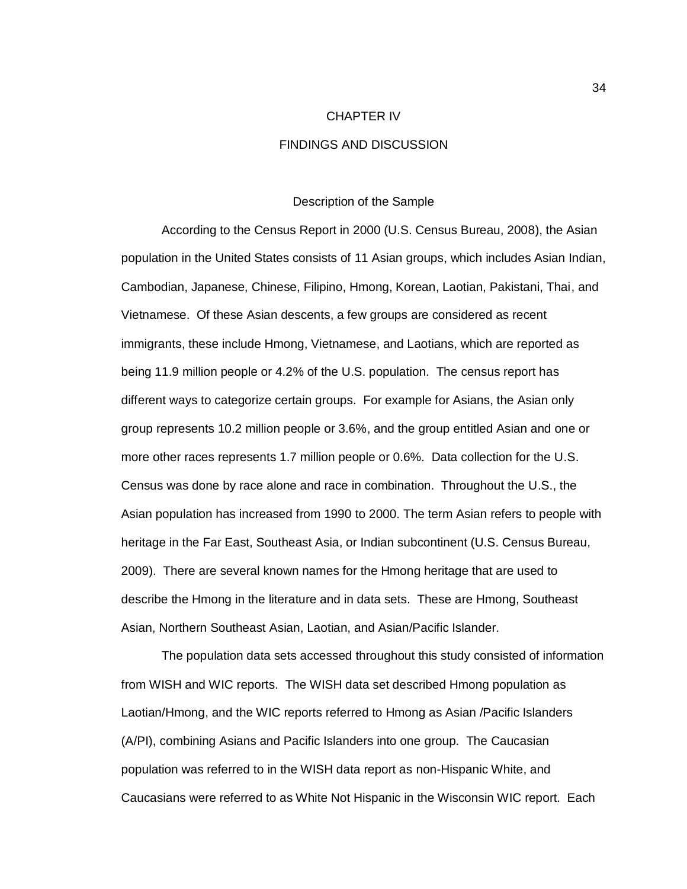#### CHAPTER IV

### FINDINGS AND DISCUSSION

#### Description of the Sample

According to the Census Report in 2000 (U.S. Census Bureau, 2008), the Asian population in the United States consists of 11 Asian groups, which includes Asian Indian, Cambodian, Japanese, Chinese, Filipino, Hmong, Korean, Laotian, Pakistani, Thai, and Vietnamese. Of these Asian descents, a few groups are considered as recent immigrants, these include Hmong, Vietnamese, and Laotians, which are reported as being 11.9 million people or 4.2% of the U.S. population. The census report has different ways to categorize certain groups. For example for Asians, the Asian only group represents 10.2 million people or 3.6%, and the group entitled Asian and one or more other races represents 1.7 million people or 0.6%. Data collection for the U.S. Census was done by race alone and race in combination. Throughout the U.S., the Asian population has increased from 1990 to 2000. The term Asian refers to people with heritage in the Far East, Southeast Asia, or Indian subcontinent (U.S. Census Bureau, 2009). There are several known names for the Hmong heritage that are used to describe the Hmong in the literature and in data sets. These are Hmong, Southeast Asian, Northern Southeast Asian, Laotian, and Asian/Pacific Islander.

The population data sets accessed throughout this study consisted of information from WISH and WIC reports. The WISH data set described Hmong population as Laotian/Hmong, and the WIC reports referred to Hmong as Asian /Pacific Islanders (A/PI), combining Asians and Pacific Islanders into one group. The Caucasian population was referred to in the WISH data report as non-Hispanic White, and Caucasians were referred to as White Not Hispanic in the Wisconsin WIC report. Each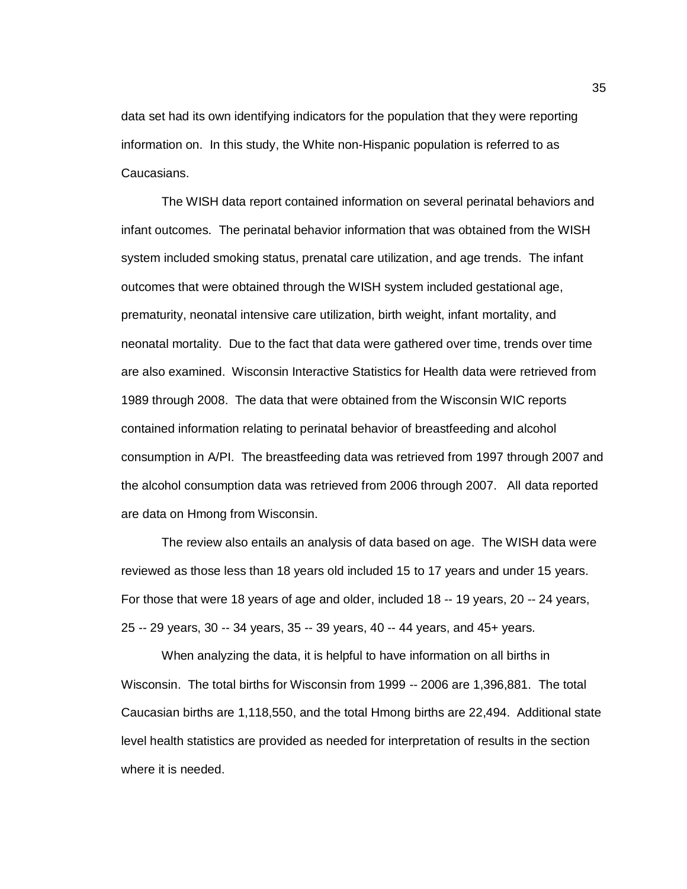data set had its own identifying indicators for the population that they were reporting information on. In this study, the White non-Hispanic population is referred to as Caucasians.

The WISH data report contained information on several perinatal behaviors and infant outcomes. The perinatal behavior information that was obtained from the WISH system included smoking status, prenatal care utilization, and age trends. The infant outcomes that were obtained through the WISH system included gestational age, prematurity, neonatal intensive care utilization, birth weight, infant mortality, and neonatal mortality. Due to the fact that data were gathered over time, trends over time are also examined. Wisconsin Interactive Statistics for Health data were retrieved from 1989 through 2008. The data that were obtained from the Wisconsin WIC reports contained information relating to perinatal behavior of breastfeeding and alcohol consumption in A/PI. The breastfeeding data was retrieved from 1997 through 2007 and the alcohol consumption data was retrieved from 2006 through 2007. All data reported are data on Hmong from Wisconsin.

The review also entails an analysis of data based on age. The WISH data were reviewed as those less than 18 years old included 15 to 17 years and under 15 years. For those that were 18 years of age and older, included 18 -- 19 years, 20 -- 24 years, 25 -- 29 years, 30 -- 34 years, 35 -- 39 years, 40 -- 44 years, and 45+ years.

When analyzing the data, it is helpful to have information on all births in Wisconsin. The total births for Wisconsin from 1999 -- 2006 are 1,396,881. The total Caucasian births are 1,118,550, and the total Hmong births are 22,494. Additional state level health statistics are provided as needed for interpretation of results in the section where it is needed.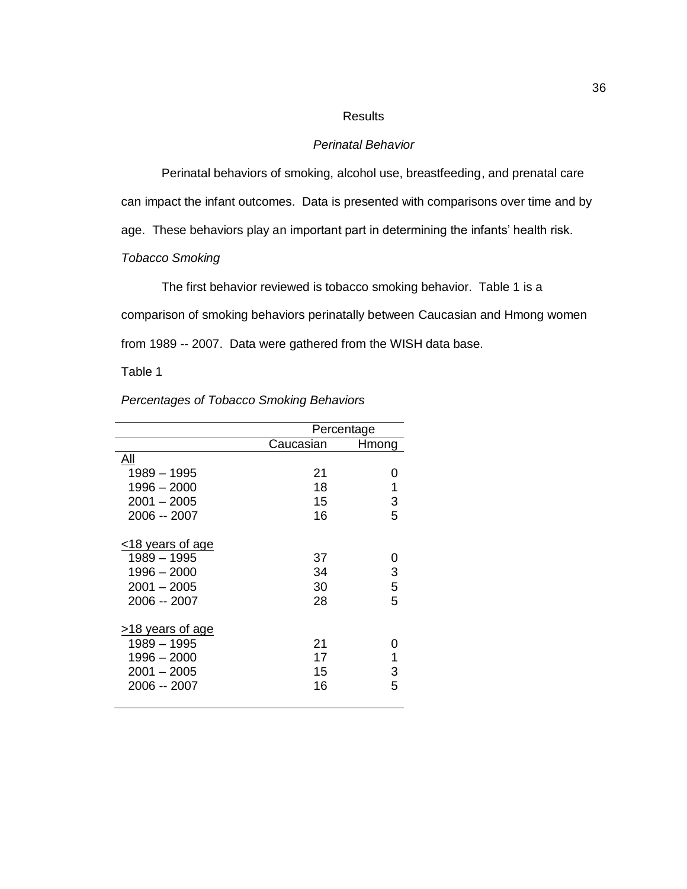### Results

### *Perinatal Behavior*

Perinatal behaviors of smoking, alcohol use, breastfeeding, and prenatal care can impact the infant outcomes. Data is presented with comparisons over time and by age. These behaviors play an important part in determining the infants' health risk. *Tobacco Smoking*

The first behavior reviewed is tobacco smoking behavior. Table 1 is a comparison of smoking behaviors perinatally between Caucasian and Hmong women from 1989 -- 2007. Data were gathered from the WISH data base.

Table 1

|                        |           | Percentage |
|------------------------|-----------|------------|
|                        | Caucasian | Hmong      |
| All                    |           |            |
| 1989 - 1995            | 21        | O          |
| 1996 - 2000            | 18        | 1          |
| $2001 - 2005$          | 15        | 3          |
| 2006 -- 2007           | 16        | 5          |
| $\leq$ 18 years of age |           |            |
| 1989 - 1995            | 37        | 0          |
| 1996 – 2000            | 34        | 3          |
| $2001 - 2005$          | 30        | 5          |
| 2006 -- 2007           | 28        | 5          |
| $>18$ years of age     |           |            |
| 1989 - 1995            | 21        | O          |
| 1996 - 2000            | 17        | 1          |
| $2001 - 2005$          | 15        | 3          |
| 2006 -- 2007           | 16        | 5          |
|                        |           |            |

### *Percentages of Tobacco Smoking Behaviors*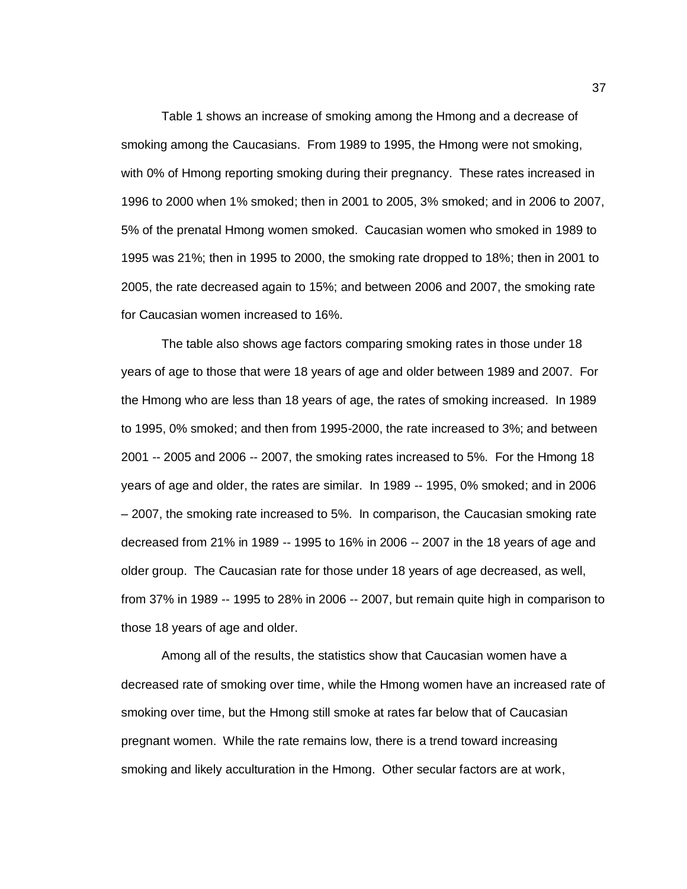Table 1 shows an increase of smoking among the Hmong and a decrease of smoking among the Caucasians. From 1989 to 1995, the Hmong were not smoking, with 0% of Hmong reporting smoking during their pregnancy. These rates increased in 1996 to 2000 when 1% smoked; then in 2001 to 2005, 3% smoked; and in 2006 to 2007, 5% of the prenatal Hmong women smoked. Caucasian women who smoked in 1989 to 1995 was 21%; then in 1995 to 2000, the smoking rate dropped to 18%; then in 2001 to 2005, the rate decreased again to 15%; and between 2006 and 2007, the smoking rate for Caucasian women increased to 16%.

The table also shows age factors comparing smoking rates in those under 18 years of age to those that were 18 years of age and older between 1989 and 2007. For the Hmong who are less than 18 years of age, the rates of smoking increased. In 1989 to 1995, 0% smoked; and then from 1995-2000, the rate increased to 3%; and between 2001 -- 2005 and 2006 -- 2007, the smoking rates increased to 5%. For the Hmong 18 years of age and older, the rates are similar. In 1989 -- 1995, 0% smoked; and in 2006 – 2007, the smoking rate increased to 5%. In comparison, the Caucasian smoking rate decreased from 21% in 1989 -- 1995 to 16% in 2006 -- 2007 in the 18 years of age and older group. The Caucasian rate for those under 18 years of age decreased, as well, from 37% in 1989 -- 1995 to 28% in 2006 -- 2007, but remain quite high in comparison to those 18 years of age and older.

Among all of the results, the statistics show that Caucasian women have a decreased rate of smoking over time, while the Hmong women have an increased rate of smoking over time, but the Hmong still smoke at rates far below that of Caucasian pregnant women. While the rate remains low, there is a trend toward increasing smoking and likely acculturation in the Hmong. Other secular factors are at work,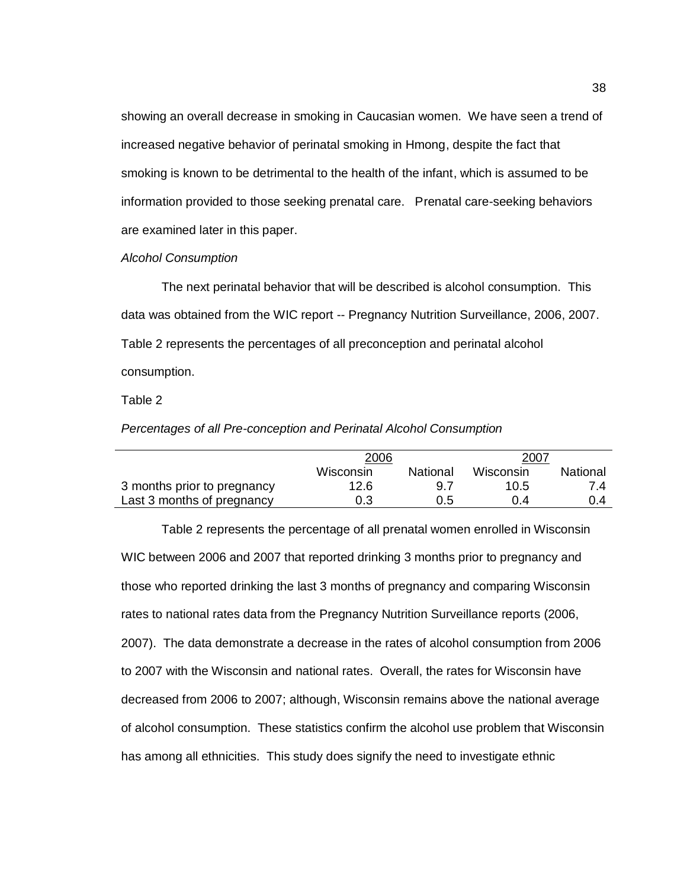showing an overall decrease in smoking in Caucasian women. We have seen a trend of increased negative behavior of perinatal smoking in Hmong, despite the fact that smoking is known to be detrimental to the health of the infant, which is assumed to be information provided to those seeking prenatal care. Prenatal care-seeking behaviors are examined later in this paper.

*Alcohol Consumption*

The next perinatal behavior that will be described is alcohol consumption. This data was obtained from the WIC report -- Pregnancy Nutrition Surveillance, 2006, 2007. Table 2 represents the percentages of all preconception and perinatal alcohol consumption.

Table 2

*Percentages of all Pre-conception and Perinatal Alcohol Consumption*

|                             | 2006      |          | 2007      |          |
|-----------------------------|-----------|----------|-----------|----------|
|                             | Wisconsin | National | Wisconsin | National |
| 3 months prior to pregnancy | 12.6      | 97       | 10.5      | 74       |
| Last 3 months of pregnancy  | 0.3       | 0.5      | በ 4       | 0.4      |

Table 2 represents the percentage of all prenatal women enrolled in Wisconsin WIC between 2006 and 2007 that reported drinking 3 months prior to pregnancy and those who reported drinking the last 3 months of pregnancy and comparing Wisconsin rates to national rates data from the Pregnancy Nutrition Surveillance reports (2006, 2007). The data demonstrate a decrease in the rates of alcohol consumption from 2006 to 2007 with the Wisconsin and national rates. Overall, the rates for Wisconsin have decreased from 2006 to 2007; although, Wisconsin remains above the national average of alcohol consumption. These statistics confirm the alcohol use problem that Wisconsin has among all ethnicities. This study does signify the need to investigate ethnic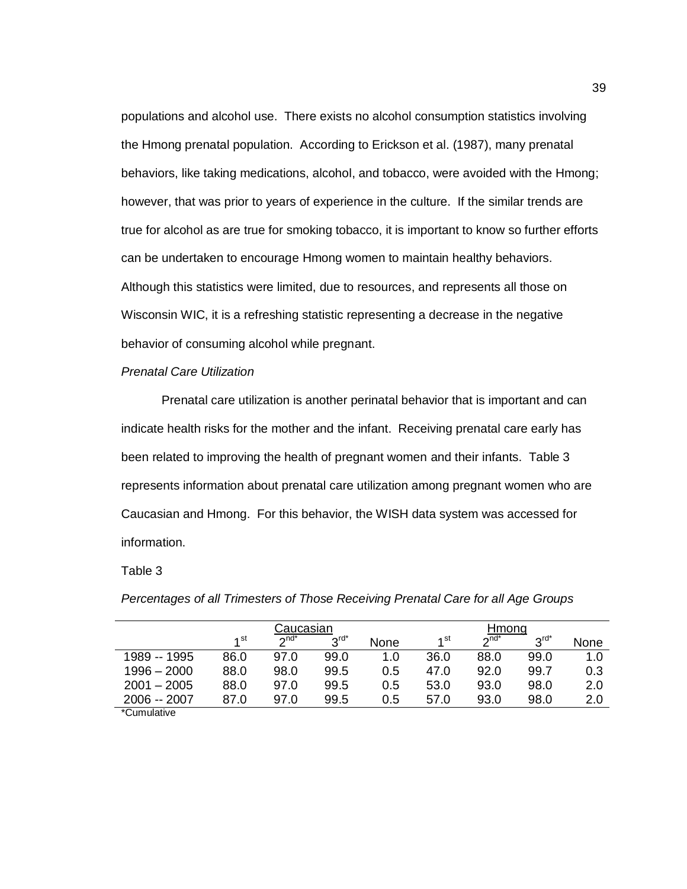populations and alcohol use. There exists no alcohol consumption statistics involving the Hmong prenatal population. According to Erickson et al. (1987), many prenatal behaviors, like taking medications, alcohol, and tobacco, were avoided with the Hmong; however, that was prior to years of experience in the culture. If the similar trends are true for alcohol as are true for smoking tobacco, it is important to know so further efforts can be undertaken to encourage Hmong women to maintain healthy behaviors. Although this statistics were limited, due to resources, and represents all those on Wisconsin WIC, it is a refreshing statistic representing a decrease in the negative behavior of consuming alcohol while pregnant.

### *Prenatal Care Utilization*

Prenatal care utilization is another perinatal behavior that is important and can indicate health risks for the mother and the infant. Receiving prenatal care early has been related to improving the health of pregnant women and their infants. Table 3 represents information about prenatal care utilization among pregnant women who are Caucasian and Hmong. For this behavior, the WISH data system was accessed for information.

### Table 3

|                                               | Caucasian |                           |                   |      |                 | Hmong     |                   |      |  |
|-----------------------------------------------|-----------|---------------------------|-------------------|------|-----------------|-----------|-------------------|------|--|
|                                               | 4 st      | $\boldsymbol{\gamma}$ nd* | $2^{\text{rd}^*}$ | None | 1 <sup>st</sup> | $2^{nd*}$ | $2^{\text{rd}^*}$ | None |  |
| 1989 -- 1995                                  | 86.0      | 97.0                      | 99.0              | 1.0  | 36.0            | 88.0      | 99.0              | 1.0  |  |
| $1996 - 2000$                                 | 88.0      | 98.0                      | 99.5              | 0.5  | 47.0            | 92.0      | 99.7              | 0.3  |  |
| $2001 - 2005$                                 | 88.0      | 97.0                      | 99.5              | 0.5  | 53.0            | 93.0      | 98.0              | 2.0  |  |
| 2006 -- 2007                                  | 87.0      | 97.0                      | 99.5              | 0.5  | 57.0            | 93.0      | 98.0              | 2.0  |  |
| $*$ $\sim$ $\sim$ $\sim$ $\sim$ $\sim$ $\sim$ |           |                           |                   |      |                 |           |                   |      |  |

*Percentages of all Trimesters of Those Receiving Prenatal Care for all Age Groups*

\*Cumulative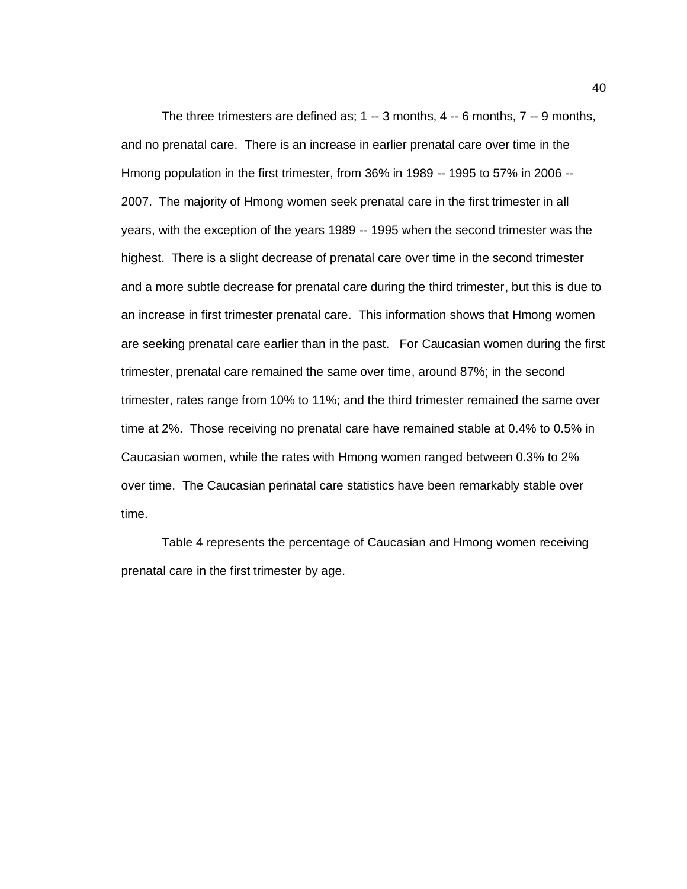The three trimesters are defined as; 1 -- 3 months, 4 -- 6 months, 7 -- 9 months, and no prenatal care. There is an increase in earlier prenatal care over time in the Hmong population in the first trimester, from 36% in 1989 -- 1995 to 57% in 2006 -- 2007. The majority of Hmong women seek prenatal care in the first trimester in all years, with the exception of the years 1989 -- 1995 when the second trimester was the highest. There is a slight decrease of prenatal care over time in the second trimester and a more subtle decrease for prenatal care during the third trimester, but this is due to an increase in first trimester prenatal care. This information shows that Hmong women are seeking prenatal care earlier than in the past. For Caucasian women during the first trimester, prenatal care remained the same over time, around 87%; in the second trimester, rates range from 10% to 11%; and the third trimester remained the same over time at 2%. Those receiving no prenatal care have remained stable at 0.4% to 0.5% in Caucasian women, while the rates with Hmong women ranged between 0.3% to 2% over time. The Caucasian perinatal care statistics have been remarkably stable over time.

Table 4 represents the percentage of Caucasian and Hmong women receiving prenatal care in the first trimester by age.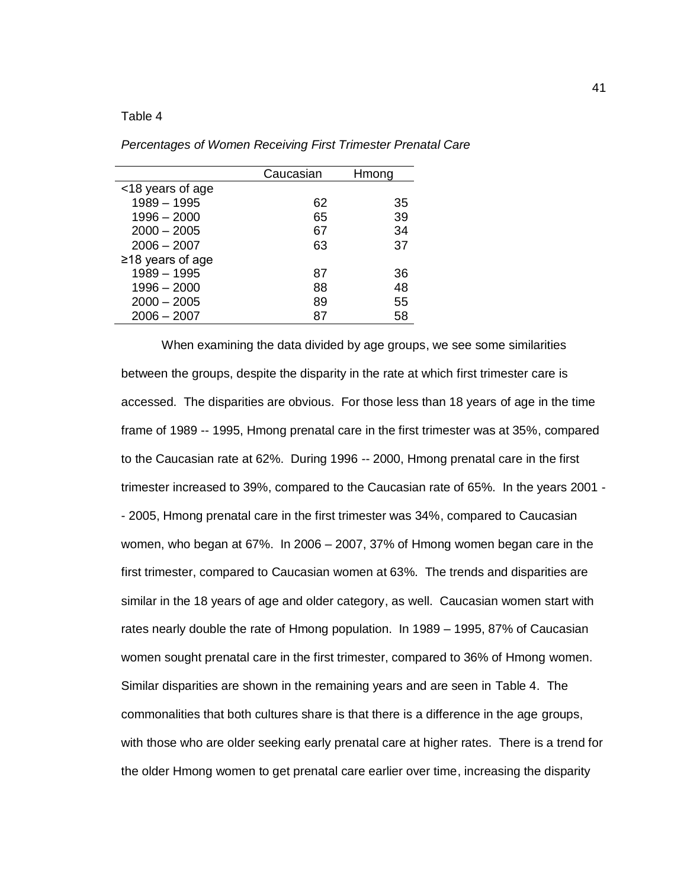#### Table 4

|                       | Caucasian | Hmong |
|-----------------------|-----------|-------|
| <18 years of age      |           |       |
| $1989 - 1995$         | 62        | 35    |
| $1996 - 2000$         | 65        | 39    |
| $2000 - 2005$         | 67        | 34    |
| $2006 - 2007$         | 63        | 37    |
| $\ge$ 18 years of age |           |       |
| $1989 - 1995$         | 87        | 36    |
| $1996 - 2000$         | 88        | 48    |
| $2000 - 2005$         | 89        | 55    |
| $2006 - 2007$         | 87        | 58    |

*Percentages of Women Receiving First Trimester Prenatal Care* 

When examining the data divided by age groups, we see some similarities between the groups, despite the disparity in the rate at which first trimester care is accessed. The disparities are obvious. For those less than 18 years of age in the time frame of 1989 -- 1995, Hmong prenatal care in the first trimester was at 35%, compared to the Caucasian rate at 62%. During 1996 -- 2000, Hmong prenatal care in the first trimester increased to 39%, compared to the Caucasian rate of 65%. In the years 2001 - - 2005, Hmong prenatal care in the first trimester was 34%, compared to Caucasian women, who began at 67%. In 2006 – 2007, 37% of Hmong women began care in the first trimester, compared to Caucasian women at 63%. The trends and disparities are similar in the 18 years of age and older category, as well. Caucasian women start with rates nearly double the rate of Hmong population. In 1989 – 1995, 87% of Caucasian women sought prenatal care in the first trimester, compared to 36% of Hmong women. Similar disparities are shown in the remaining years and are seen in Table 4. The commonalities that both cultures share is that there is a difference in the age groups, with those who are older seeking early prenatal care at higher rates. There is a trend for the older Hmong women to get prenatal care earlier over time, increasing the disparity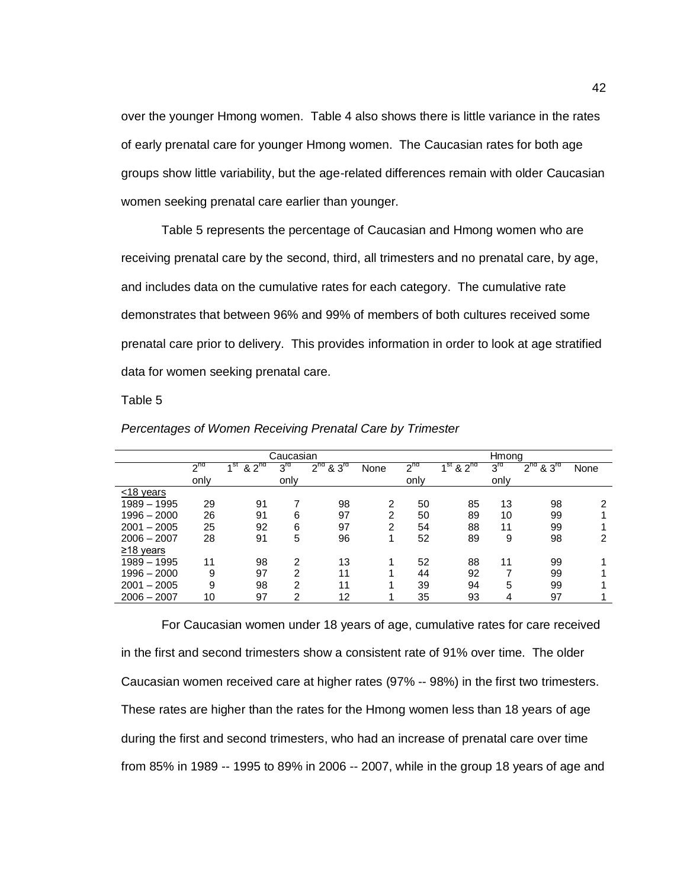over the younger Hmong women. Table 4 also shows there is little variance in the rates of early prenatal care for younger Hmong women. The Caucasian rates for both age groups show little variability, but the age-related differences remain with older Caucasian women seeking prenatal care earlier than younger.

Table 5 represents the percentage of Caucasian and Hmong women who are receiving prenatal care by the second, third, all trimesters and no prenatal care, by age, and includes data on the cumulative rates for each category. The cumulative rate demonstrates that between 96% and 99% of members of both cultures received some prenatal care prior to delivery. This provides information in order to look at age stratified data for women seeking prenatal care.

#### Table 5

|                 |          |                              | Caucasian       |                              |      |          |               | Hmong           |                               |      |
|-----------------|----------|------------------------------|-----------------|------------------------------|------|----------|---------------|-----------------|-------------------------------|------|
|                 |          |                              |                 |                              |      |          |               |                 |                               |      |
|                 | $2^{nd}$ | 4 <sup>St</sup><br>$82^{nd}$ | $3^{\text{rd}}$ | $2^{nd}$<br>83 <sup>rd</sup> | None | $2^{nd}$ | $1st$ & $2nd$ | $3^{\text{rd}}$ | $2^{nd}$<br>8.3 <sup>rd</sup> | None |
|                 | only     |                              | only            |                              |      | only     |               | only            |                               |      |
| <18 years       |          |                              |                 |                              |      |          |               |                 |                               |      |
| 1989 - 1995     | 29       | 91                           |                 | 98                           | 2    | 50       | 85            | 13              | 98                            | ົ    |
| $1996 - 2000$   | 26       | 91                           | 6               | 97                           | 2    | 50       | 89            | 10              | 99                            |      |
| $2001 - 2005$   | 25       | 92                           | 6               | 97                           | 2    | 54       | 88            | 11              | 99                            |      |
| $2006 - 2007$   | 28       | 91                           | 5               | 96                           |      | 52       | 89            | 9               | 98                            | 2    |
| $\geq$ 18 years |          |                              |                 |                              |      |          |               |                 |                               |      |
| 1989 - 1995     | 11       | 98                           | 2               | 13                           |      | 52       | 88            | 11              | 99                            |      |
| $1996 - 2000$   | 9        | 97                           | າ               | 11                           |      | 44       | 92            |                 | 99                            |      |
| $2001 - 2005$   | 9        | 98                           | っ               | 11                           |      | 39       | 94            | 5               | 99                            |      |
| $2006 - 2007$   | 10       | 97                           | 2               | 12                           |      | 35       | 93            | 4               | 97                            |      |

*Percentages of Women Receiving Prenatal Care by Trimester*

For Caucasian women under 18 years of age, cumulative rates for care received in the first and second trimesters show a consistent rate of 91% over time. The older Caucasian women received care at higher rates (97% -- 98%) in the first two trimesters. These rates are higher than the rates for the Hmong women less than 18 years of age during the first and second trimesters, who had an increase of prenatal care over time from 85% in 1989 -- 1995 to 89% in 2006 -- 2007, while in the group 18 years of age and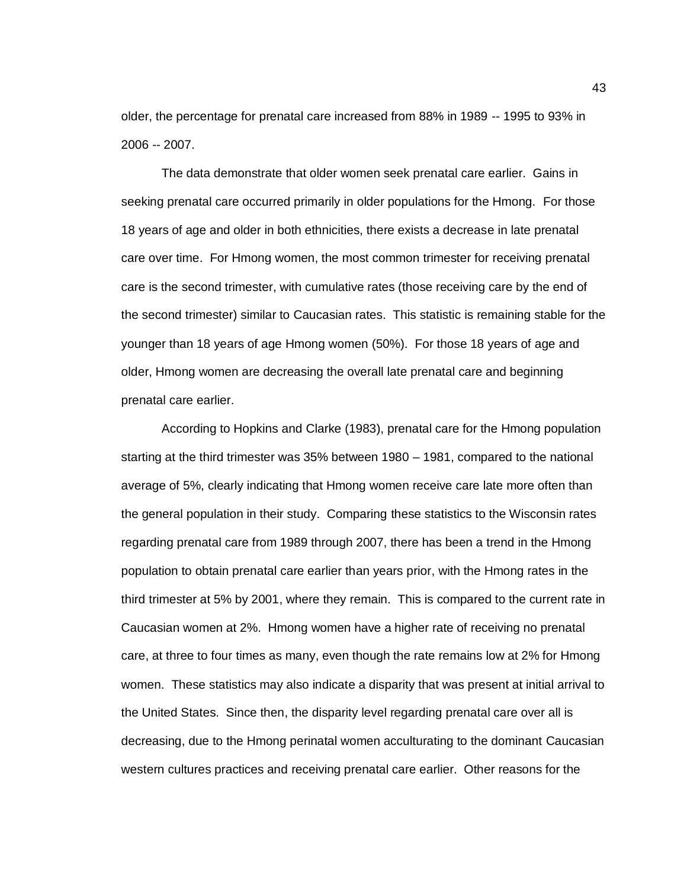older, the percentage for prenatal care increased from 88% in 1989 -- 1995 to 93% in 2006 -- 2007.

The data demonstrate that older women seek prenatal care earlier. Gains in seeking prenatal care occurred primarily in older populations for the Hmong. For those 18 years of age and older in both ethnicities, there exists a decrease in late prenatal care over time. For Hmong women, the most common trimester for receiving prenatal care is the second trimester, with cumulative rates (those receiving care by the end of the second trimester) similar to Caucasian rates. This statistic is remaining stable for the younger than 18 years of age Hmong women (50%). For those 18 years of age and older, Hmong women are decreasing the overall late prenatal care and beginning prenatal care earlier.

According to Hopkins and Clarke (1983), prenatal care for the Hmong population starting at the third trimester was 35% between 1980 – 1981, compared to the national average of 5%, clearly indicating that Hmong women receive care late more often than the general population in their study. Comparing these statistics to the Wisconsin rates regarding prenatal care from 1989 through 2007, there has been a trend in the Hmong population to obtain prenatal care earlier than years prior, with the Hmong rates in the third trimester at 5% by 2001, where they remain. This is compared to the current rate in Caucasian women at 2%. Hmong women have a higher rate of receiving no prenatal care, at three to four times as many, even though the rate remains low at 2% for Hmong women. These statistics may also indicate a disparity that was present at initial arrival to the United States. Since then, the disparity level regarding prenatal care over all is decreasing, due to the Hmong perinatal women acculturating to the dominant Caucasian western cultures practices and receiving prenatal care earlier. Other reasons for the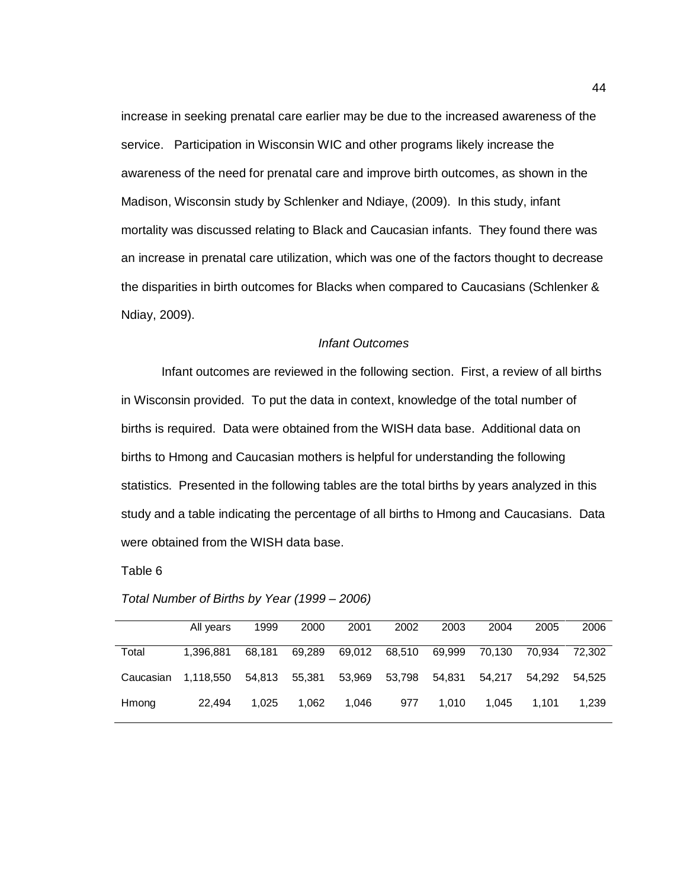increase in seeking prenatal care earlier may be due to the increased awareness of the service. Participation in Wisconsin WIC and other programs likely increase the awareness of the need for prenatal care and improve birth outcomes, as shown in the Madison, Wisconsin study by Schlenker and Ndiaye, (2009). In this study, infant mortality was discussed relating to Black and Caucasian infants. They found there was an increase in prenatal care utilization, which was one of the factors thought to decrease the disparities in birth outcomes for Blacks when compared to Caucasians (Schlenker & Ndiay, 2009).

#### *Infant Outcomes*

Infant outcomes are reviewed in the following section. First, a review of all births in Wisconsin provided. To put the data in context, knowledge of the total number of births is required. Data were obtained from the WISH data base. Additional data on births to Hmong and Caucasian mothers is helpful for understanding the following statistics. Presented in the following tables are the total births by years analyzed in this study and a table indicating the percentage of all births to Hmong and Caucasians. Data were obtained from the WISH data base.

Table 6

| Total Number of Births by Year (1999 - 2006) |  |
|----------------------------------------------|--|
|----------------------------------------------|--|

|           | All years | 1999   | 2000   | 2001   | 2002   | 2003   | 2004   | 2005   | 2006   |
|-----------|-----------|--------|--------|--------|--------|--------|--------|--------|--------|
| Total     | 1.396.881 | 68.181 | 69.289 | 69,012 | 68.510 | 69.999 | 70.130 | 70.934 | 72.302 |
| Caucasian | 1,118,550 | 54,813 | 55,381 | 53,969 | 53,798 | 54,831 | 54.217 | 54.292 | 54.525 |
| Hmong     | 22.494    | 1.025  | 1.062  | 1.046  | 977    | 1.010  | 1.045  | 1.101  | 1.239  |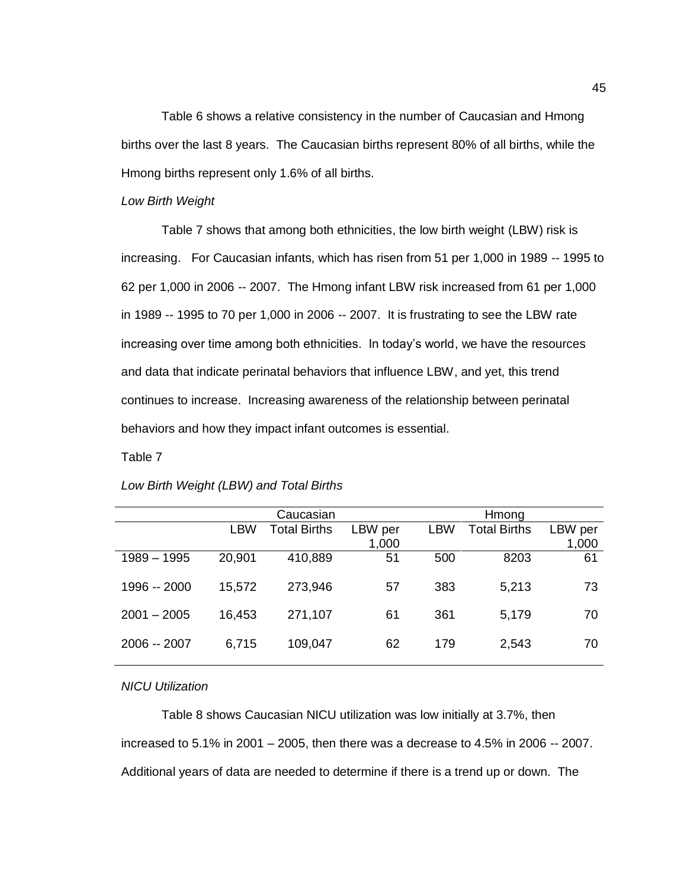Table 6 shows a relative consistency in the number of Caucasian and Hmong births over the last 8 years. The Caucasian births represent 80% of all births, while the Hmong births represent only 1.6% of all births.

#### *Low Birth Weight*

Table 7 shows that among both ethnicities, the low birth weight (LBW) risk is increasing. For Caucasian infants, which has risen from 51 per 1,000 in 1989 -- 1995 to 62 per 1,000 in 2006 -- 2007. The Hmong infant LBW risk increased from 61 per 1,000 in 1989 -- 1995 to 70 per 1,000 in 2006 -- 2007. It is frustrating to see the LBW rate increasing over time among both ethnicities. In today's world, we have the resources and data that indicate perinatal behaviors that influence LBW, and yet, this trend continues to increase. Increasing awareness of the relationship between perinatal behaviors and how they impact infant outcomes is essential.

### Table 7

|               |        | Caucasian           |         |     | Hmong               |         |  |
|---------------|--------|---------------------|---------|-----|---------------------|---------|--|
|               | LBW    | <b>Total Births</b> | LBW per | LBW | <b>Total Births</b> | LBW per |  |
|               |        |                     | 1,000   |     |                     | 1,000   |  |
| 1989 - 1995   | 20,901 | 410,889             | 51      | 500 | 8203                | 61      |  |
| 1996 -- 2000  | 15,572 | 273,946             | 57      | 383 | 5,213               | 73      |  |
| $2001 - 2005$ | 16,453 | 271,107             | 61      | 361 | 5,179               | 70      |  |
| 2006 -- 2007  | 6,715  | 109,047             | 62      | 179 | 2,543               | 70      |  |
|               |        |                     |         |     |                     |         |  |

### *Low Birth Weight (LBW) and Total Births*

#### *NICU Utilization*

Table 8 shows Caucasian NICU utilization was low initially at 3.7%, then increased to 5.1% in 2001 – 2005, then there was a decrease to 4.5% in 2006 -- 2007. Additional years of data are needed to determine if there is a trend up or down. The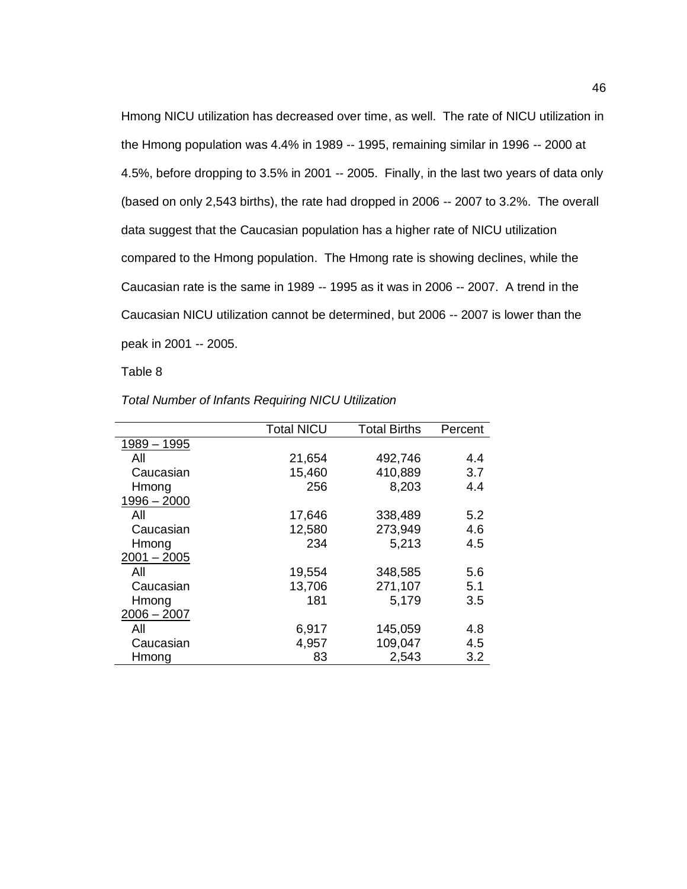Hmong NICU utilization has decreased over time, as well. The rate of NICU utilization in the Hmong population was 4.4% in 1989 -- 1995, remaining similar in 1996 -- 2000 at 4.5%, before dropping to 3.5% in 2001 -- 2005. Finally, in the last two years of data only (based on only 2,543 births), the rate had dropped in 2006 -- 2007 to 3.2%. The overall data suggest that the Caucasian population has a higher rate of NICU utilization compared to the Hmong population. The Hmong rate is showing declines, while the Caucasian rate is the same in 1989 -- 1995 as it was in 2006 -- 2007. A trend in the Caucasian NICU utilization cannot be determined, but 2006 -- 2007 is lower than the peak in 2001 -- 2005.

Table 8

|               | <b>Total NICU</b> | <b>Total Births</b> | Percent |
|---------------|-------------------|---------------------|---------|
| $1989 - 1995$ |                   |                     |         |
| All           | 21,654            | 492,746             | 4.4     |
| Caucasian     | 15,460            | 410,889             | 3.7     |
| Hmong         | 256               | 8,203               | 4.4     |
| $1996 - 2000$ |                   |                     |         |
| All           | 17,646            | 338,489             | 5.2     |
| Caucasian     | 12,580            | 273,949             | 4.6     |
| Hmong         | 234               | 5,213               | 4.5     |
| $2001 - 2005$ |                   |                     |         |
| All           | 19,554            | 348,585             | 5.6     |
| Caucasian     | 13,706            | 271,107             | 5.1     |
| Hmong         | 181               | 5,179               | 3.5     |
| $2006 - 2007$ |                   |                     |         |
| All           | 6,917             | 145,059             | 4.8     |
| Caucasian     | 4,957             | 109,047             | 4.5     |
| Hmong         | 83                | 2,543               | 3.2     |

### *Total Number of Infants Requiring NICU Utilization*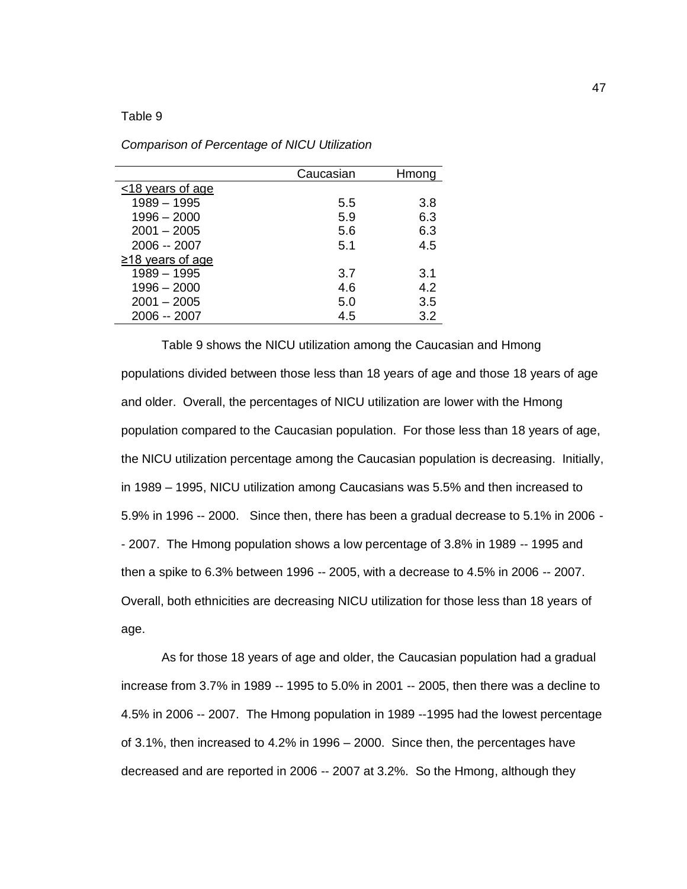#### Table 9

|                       | Caucasian | Hmong |
|-----------------------|-----------|-------|
| <18 years of age      |           |       |
| $1989 - 1995$         | 5.5       | 3.8   |
| $1996 - 2000$         | 5.9       | 6.3   |
| $2001 - 2005$         | 5.6       | 6.3   |
| 2006 -- 2007          | 5.1       | 4.5   |
| $\ge$ 18 years of age |           |       |
| $1989 - 1995$         | 3.7       | 3.1   |
| $1996 - 2000$         | 4.6       | 4.2   |
| $2001 - 2005$         | 5.0       | 3.5   |
| 2006 -- 2007          | 4.5       | 3.2   |
|                       |           |       |

*Comparison of Percentage of NICU Utilization*

Table 9 shows the NICU utilization among the Caucasian and Hmong populations divided between those less than 18 years of age and those 18 years of age and older. Overall, the percentages of NICU utilization are lower with the Hmong population compared to the Caucasian population. For those less than 18 years of age, the NICU utilization percentage among the Caucasian population is decreasing. Initially, in 1989 – 1995, NICU utilization among Caucasians was 5.5% and then increased to 5.9% in 1996 -- 2000. Since then, there has been a gradual decrease to 5.1% in 2006 - - 2007. The Hmong population shows a low percentage of 3.8% in 1989 -- 1995 and then a spike to 6.3% between 1996 -- 2005, with a decrease to 4.5% in 2006 -- 2007. Overall, both ethnicities are decreasing NICU utilization for those less than 18 years of age.

As for those 18 years of age and older, the Caucasian population had a gradual increase from 3.7% in 1989 -- 1995 to 5.0% in 2001 -- 2005, then there was a decline to 4.5% in 2006 -- 2007. The Hmong population in 1989 --1995 had the lowest percentage of 3.1%, then increased to 4.2% in 1996 – 2000. Since then, the percentages have decreased and are reported in 2006 -- 2007 at 3.2%. So the Hmong, although they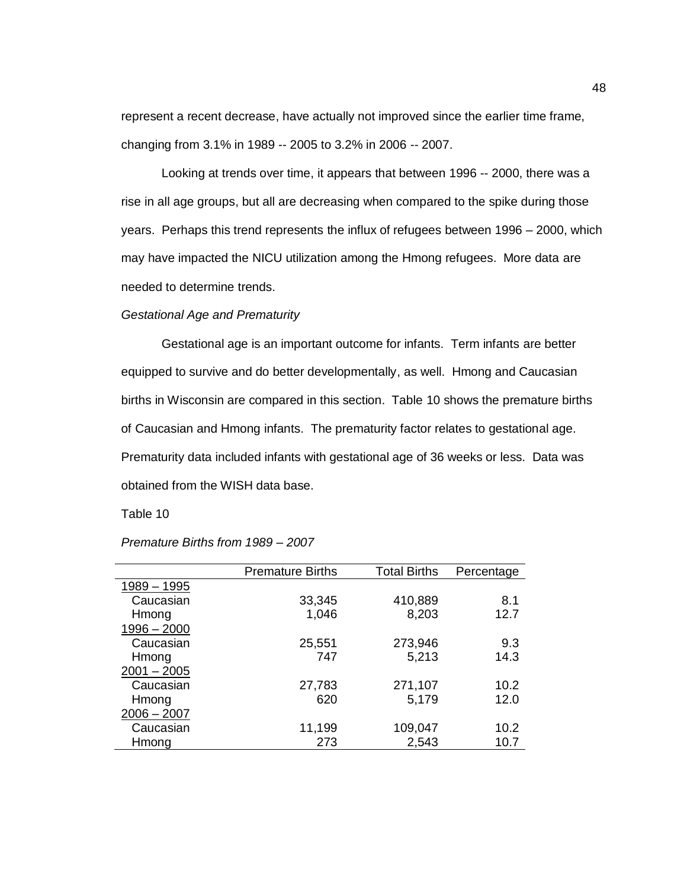represent a recent decrease, have actually not improved since the earlier time frame, changing from 3.1% in 1989 -- 2005 to 3.2% in 2006 -- 2007.

Looking at trends over time, it appears that between 1996 -- 2000, there was a rise in all age groups, but all are decreasing when compared to the spike during those years. Perhaps this trend represents the influx of refugees between 1996 – 2000, which may have impacted the NICU utilization among the Hmong refugees. More data are needed to determine trends.

### *Gestational Age and Prematurity*

Gestational age is an important outcome for infants. Term infants are better equipped to survive and do better developmentally, as well. Hmong and Caucasian births in Wisconsin are compared in this section. Table 10 shows the premature births of Caucasian and Hmong infants. The prematurity factor relates to gestational age. Prematurity data included infants with gestational age of 36 weeks or less. Data was obtained from the WISH data base.

Table 10

|               | <b>Premature Births</b> | <b>Total Births</b> | Percentage |
|---------------|-------------------------|---------------------|------------|
| 1989 - 1995   |                         |                     |            |
| Caucasian     | 33,345                  | 410,889             | 8.1        |
| Hmong         | 1,046                   | 8,203               | 12.7       |
| $1996 - 2000$ |                         |                     |            |
| Caucasian     | 25,551                  | 273,946             | 9.3        |
| Hmong         | 747                     | 5,213               | 14.3       |
| $2001 - 2005$ |                         |                     |            |
| Caucasian     | 27,783                  | 271,107             | 10.2       |
| Hmong         | 620                     | 5,179               | 12.0       |
| $2006 - 2007$ |                         |                     |            |
| Caucasian     | 11,199                  | 109,047             | 10.2       |
| Hmong         | 273                     | 2,543               | 10.7       |

*Premature Births from 1989 – 2007*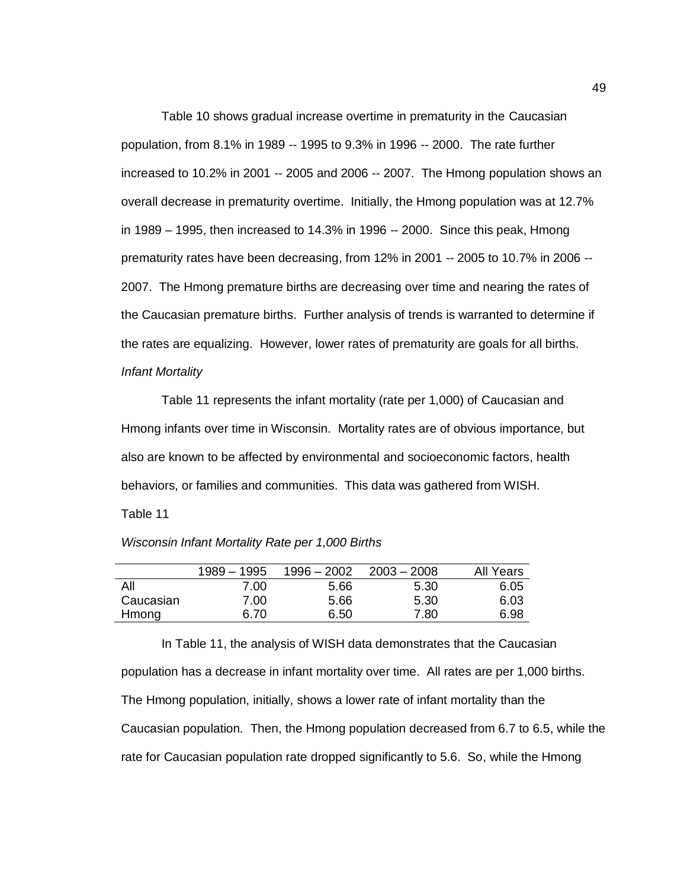Table 10 shows gradual increase overtime in prematurity in the Caucasian population, from 8.1% in 1989 -- 1995 to 9.3% in 1996 -- 2000. The rate further increased to 10.2% in 2001 -- 2005 and 2006 -- 2007. The Hmong population shows an overall decrease in prematurity overtime. Initially, the Hmong population was at 12.7% in 1989 – 1995, then increased to 14.3% in 1996 -- 2000. Since this peak, Hmong prematurity rates have been decreasing, from 12% in 2001 -- 2005 to 10.7% in 2006 -- 2007. The Hmong premature births are decreasing over time and nearing the rates of the Caucasian premature births. Further analysis of trends is warranted to determine if the rates are equalizing. However, lower rates of prematurity are goals for all births. *Infant Mortality*

Table 11 represents the infant mortality (rate per 1,000) of Caucasian and Hmong infants over time in Wisconsin. Mortality rates are of obvious importance, but also are known to be affected by environmental and socioeconomic factors, health behaviors, or families and communities. This data was gathered from WISH. Table 11

|  |  |  |  | Wisconsin Infant Mortality Rate per 1,000 Births |
|--|--|--|--|--------------------------------------------------|
|--|--|--|--|--------------------------------------------------|

|           | 1989 – 1995 | $1996 - 2002$ | $2003 - 2008$ | All Years |
|-----------|-------------|---------------|---------------|-----------|
| All       | 7.00        | 5.66          | 5.30          | 6.05      |
| Caucasian | 7.00        | 5.66          | 5.30          | 6.03      |
| Hmong     | 6.70        | 6.50          | 7.80          | 6.98      |
|           |             |               |               |           |

In Table 11, the analysis of WISH data demonstrates that the Caucasian population has a decrease in infant mortality over time. All rates are per 1,000 births. The Hmong population, initially, shows a lower rate of infant mortality than the Caucasian population. Then, the Hmong population decreased from 6.7 to 6.5, while the rate for Caucasian population rate dropped significantly to 5.6. So, while the Hmong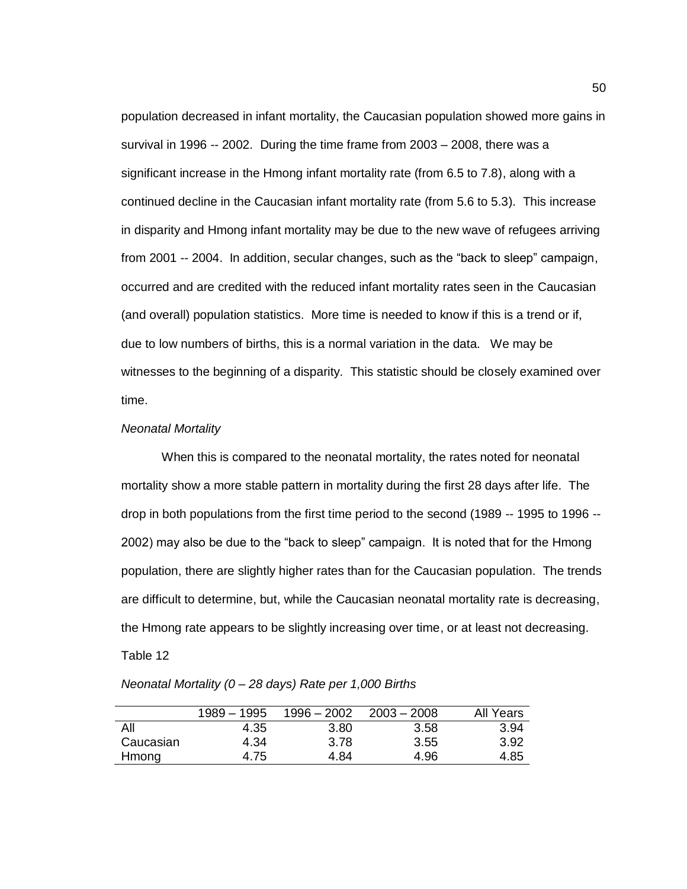population decreased in infant mortality, the Caucasian population showed more gains in survival in 1996 -- 2002. During the time frame from 2003 – 2008, there was a significant increase in the Hmong infant mortality rate (from 6.5 to 7.8), along with a continued decline in the Caucasian infant mortality rate (from 5.6 to 5.3). This increase in disparity and Hmong infant mortality may be due to the new wave of refugees arriving from 2001 -- 2004. In addition, secular changes, such as the "back to sleep" campaign, occurred and are credited with the reduced infant mortality rates seen in the Caucasian (and overall) population statistics. More time is needed to know if this is a trend or if, due to low numbers of births, this is a normal variation in the data. We may be witnesses to the beginning of a disparity. This statistic should be closely examined over time.

### *Neonatal Mortality*

When this is compared to the neonatal mortality, the rates noted for neonatal mortality show a more stable pattern in mortality during the first 28 days after life. The drop in both populations from the first time period to the second (1989 -- 1995 to 1996 -- 2002) may also be due to the "back to sleep" campaign. It is noted that for the Hmong population, there are slightly higher rates than for the Caucasian population. The trends are difficult to determine, but, while the Caucasian neonatal mortality rate is decreasing, the Hmong rate appears to be slightly increasing over time, or at least not decreasing. Table 12

### *Neonatal Mortality (0 – 28 days) Rate per 1,000 Births*

|           | $1989 - 1995$ | $1996 - 2002$ | $2003 - 2008$ | All Years |
|-----------|---------------|---------------|---------------|-----------|
| All       | 4.35          | 3.80          | 3.58          | 3.94      |
| Caucasian | 4.34          | 3.78          | 3.55          | 3.92      |
| Hmong     | 4.75          | 4.84          | 4.96          | 4.85      |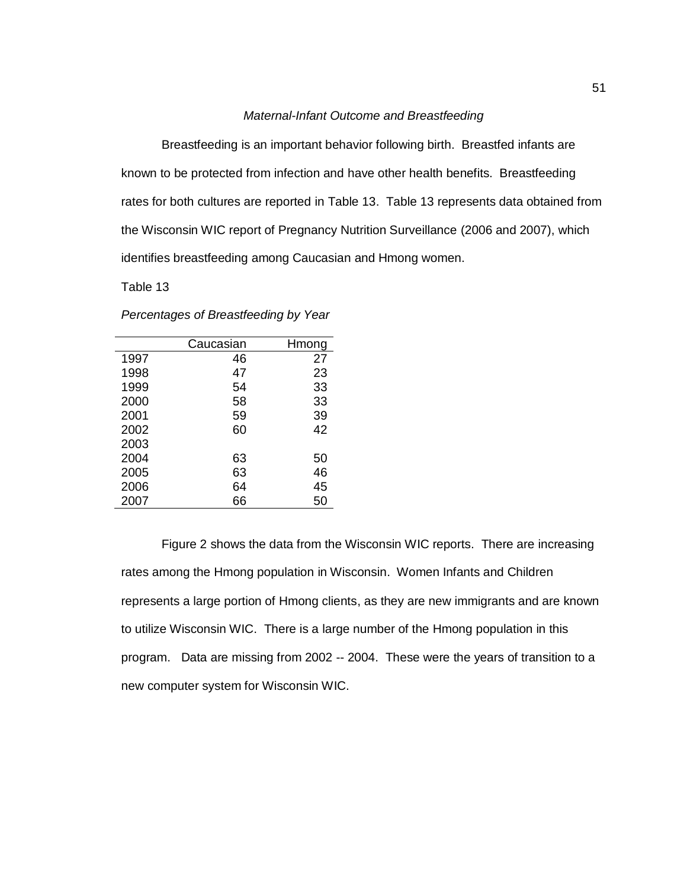#### *Maternal-Infant Outcome and Breastfeeding*

Breastfeeding is an important behavior following birth. Breastfed infants are known to be protected from infection and have other health benefits. Breastfeeding rates for both cultures are reported in Table 13. Table 13 represents data obtained from the Wisconsin WIC report of Pregnancy Nutrition Surveillance (2006 and 2007), which identifies breastfeeding among Caucasian and Hmong women.

Table 13

|      | Caucasian | Hmong |
|------|-----------|-------|
| 1997 | 46        | 27    |
| 1998 | 47        | 23    |
| 1999 | 54        | 33    |
| 2000 | 58        | 33    |
| 2001 | 59        | 39    |
| 2002 | 60        | 42    |
| 2003 |           |       |
| 2004 | 63        | 50    |
| 2005 | 63        | 46    |
| 2006 | 64        | 45    |
| 2007 | 66        | 50    |

*Percentages of Breastfeeding by Year*

Figure 2 shows the data from the Wisconsin WIC reports. There are increasing rates among the Hmong population in Wisconsin. Women Infants and Children represents a large portion of Hmong clients, as they are new immigrants and are known to utilize Wisconsin WIC. There is a large number of the Hmong population in this program. Data are missing from 2002 -- 2004. These were the years of transition to a new computer system for Wisconsin WIC.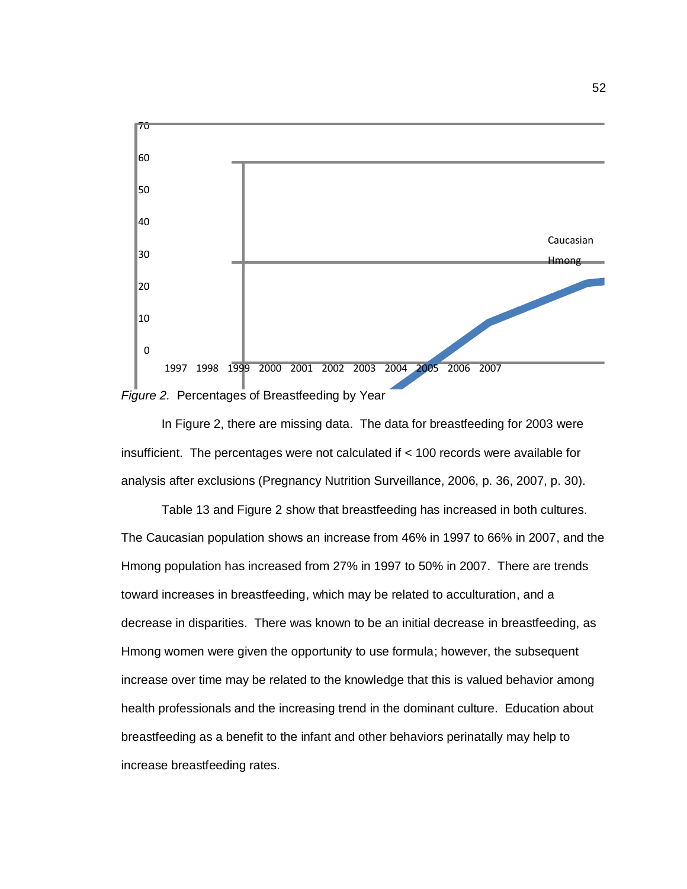

In Figure 2, there are missing data. The data for breastfeeding for 2003 were insufficient. The percentages were not calculated if < 100 records were available for analysis after exclusions (Pregnancy Nutrition Surveillance, 2006, p. 36, 2007, p. 30).

Table 13 and Figure 2 show that breastfeeding has increased in both cultures. The Caucasian population shows an increase from 46% in 1997 to 66% in 2007, and the Hmong population has increased from 27% in 1997 to 50% in 2007. There are trends toward increases in breastfeeding, which may be related to acculturation, and a decrease in disparities. There was known to be an initial decrease in breastfeeding, as Hmong women were given the opportunity to use formula; however, the subsequent increase over time may be related to the knowledge that this is valued behavior among health professionals and the increasing trend in the dominant culture. Education about breastfeeding as a benefit to the infant and other behaviors perinatally may help to increase breastfeeding rates.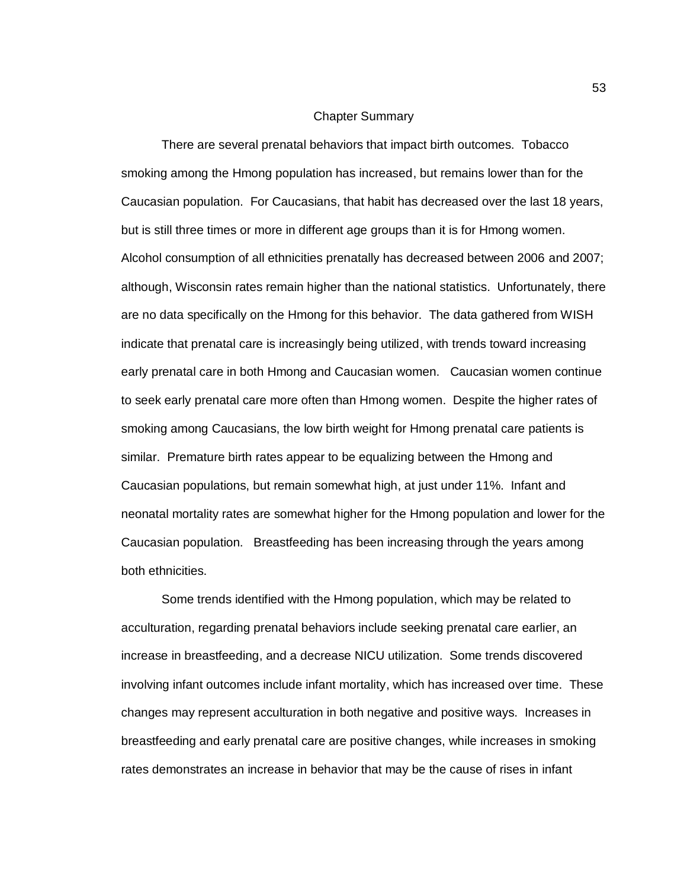#### Chapter Summary

There are several prenatal behaviors that impact birth outcomes. Tobacco smoking among the Hmong population has increased, but remains lower than for the Caucasian population. For Caucasians, that habit has decreased over the last 18 years, but is still three times or more in different age groups than it is for Hmong women. Alcohol consumption of all ethnicities prenatally has decreased between 2006 and 2007; although, Wisconsin rates remain higher than the national statistics. Unfortunately, there are no data specifically on the Hmong for this behavior. The data gathered from WISH indicate that prenatal care is increasingly being utilized, with trends toward increasing early prenatal care in both Hmong and Caucasian women. Caucasian women continue to seek early prenatal care more often than Hmong women. Despite the higher rates of smoking among Caucasians, the low birth weight for Hmong prenatal care patients is similar. Premature birth rates appear to be equalizing between the Hmong and Caucasian populations, but remain somewhat high, at just under 11%. Infant and neonatal mortality rates are somewhat higher for the Hmong population and lower for the Caucasian population. Breastfeeding has been increasing through the years among both ethnicities.

Some trends identified with the Hmong population, which may be related to acculturation, regarding prenatal behaviors include seeking prenatal care earlier, an increase in breastfeeding, and a decrease NICU utilization. Some trends discovered involving infant outcomes include infant mortality, which has increased over time. These changes may represent acculturation in both negative and positive ways. Increases in breastfeeding and early prenatal care are positive changes, while increases in smoking rates demonstrates an increase in behavior that may be the cause of rises in infant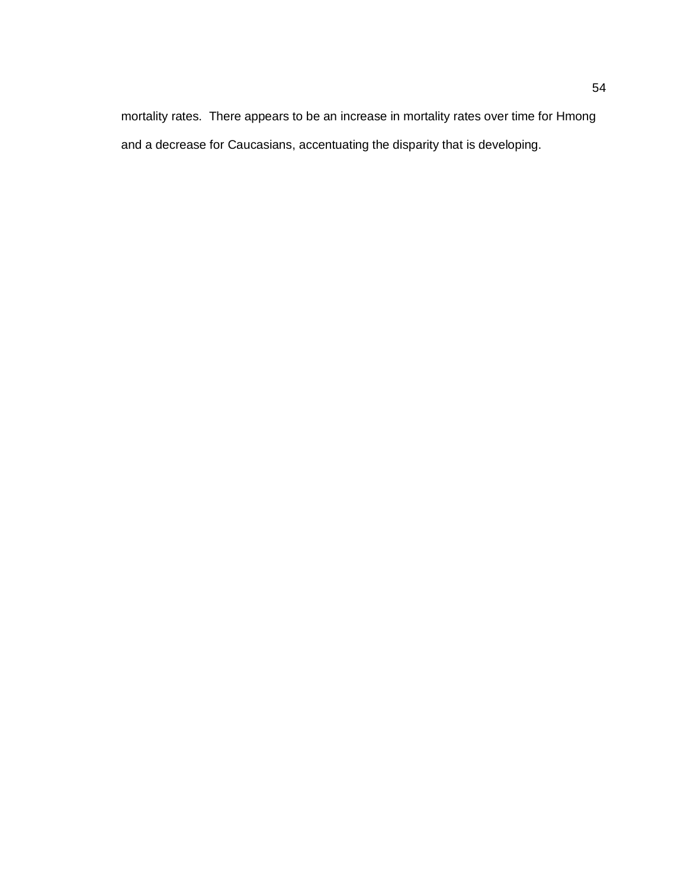mortality rates. There appears to be an increase in mortality rates over time for Hmong and a decrease for Caucasians, accentuating the disparity that is developing.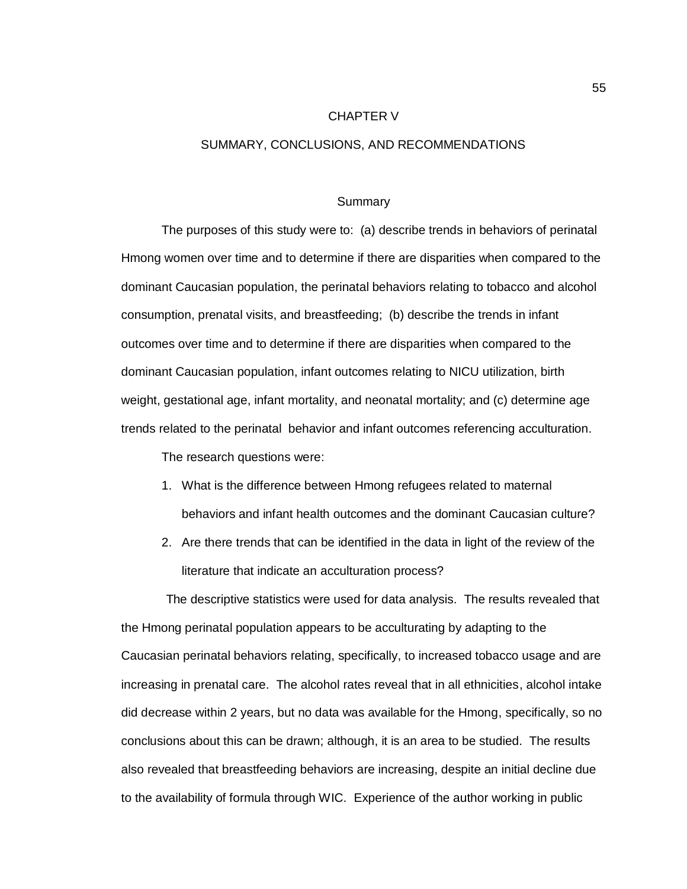#### CHAPTER V

### SUMMARY, CONCLUSIONS, AND RECOMMENDATIONS

#### Summary

The purposes of this study were to: (a) describe trends in behaviors of perinatal Hmong women over time and to determine if there are disparities when compared to the dominant Caucasian population, the perinatal behaviors relating to tobacco and alcohol consumption, prenatal visits, and breastfeeding; (b) describe the trends in infant outcomes over time and to determine if there are disparities when compared to the dominant Caucasian population, infant outcomes relating to NICU utilization, birth weight, gestational age, infant mortality, and neonatal mortality; and (c) determine age trends related to the perinatal behavior and infant outcomes referencing acculturation.

The research questions were:

- 1. What is the difference between Hmong refugees related to maternal behaviors and infant health outcomes and the dominant Caucasian culture?
- 2. Are there trends that can be identified in the data in light of the review of the literature that indicate an acculturation process?

 The descriptive statistics were used for data analysis. The results revealed that the Hmong perinatal population appears to be acculturating by adapting to the Caucasian perinatal behaviors relating, specifically, to increased tobacco usage and are increasing in prenatal care. The alcohol rates reveal that in all ethnicities, alcohol intake did decrease within 2 years, but no data was available for the Hmong, specifically, so no conclusions about this can be drawn; although, it is an area to be studied. The results also revealed that breastfeeding behaviors are increasing, despite an initial decline due to the availability of formula through WIC. Experience of the author working in public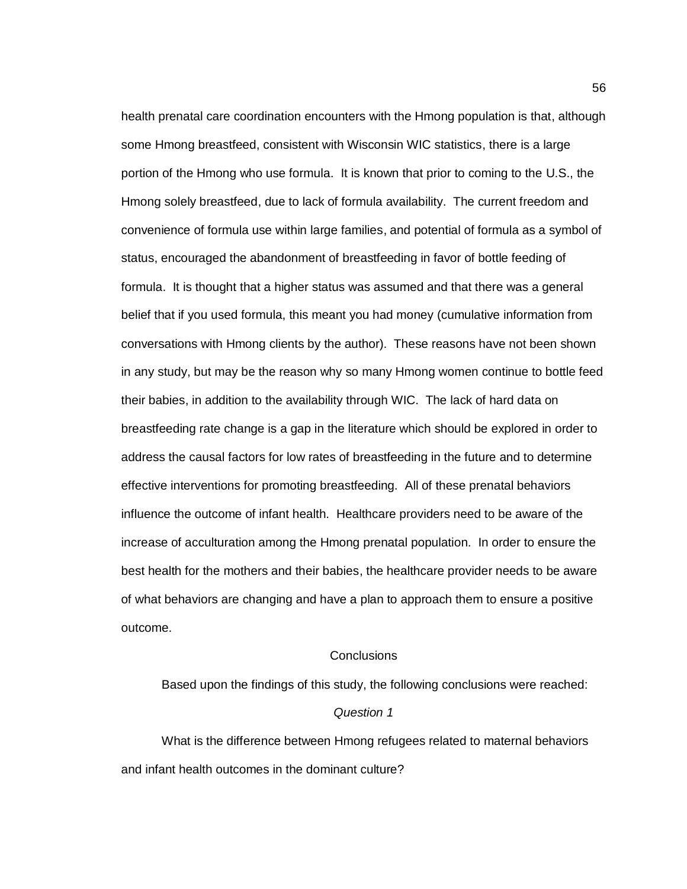health prenatal care coordination encounters with the Hmong population is that, although some Hmong breastfeed, consistent with Wisconsin WIC statistics, there is a large portion of the Hmong who use formula. It is known that prior to coming to the U.S., the Hmong solely breastfeed, due to lack of formula availability. The current freedom and convenience of formula use within large families, and potential of formula as a symbol of status, encouraged the abandonment of breastfeeding in favor of bottle feeding of formula. It is thought that a higher status was assumed and that there was a general belief that if you used formula, this meant you had money (cumulative information from conversations with Hmong clients by the author). These reasons have not been shown in any study, but may be the reason why so many Hmong women continue to bottle feed their babies, in addition to the availability through WIC. The lack of hard data on breastfeeding rate change is a gap in the literature which should be explored in order to address the causal factors for low rates of breastfeeding in the future and to determine effective interventions for promoting breastfeeding. All of these prenatal behaviors influence the outcome of infant health. Healthcare providers need to be aware of the increase of acculturation among the Hmong prenatal population. In order to ensure the best health for the mothers and their babies, the healthcare provider needs to be aware of what behaviors are changing and have a plan to approach them to ensure a positive outcome.

### **Conclusions**

Based upon the findings of this study, the following conclusions were reached: *Question 1* What is the difference between Hmong refugees related to maternal behaviors

and infant health outcomes in the dominant culture?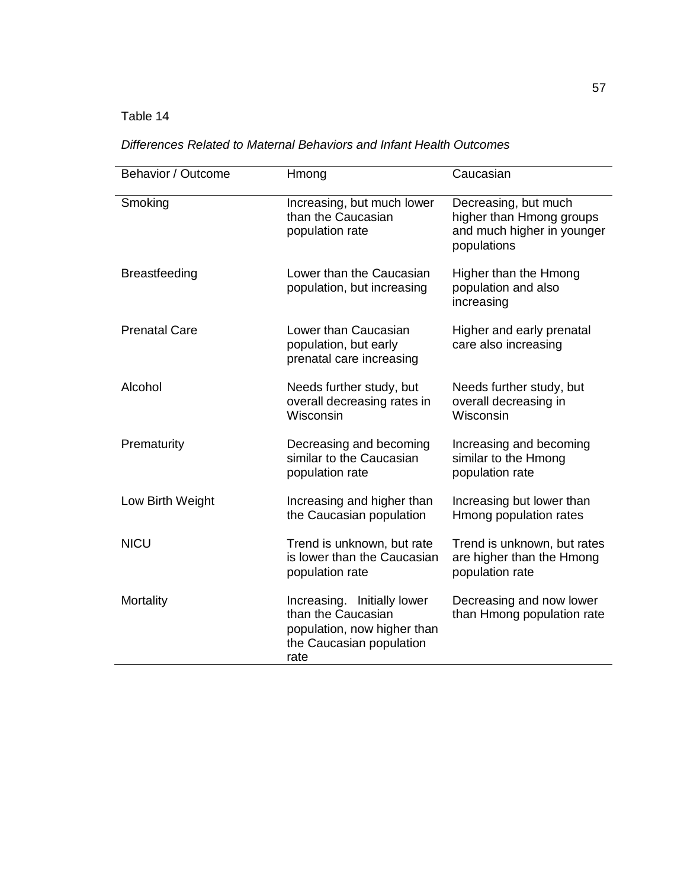# Table 14

## *Differences Related to Maternal Behaviors and Infant Health Outcomes*

| Behavior / Outcome   | Hmong                                                                                                                | Caucasian                                                                                     |
|----------------------|----------------------------------------------------------------------------------------------------------------------|-----------------------------------------------------------------------------------------------|
| Smoking              | Increasing, but much lower<br>than the Caucasian<br>population rate                                                  | Decreasing, but much<br>higher than Hmong groups<br>and much higher in younger<br>populations |
| <b>Breastfeeding</b> | Lower than the Caucasian<br>population, but increasing                                                               | Higher than the Hmong<br>population and also<br>increasing                                    |
| <b>Prenatal Care</b> | Lower than Caucasian<br>population, but early<br>prenatal care increasing                                            | Higher and early prenatal<br>care also increasing                                             |
| Alcohol              | Needs further study, but<br>overall decreasing rates in<br>Wisconsin                                                 | Needs further study, but<br>overall decreasing in<br>Wisconsin                                |
| Prematurity          | Decreasing and becoming<br>similar to the Caucasian<br>population rate                                               | Increasing and becoming<br>similar to the Hmong<br>population rate                            |
| Low Birth Weight     | Increasing and higher than<br>the Caucasian population                                                               | Increasing but lower than<br>Hmong population rates                                           |
| <b>NICU</b>          | Trend is unknown, but rate<br>is lower than the Caucasian<br>population rate                                         | Trend is unknown, but rates<br>are higher than the Hmong<br>population rate                   |
| Mortality            | Increasing. Initially lower<br>than the Caucasian<br>population, now higher than<br>the Caucasian population<br>rate | Decreasing and now lower<br>than Hmong population rate                                        |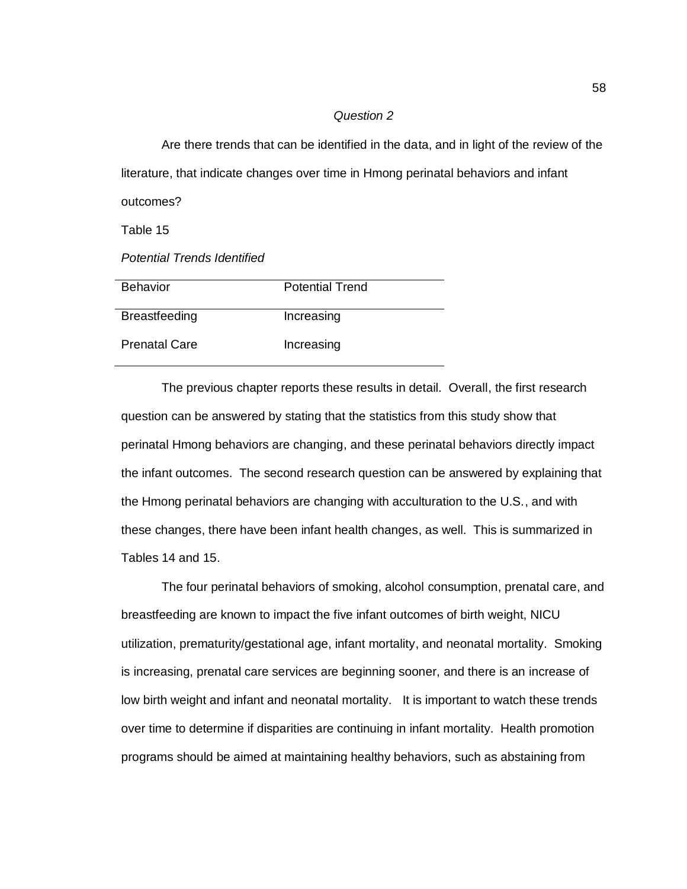#### *Question 2*

Are there trends that can be identified in the data, and in light of the review of the literature, that indicate changes over time in Hmong perinatal behaviors and infant outcomes?

Table 15

*Potential Trends Identified*

| <b>Behavior</b>      | <b>Potential Trend</b> |
|----------------------|------------------------|
| <b>Breastfeeding</b> | Increasing             |
| <b>Prenatal Care</b> | Increasing             |

The previous chapter reports these results in detail. Overall, the first research question can be answered by stating that the statistics from this study show that perinatal Hmong behaviors are changing, and these perinatal behaviors directly impact the infant outcomes. The second research question can be answered by explaining that the Hmong perinatal behaviors are changing with acculturation to the U.S., and with these changes, there have been infant health changes, as well. This is summarized in Tables 14 and 15.

The four perinatal behaviors of smoking, alcohol consumption, prenatal care, and breastfeeding are known to impact the five infant outcomes of birth weight, NICU utilization, prematurity/gestational age, infant mortality, and neonatal mortality. Smoking is increasing, prenatal care services are beginning sooner, and there is an increase of low birth weight and infant and neonatal mortality. It is important to watch these trends over time to determine if disparities are continuing in infant mortality. Health promotion programs should be aimed at maintaining healthy behaviors, such as abstaining from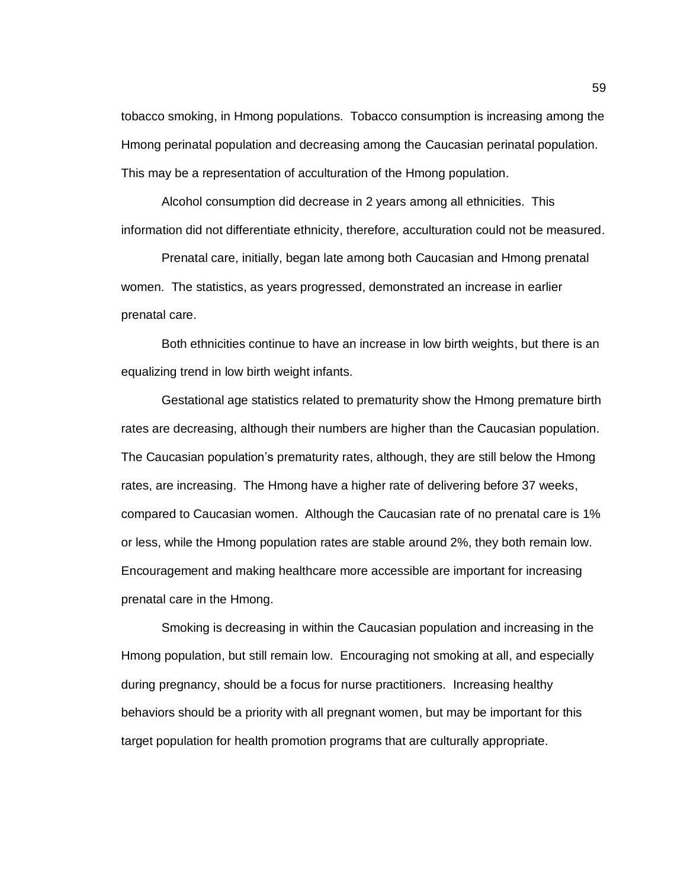tobacco smoking, in Hmong populations. Tobacco consumption is increasing among the Hmong perinatal population and decreasing among the Caucasian perinatal population. This may be a representation of acculturation of the Hmong population.

Alcohol consumption did decrease in 2 years among all ethnicities. This information did not differentiate ethnicity, therefore, acculturation could not be measured.

Prenatal care, initially, began late among both Caucasian and Hmong prenatal women. The statistics, as years progressed, demonstrated an increase in earlier prenatal care.

Both ethnicities continue to have an increase in low birth weights, but there is an equalizing trend in low birth weight infants.

Gestational age statistics related to prematurity show the Hmong premature birth rates are decreasing, although their numbers are higher than the Caucasian population. The Caucasian population's prematurity rates, although, they are still below the Hmong rates, are increasing. The Hmong have a higher rate of delivering before 37 weeks, compared to Caucasian women. Although the Caucasian rate of no prenatal care is 1% or less, while the Hmong population rates are stable around 2%, they both remain low. Encouragement and making healthcare more accessible are important for increasing prenatal care in the Hmong.

Smoking is decreasing in within the Caucasian population and increasing in the Hmong population, but still remain low. Encouraging not smoking at all, and especially during pregnancy, should be a focus for nurse practitioners. Increasing healthy behaviors should be a priority with all pregnant women, but may be important for this target population for health promotion programs that are culturally appropriate.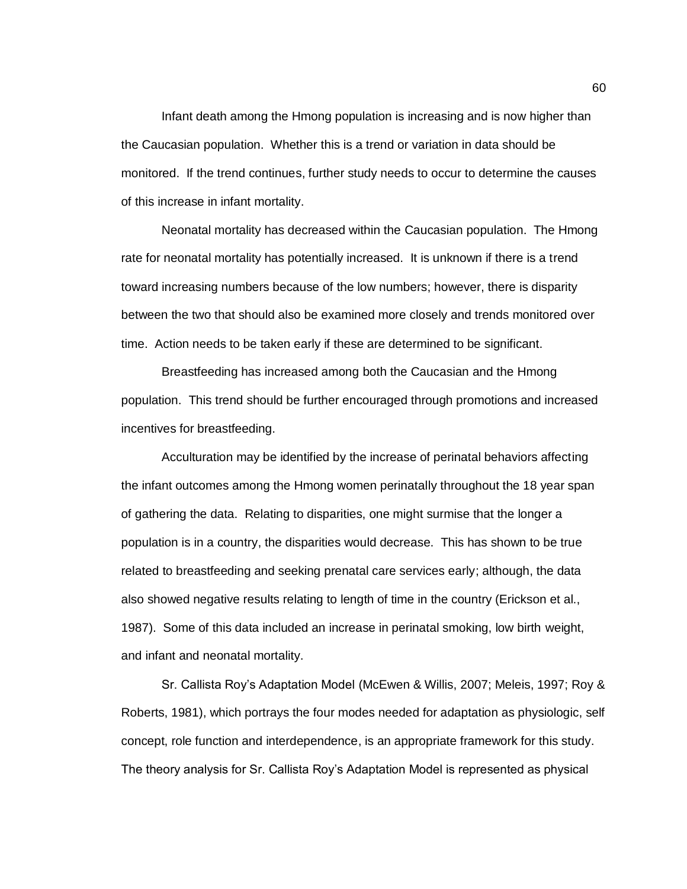Infant death among the Hmong population is increasing and is now higher than the Caucasian population. Whether this is a trend or variation in data should be monitored. If the trend continues, further study needs to occur to determine the causes of this increase in infant mortality.

Neonatal mortality has decreased within the Caucasian population. The Hmong rate for neonatal mortality has potentially increased. It is unknown if there is a trend toward increasing numbers because of the low numbers; however, there is disparity between the two that should also be examined more closely and trends monitored over time. Action needs to be taken early if these are determined to be significant.

Breastfeeding has increased among both the Caucasian and the Hmong population. This trend should be further encouraged through promotions and increased incentives for breastfeeding.

Acculturation may be identified by the increase of perinatal behaviors affecting the infant outcomes among the Hmong women perinatally throughout the 18 year span of gathering the data. Relating to disparities, one might surmise that the longer a population is in a country, the disparities would decrease. This has shown to be true related to breastfeeding and seeking prenatal care services early; although, the data also showed negative results relating to length of time in the country (Erickson et al., 1987). Some of this data included an increase in perinatal smoking, low birth weight, and infant and neonatal mortality.

Sr. Callista Roy's Adaptation Model (McEwen & Willis, 2007; Meleis, 1997; Roy & Roberts, 1981), which portrays the four modes needed for adaptation as physiologic, self concept, role function and interdependence, is an appropriate framework for this study. The theory analysis for Sr. Callista Roy's Adaptation Model is represented as physical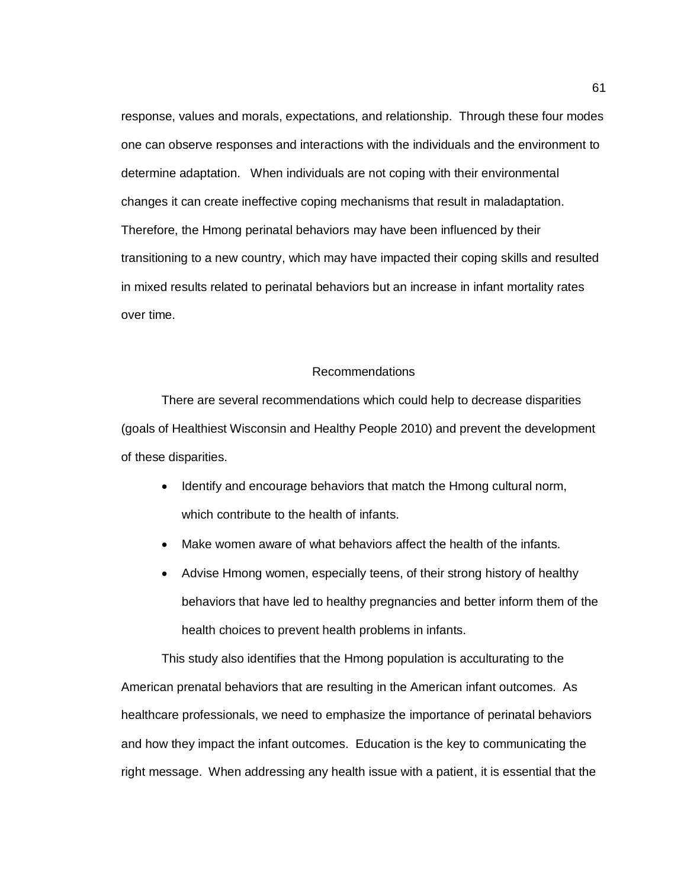response, values and morals, expectations, and relationship. Through these four modes one can observe responses and interactions with the individuals and the environment to determine adaptation. When individuals are not coping with their environmental changes it can create ineffective coping mechanisms that result in maladaptation. Therefore, the Hmong perinatal behaviors may have been influenced by their transitioning to a new country, which may have impacted their coping skills and resulted in mixed results related to perinatal behaviors but an increase in infant mortality rates over time.

### Recommendations

There are several recommendations which could help to decrease disparities (goals of Healthiest Wisconsin and Healthy People 2010) and prevent the development of these disparities.

- Identify and encourage behaviors that match the Hmong cultural norm, which contribute to the health of infants.
- Make women aware of what behaviors affect the health of the infants.
- Advise Hmong women, especially teens, of their strong history of healthy behaviors that have led to healthy pregnancies and better inform them of the health choices to prevent health problems in infants.

This study also identifies that the Hmong population is acculturating to the American prenatal behaviors that are resulting in the American infant outcomes. As healthcare professionals, we need to emphasize the importance of perinatal behaviors and how they impact the infant outcomes. Education is the key to communicating the right message. When addressing any health issue with a patient, it is essential that the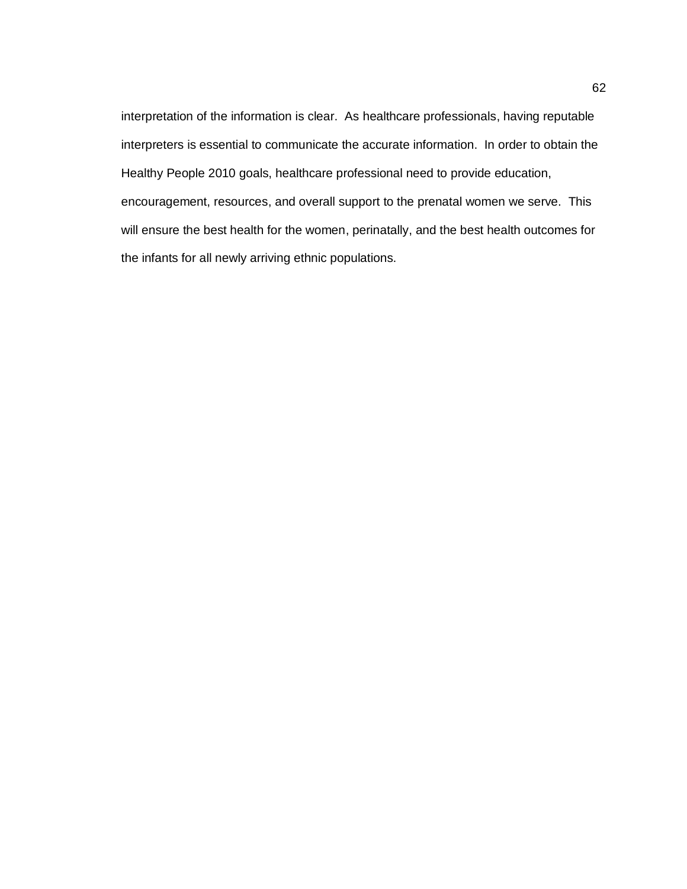interpretation of the information is clear. As healthcare professionals, having reputable interpreters is essential to communicate the accurate information. In order to obtain the Healthy People 2010 goals, healthcare professional need to provide education, encouragement, resources, and overall support to the prenatal women we serve. This will ensure the best health for the women, perinatally, and the best health outcomes for the infants for all newly arriving ethnic populations.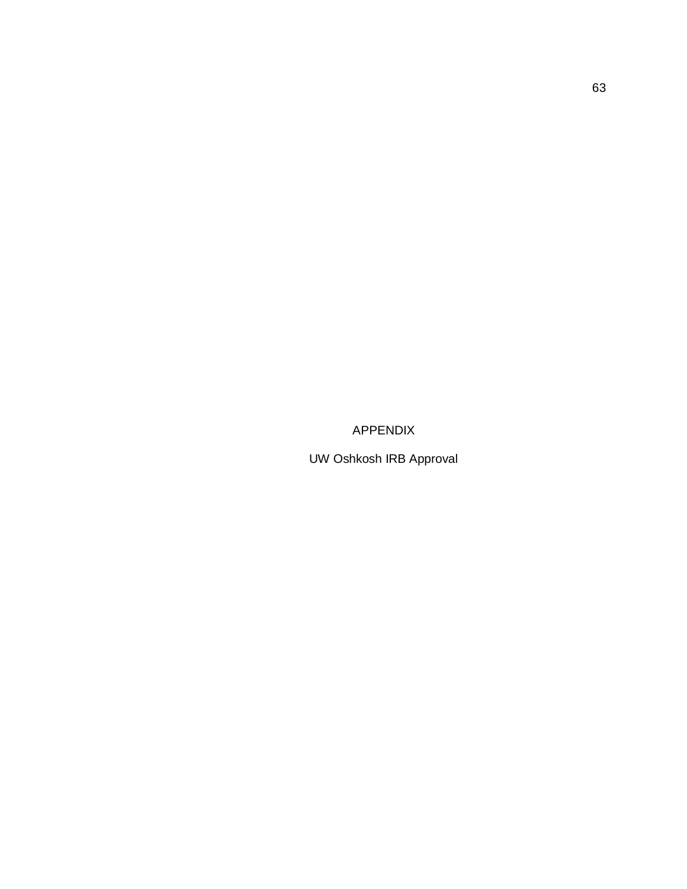APPENDIX

UW Oshkosh IRB Approval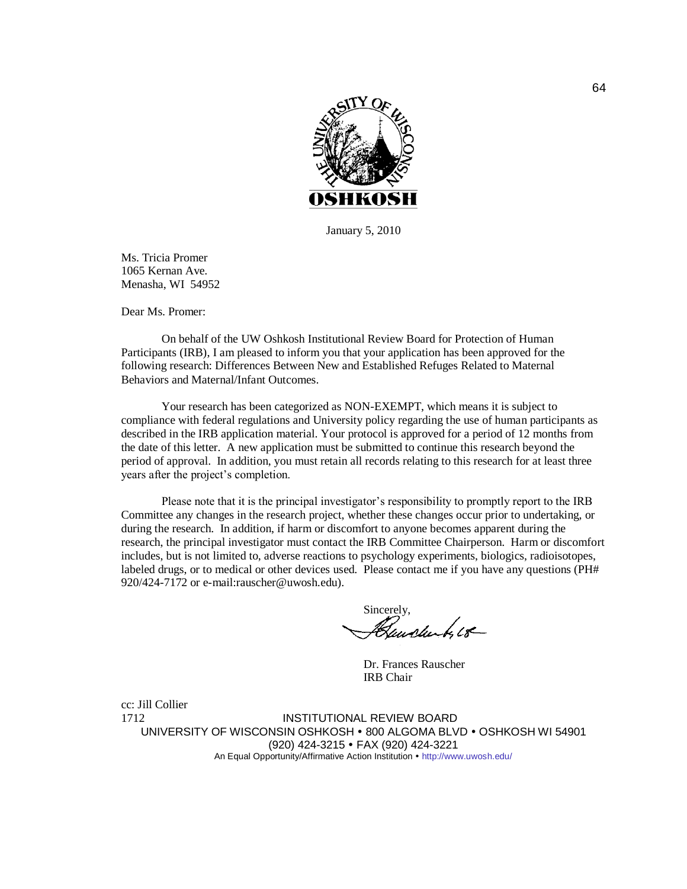

January 5, 2010

Ms. Tricia Promer 1065 Kernan Ave. Menasha, WI 54952

Dear Ms. Promer:

On behalf of the UW Oshkosh Institutional Review Board for Protection of Human Participants (IRB), I am pleased to inform you that your application has been approved for the following research: Differences Between New and Established Refuges Related to Maternal Behaviors and Maternal/Infant Outcomes.

Your research has been categorized as NON-EXEMPT, which means it is subject to compliance with federal regulations and University policy regarding the use of human participants as described in the IRB application material. Your protocol is approved for a period of 12 months from the date of this letter. A new application must be submitted to continue this research beyond the period of approval. In addition, you must retain all records relating to this research for at least three years after the project's completion.

Please note that it is the principal investigator's responsibility to promptly report to the IRB Committee any changes in the research project, whether these changes occur prior to undertaking, or during the research. In addition, if harm or discomfort to anyone becomes apparent during the research, the principal investigator must contact the IRB Committee Chairperson. Harm or discomfort includes, but is not limited to, adverse reactions to psychology experiments, biologics, radioisotopes, labeled drugs, or to medical or other devices used. Please contact me if you have any questions (PH# 920/424-7172 or e-mail:rauscher@uwosh.edu).

Sincerely,<br>Heugherty 18

Dr. Frances Rauscher IRB Chair

cc: Jill Collier

1712 INSTITUTIONAL REVIEW BOARD UNIVERSITY OF WISCONSIN OSHKOSH • 800 ALGOMA BLVD • OSHKOSH WI 54901 (920) 424-3215 FAX (920) 424-3221 An Equal Opportunity/Affirmative Action Institution • <http://www.uwosh.edu/>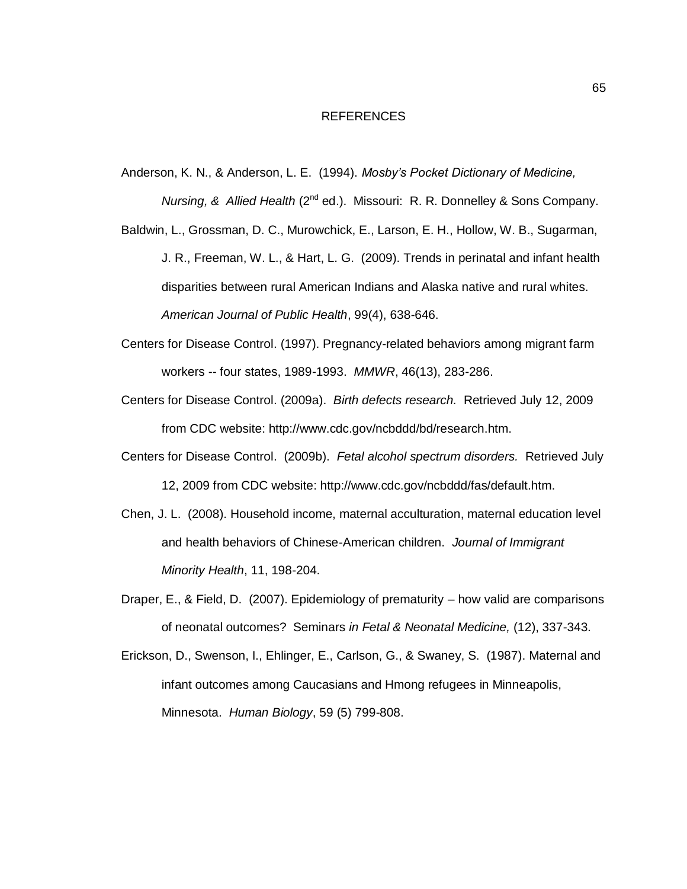#### REFERENCES

Anderson, K. N., & Anderson, L. E. (1994). *Mosby's Pocket Dictionary of Medicine,* 

*Nursing, & Allied Health* (2<sup>nd</sup> ed.). Missouri: R. R. Donnelley & Sons Company.

- Baldwin, L., Grossman, D. C., Murowchick, E., Larson, E. H., Hollow, W. B., Sugarman, J. R., Freeman, W. L., & Hart, L. G. (2009). Trends in perinatal and infant health disparities between rural American Indians and Alaska native and rural whites. *American Journal of Public Health*, 99(4), 638-646.
- Centers for Disease Control. (1997). Pregnancy-related behaviors among migrant farm workers -- four states, 1989-1993. *MMWR*, 46(13), 283-286.
- Centers for Disease Control. (2009a). *Birth defects research.* Retrieved July 12, 2009 from CDC website: http://www.cdc.gov/ncbddd/bd/research.htm.
- Centers for Disease Control. (2009b). *Fetal alcohol spectrum disorders.* Retrieved July 12, 2009 from CDC website: http://www.cdc.gov/ncbddd/fas/default.htm.
- Chen, J. L. (2008). Household income, maternal acculturation, maternal education level and health behaviors of Chinese-American children. *Journal of Immigrant Minority Health*, 11, 198-204.
- Draper, E., & Field, D. (2007). Epidemiology of prematurity how valid are comparisons of neonatal outcomes? Seminars *in Fetal & Neonatal Medicine,* (12), 337-343.
- Erickson, D., Swenson, I., Ehlinger, E., Carlson, G., & Swaney, S. (1987). Maternal and infant outcomes among Caucasians and Hmong refugees in Minneapolis, Minnesota. *Human Biology*, 59 (5) 799-808.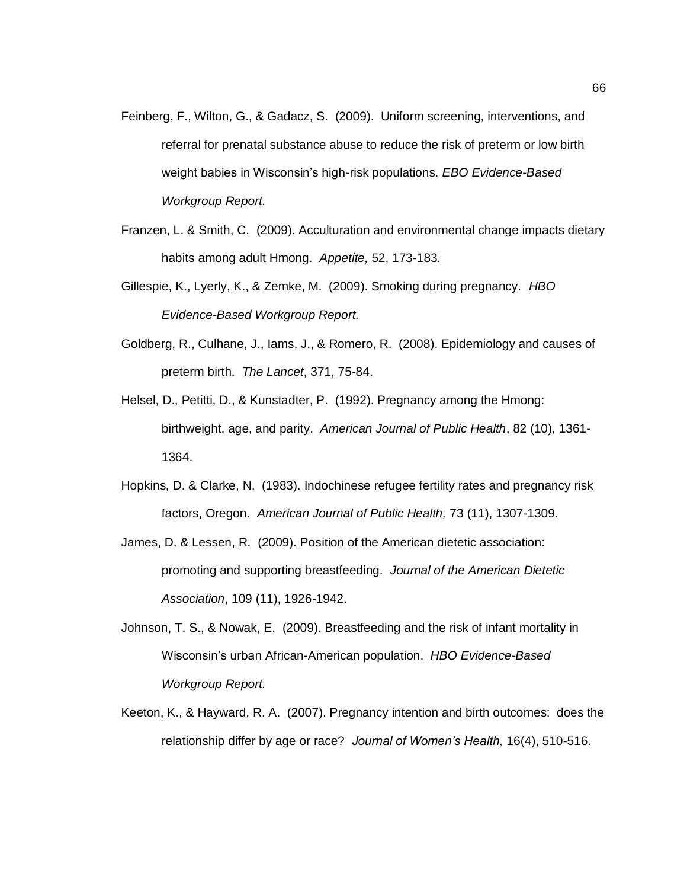- Feinberg, F., Wilton, G., & Gadacz, S. (2009). Uniform screening, interventions, and referral for prenatal substance abuse to reduce the risk of preterm or low birth weight babies in Wisconsin's high-risk populations. *EBO Evidence-Based Workgroup Report.*
- Franzen, L. & Smith, C. (2009). Acculturation and environmental change impacts dietary habits among adult Hmong. *Appetite,* 52, 173-183*.*
- Gillespie, K., Lyerly, K., & Zemke, M. (2009). Smoking during pregnancy. *HBO Evidence-Based Workgroup Report.*
- Goldberg, R., Culhane, J., Iams, J., & Romero, R. (2008). Epidemiology and causes of preterm birth. *The Lancet*, 371, 75-84.
- Helsel, D., Petitti, D., & Kunstadter, P. (1992). Pregnancy among the Hmong: birthweight, age, and parity. *American Journal of Public Health*, 82 (10), 1361- 1364.
- Hopkins, D. & Clarke, N. (1983). Indochinese refugee fertility rates and pregnancy risk factors, Oregon. *American Journal of Public Health,* 73 (11), 1307-1309.
- James, D. & Lessen, R. (2009). Position of the American dietetic association: promoting and supporting breastfeeding. *Journal of the American Dietetic Association*, 109 (11), 1926-1942.
- Johnson, T. S., & Nowak, E. (2009). Breastfeeding and the risk of infant mortality in Wisconsin's urban African-American population. *HBO Evidence-Based Workgroup Report.*
- Keeton, K., & Hayward, R. A. (2007). Pregnancy intention and birth outcomes: does the relationship differ by age or race? *Journal of Women's Health,* 16(4), 510-516.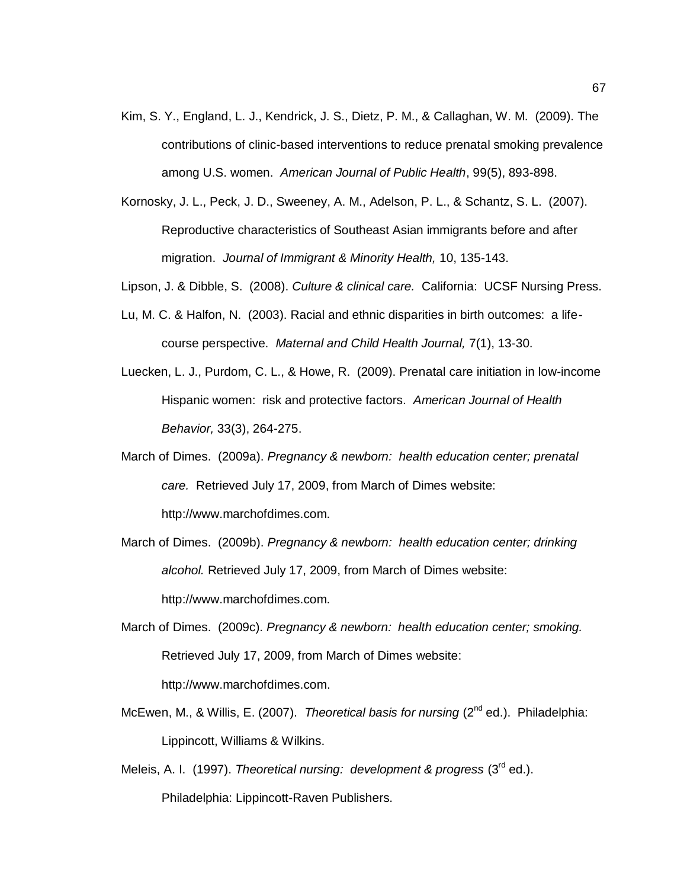- Kim, S. Y., England, L. J., Kendrick, J. S., Dietz, P. M., & Callaghan, W. M. (2009). The contributions of clinic-based interventions to reduce prenatal smoking prevalence among U.S. women. *American Journal of Public Health*, 99(5), 893-898.
- Kornosky, J. L., Peck, J. D., Sweeney, A. M., Adelson, P. L., & Schantz, S. L. (2007). Reproductive characteristics of Southeast Asian immigrants before and after migration. *Journal of Immigrant & Minority Health,* 10, 135-143.
- Lipson, J. & Dibble, S. (2008). *Culture & clinical care.* California: UCSF Nursing Press.
- Lu, M. C. & Halfon, N. (2003). Racial and ethnic disparities in birth outcomes: a lifecourse perspective. *Maternal and Child Health Journal,* 7(1), 13-30.
- Luecken, L. J., Purdom, C. L., & Howe, R. (2009). Prenatal care initiation in low-income Hispanic women: risk and protective factors. *American Journal of Health Behavior,* 33(3), 264-275.
- March of Dimes. (2009a). *Pregnancy & newborn: health education center; prenatal care.* Retrieved July 17, 2009, from March of Dimes website: http://www.marchofdimes.com.
- March of Dimes. (2009b). *Pregnancy & newborn: health education center; drinking alcohol.* Retrieved July 17, 2009, from March of Dimes website: http://www.marchofdimes.com.
- March of Dimes. (2009c). *Pregnancy & newborn: health education center; smoking.*  Retrieved July 17, 2009, from March of Dimes website: [http://www.marchofdimes.com.](http://www.marchofdimes.com/)
- McEwen, M., & Willis, E. (2007). *Theoretical basis for nursing* (2<sup>nd</sup> ed.). Philadelphia: Lippincott, Williams & Wilkins.
- Meleis, A. I. (1997). *Theoretical nursing: development & progress* (3<sup>rd</sup> ed.). Philadelphia: Lippincott-Raven Publishers.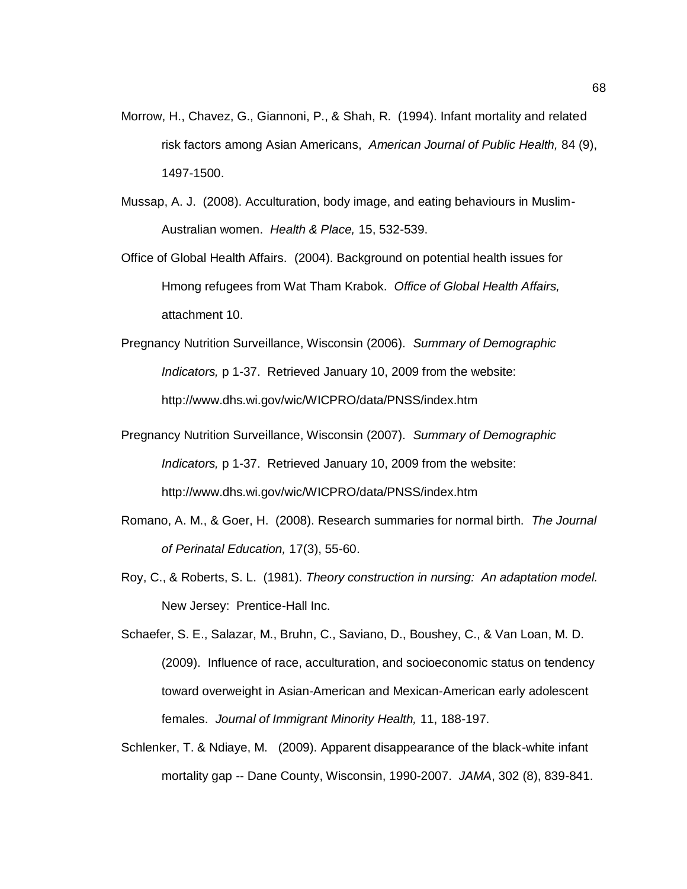- Morrow, H., Chavez, G., Giannoni, P., & Shah, R. (1994). Infant mortality and related risk factors among Asian Americans, *American Journal of Public Health,* 84 (9), 1497-1500.
- Mussap, A. J. (2008). Acculturation, body image, and eating behaviours in Muslim-Australian women. *Health & Place,* 15, 532-539.
- Office of Global Health Affairs. (2004). Background on potential health issues for Hmong refugees from Wat Tham Krabok. *Office of Global Health Affairs,*  attachment 10.
- Pregnancy Nutrition Surveillance, Wisconsin (2006). *Summary of Demographic Indicators,* p 1-37. Retrieved January 10, 2009 from the website: http://www.dhs.wi.gov/wic/WICPRO/data/PNSS/index.htm
- Pregnancy Nutrition Surveillance, Wisconsin (2007). *Summary of Demographic Indicators,* p 1-37. Retrieved January 10, 2009 from the website: <http://www.dhs.wi.gov/wic/WICPRO/data/PNSS/index.htm>
- Romano, A. M., & Goer, H. (2008). Research summaries for normal birth. *The Journal of Perinatal Education,* 17(3), 55-60.
- Roy, C., & Roberts, S. L. (1981). *Theory construction in nursing: An adaptation model.* New Jersey: Prentice-Hall Inc.
- Schaefer, S. E., Salazar, M., Bruhn, C., Saviano, D., Boushey, C., & Van Loan, M. D. (2009). Influence of race, acculturation, and socioeconomic status on tendency toward overweight in Asian-American and Mexican-American early adolescent females. *Journal of Immigrant Minority Health,* 11, 188-197.
- Schlenker, T. & Ndiaye, M. (2009). Apparent disappearance of the black-white infant mortality gap -- Dane County, Wisconsin, 1990-2007. *JAMA*, 302 (8), 839-841.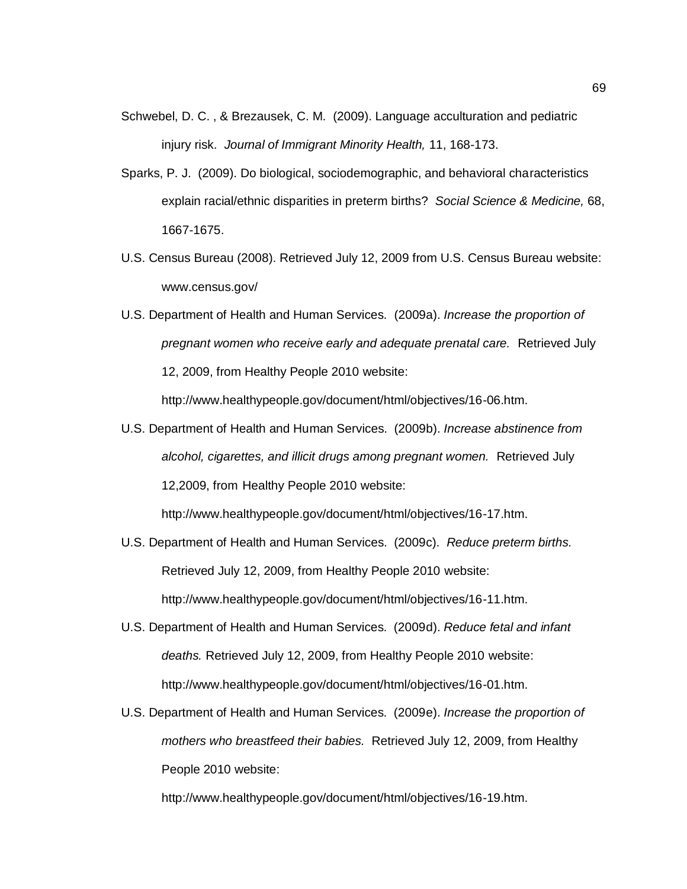- Schwebel, D. C. , & Brezausek, C. M. (2009). Language acculturation and pediatric injury risk. *Journal of Immigrant Minority Health,* 11, 168-173.
- Sparks, P. J. (2009). Do biological, sociodemographic, and behavioral characteristics explain racial/ethnic disparities in preterm births? *Social Science & Medicine,* 68, 1667-1675.
- U.S. Census Bureau (2008). Retrieved July 12, 2009 from U.S. Census Bureau website: www.census.gov/
- U.S. Department of Health and Human Services. (2009a). *Increase the proportion of pregnant women who receive early and adequate prenatal care.* Retrieved July 12, 2009, from Healthy People 2010 website:

http://www.healthypeople.gov/document/html/objectives/16-06.htm.

U.S. Department of Health and Human Services. (2009b). *Increase abstinence from alcohol, cigarettes, and illicit drugs among pregnant women.* Retrieved July 12,2009, from Healthy People 2010 website:

http://www.healthypeople.gov/document/html/objectives/16-17.htm.

- U.S. Department of Health and Human Services. (2009c). *Reduce preterm births.*  Retrieved July 12, 2009, from Healthy People 2010 website: http://www.healthypeople.gov/document/html/objectives/16-11.htm.
- U.S. Department of Health and Human Services. (2009d). *Reduce fetal and infant deaths.* Retrieved July 12, 2009, from Healthy People 2010 website: http://www.healthypeople.gov/document/html/objectives/16-01.htm.
- U.S. Department of Health and Human Services. (2009e). *Increase the proportion of mothers who breastfeed their babies.* Retrieved July 12, 2009, from Healthy People 2010 website:

http://www.healthypeople.gov/document/html/objectives/16-19.htm.